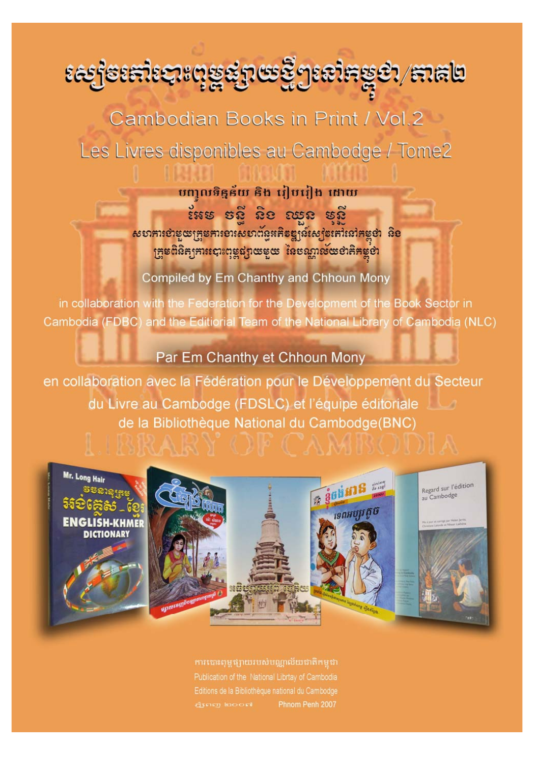*ଽఙ*෦෦ඎ෦෩෦෬ඁ෧ඁ෫ඁ෭෦෬෫ඁ෯෭෨෦෪ඁ෨ඁ

Cambodian Books in Print / Vol.2 Les Livres disponibles au Cambodge / Tome2

> បញ្ចូលទិន្នន័យ និង រៀបរៀង ដោយ ះអន នត្តិ និទ ឈុន នតិ សហការខាតុយក្រុមការទារសហព័ន្ធអភិទន្ត្យន៍ស្បូងតៅនៅកម្ពុជា និខ ក្រុមពិនិត្យការបោះពុម្ពផ្សាយមួយ នៃបណ្តាល័យថាគិតម្លថា

Compiled by Em Chanthy and Chhoun Mony

in collaboration with the Federation for the Development of the Book Sector in Cambodia (FDBC) and the Editiorial Team of the National Library of Cambodia (NLC)

## Par Em Chanthy et Chhoun Mony

en collaboration avec la Fédération pour le Développement du Secteur du Livre au Cambodge (FDSLC) et l'équipe éditoriale de la Bibliothèque National du Cambodge(BNC)

PSKAJK JEP U AMISCIJI



ការបោះពុម្ពផ្សាយរបស់បណ្ណាល័យជាតិកម្ពុជា Editions de la Bibliothèque national du Cambodge Exercy looped Phnom Penh 2007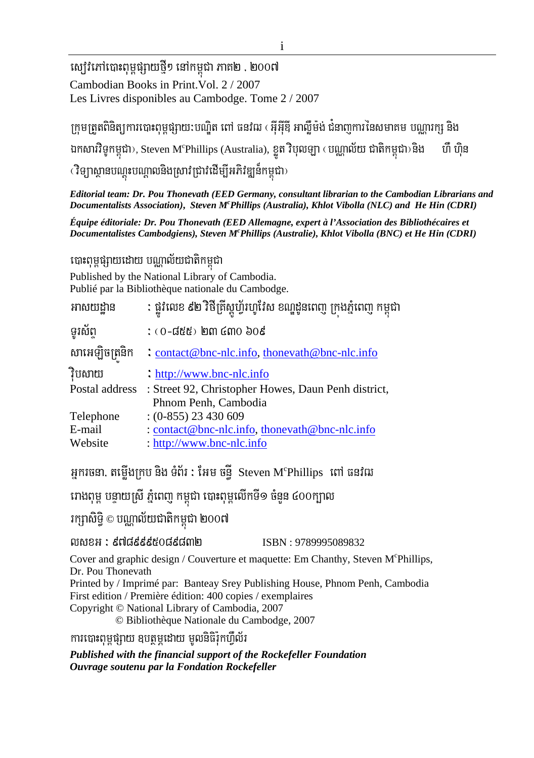ស្សេវិភៅបោះពុម្ពផ្សាយថ្មី១ នៅកម្ពុជា ភាគ២ . ២០០៧ Cambodian Books in Print. Vol. 2 / 2007 Les Livres disponibles au Cambodge. Tome 2 / 2007

ក្រុមត្រួតពិនិត្យការបោះពុម្ពផ្សាយ:បណ្ឌិត ពៅ ធនវិឍ ( អ៊ីអ៊ីឌី អាល្ម៊ីម៉ង់ ជំនាញការនៃសមាគម បណ្ណារក្ស និង ឯកសារវិទូកម្ពុជា), Steven M°Phillips (Australia), ខ្ញុត វិបុលឡា (បណ្ណាល័យ ជាតិកម្ពុជា) និង ហឺ ហិន (វិទ្យាស្ថានបណ្តុះបណ្តាលនិងស្រាវជ្រាវដើម្បីអភិវឌ្ឍន៍កម្ពុជា)

Editorial team: Dr. Pou Thonevath (EED Germany, consultant librarian to the Cambodian Librarians and Documentalists Association), Steven M<sup>c</sup>Phillips (Australia), Khlot Vibolla (NLC) and He Hin (CDRI)

Équipe éditoriale: Dr. Pou Thonevath (EED Allemagne, expert à l'Association des Bibliothécaires et Documentalistes Cambodgiens), Steven M<sup>c</sup>Phillips (Australie), Khlot Vibolla (BNC) et He Hin (CDRI)

បោះពុម្ពផ្សាយដោយ បណ្តាល័យជាតិកម្ពុជា

Published by the National Library of Cambodia. Publié par la Bibliothèque nationale du Cambodge.

| អាសយដ្ឋាន      | : ផ្លូវលេខ ៩២ វិថីគ្រីស្តូហ្វ័រហូវែស ខណ្ឌដូនពេញ ក្រុងភ្នំពេញ កម្ពុជា |
|----------------|----------------------------------------------------------------------|
| ទូរស័ព         | $:$ (0-៨៥៥) ២៣ ៤៣០ ៦០៩                                               |
| សាអេឡិចត្រនិក  | : contact@bnc-nlc.info, thoneyath@bnc-nlc.info                       |
| វិបសាយ         | : $\frac{http://www.bnc-nlc.info}{}$                                 |
| Postal address | : Street 92, Christopher Howes, Daun Penh district,                  |
|                | Phnom Penh, Cambodia                                                 |
| Telephone      | $(0-855)$ 23 430 609                                                 |
| E-mail         | : contact@bnc-nlc.info, thoneyath@bnc-nlc.info                       |
| Website        | : http://www.bnc-nlc.info                                            |
|                |                                                                      |

អ្នករចនា, តម្លើងក្រប និង ទំព័រ : អែម ចន្ទី  $\,$  Steven M $\,$ Phillips  $\,$  ពៅ ធនវិឍ

រោងពុម្ព បន្ទាយស្រី ភ្នំពេញ កម្ពុជា បោះពុម្ពលើកទី១ ចំនួន ៤០០ក្បាល

រក្សាសិទ្ធិ © បណ្ណាល័យជាតិកម្ពុជា ២០០៧

លសខអ : ៩៧៨៩៩៩៥០៨៩៨៣២ ISBN: 9789995089832

Cover and graphic design / Couverture et maquette: Em Chanthy, Steven M°Phillips, Dr. Pou Thonevath

Printed by / Imprimé par: Banteay Srey Publishing House, Phnom Penh, Cambodia First edition / Première édition: 400 copies / exemplaires

Copyright © National Library of Cambodia, 2007

© Bibliothèque Nationale du Cambodge, 2007

ការបោះពុម្ពផ្សាយ ឧបត្ថម្ភដោយ មូលនិធិរ៉ុកហឺល័រ

Published with the financial support of the Rockefeller Foundation Ouvrage soutenu par la Fondation Rockefeller

 $\mathbf{i}$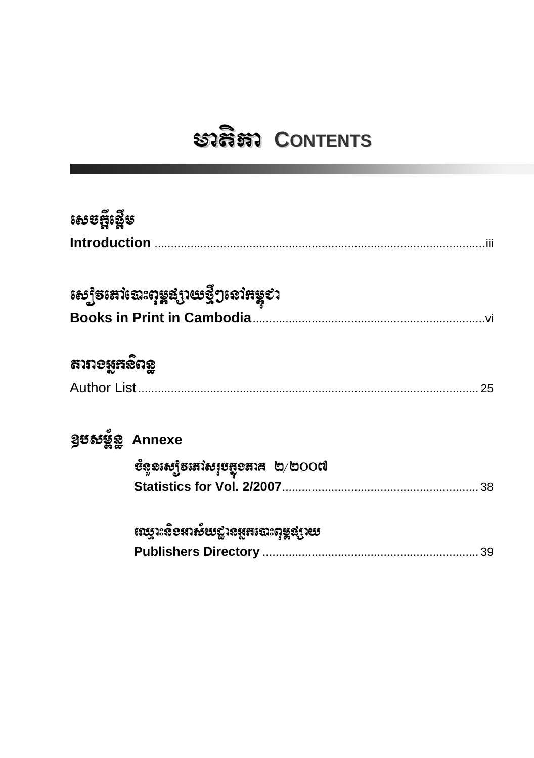## ะวลิสา CONTENTS

| សេចក្តីស្នើម                 |                                                                                           |    |
|------------------------------|-------------------------------------------------------------------------------------------|----|
|                              | សេ្យិ <b>ទ</b> នៅថោះពុម្ពដ្សាយថ្មីៗនៅ <del>ព</del> ម្ពុខា                                 |    |
| สาทอ <u>นู</u> หลัด <u>ล</u> |                                                                                           | 25 |
| guesse Annexe                | <b>ម័ន្ទនស្យៀ</b> ទតេវសរុប <del>ប្</del> លុខតាគ ២/២OO៧                                    | 38 |
|                              | <i>សេ</i> ប្តូរះសិខអាស័យខ្លានអូ <del>គ</del> ឈោះពុម្ពផ្សាយ<br><b>Publishers Directory</b> | 39 |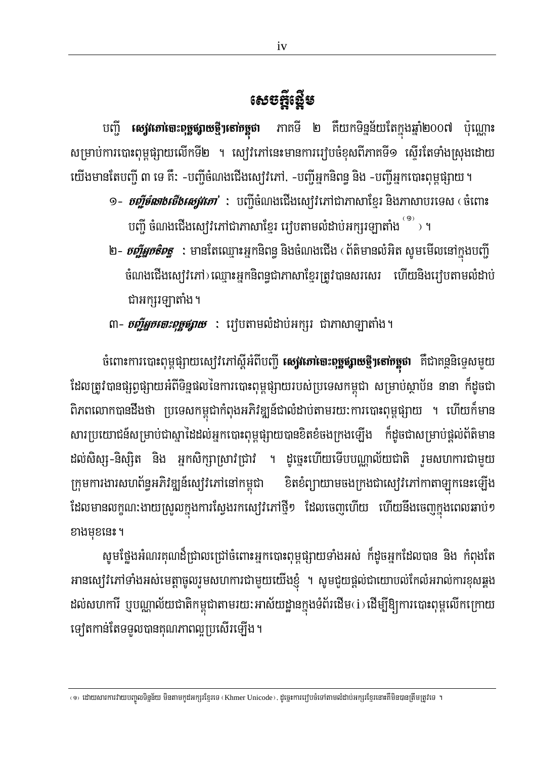## សេចក្តីឡើម

បញ្ជី **សេវ្រកោចោះពុច្ចផ្សាយថ្មីៗតៅកម្ពុជា** ភាគទី ២ គឺយកទិន្នន័យតែក្នុងឆ្នាំ២០០៧ ប៉ុណ្ណោះ សម្រាប់ការបោះពុម្ពផ្សាយលើកទី២ ។ ស្មៅវិភៅនេះមានការរៀបចំខុសពីភាគទី១ ស្ទើរតែទាំងស្រុងដោយ យើងមានតែបញ្ជី ៣ ទេ គឺ: -បញ្ជីចំណងជើងស្យេវៃភៅ. -បញ្ជីអ្នកនិពន្ធ និង -បញ្ជីអ្នកបោះពុម្ពផ្សាយ ។

- ១– *ចញ្ចឹទ័លាងសឹងស្បេវភោ'* **:** បញ្ចឹចំណងជើងស្បេវភៅជាភាសាខ្មែរ និងភាសាបរទេស (ចំពោះ ្រច្បី ចំណងជើងស្យេវិភៅជាភាសាខ្មែរ រេវុបតាមលំដាប់អក្សរឡាតាំង ់<sup>១</sup>ំ ។
- ២- *ច្ចឹរ្មភូតិទត្ធ* **:** មានតែឈ្មោះអ្នកនិពន្ធ និងចំណងជើង ‹ ព័តិមានលំអិត សូមមើលនៅក្នុងបញ្ជី ចំណងជើងស្យេរិវភៅ) ឈ្មោះអ្នកនិពន្ធជាភាសាខ្មែរត្រូវបានសរសេរ ហើយនិងរេវ្យបតាមលំដាប់ ជាអក្សរឡាតាំង។
- ៣– *ច្ចឹរ្យួកតោះពុច្ចផ្សាយ* **:** រឿបតាមលំដាប់អក្សរ ជាភាសាឡាតាំង។

ចំពោះការបោះពុម្ពផ្សាយស្យៀវភៅស្តីអំពីបញ្ជី **សេវ្រភៅចេះពុទ្ធផ្សាយថ្មីៗតៅកម្ពុជា** គឺជាគន្ថនិទ្ទេសមួយ ដែលត្រូវបានផ្សព្វផ្សាយអំពីទិន្នផលនៃការបោះពុម្ពផ្សាយរបស់ប្រទេសកម្ពុជា សម្រាប់ស្ថាប័ន នានា ក៏ដូចជា ពិភពលោកបានដឹងថា ប្រទេសកម្ពុជាកំពុងអភិវឌ្ឍន៍ជាលំដាប់តាមរយ:ការបោះពុម្ពផ្សាយ ។ ហើយក៏មាន សារប្រយោជន៍សម្រាប់ជាស្នាដៃដល់អ្នកបោះពុម្ពផ្សាយបានខិតខំចងក្រងឡើង ក៏ដូចជាសម្រាប់ផ្តល់ព័ត៌មាន ដល់សិស្ស-និស្សិត និង អ្នកសិក្សាស្រាវជ្រាវ ។ ដូច្នេះហើយទើបបណ្ណល័យជាតិ រួមសហការជាមួយ ក្រុមការងារសហព័ន្ធអភិវឌ្ឍន៍ស្យេវិភៅនៅកម្ពុជា ខិតខំព្យាយាមចងក្រងជាស្សេវិភៅកាតាឡុកនេះឡើង ដែលមានលក្ខណ:ងាយស្រួលក្នុងការស្វែងរកស្យេវិភៅថ្មី១ ដែលចេញហើយ ហើយនឹងចេញក្នុងពេលឆាប់១ ខាងមុខនេះ ។

សូមថ្លែងអំណរគុណដ៏ជ្រាលជ្រៅចំពោះអ្នកបោះពុម្ពផ្សាយទាំងអស់ ក៏ដូចអ្នកដែលបាន និង កំពុងតែ អានស្ប៉េរិភៅទាំងអស់មេត្តាចូលរួមសហការជាមួយយើងខ្ញុំ ។ សូមជួយផ្តល់ជាយោបល់កែលំអរាល់ការខុសឆ្គង ដល់សហការី ឬបណ្ណាល័យជាតិកម្ពុជាតាមរយ: អាស័យដ្ឋានក្នុងទំព័រដើម(i) ដើម្បីឱ្យការបោះពុម្ពលើកក្រោយ ឡេតកាន់តែទទួលបានគុណភាពល្អប្រសើរឡើង។

<sup>‹</sup>១› ដោយសារការវាយបញ្ចូលទិន្នន័យ មិនតាមកូដអក្សរខ្មែរទេ (Khmer Unicode). ដូច្នេះការរៀបចំទៅតាមលំដាប់អក្សរខ្មែរនោះគឺមិនបានត្រឹមត្រូវទេ ។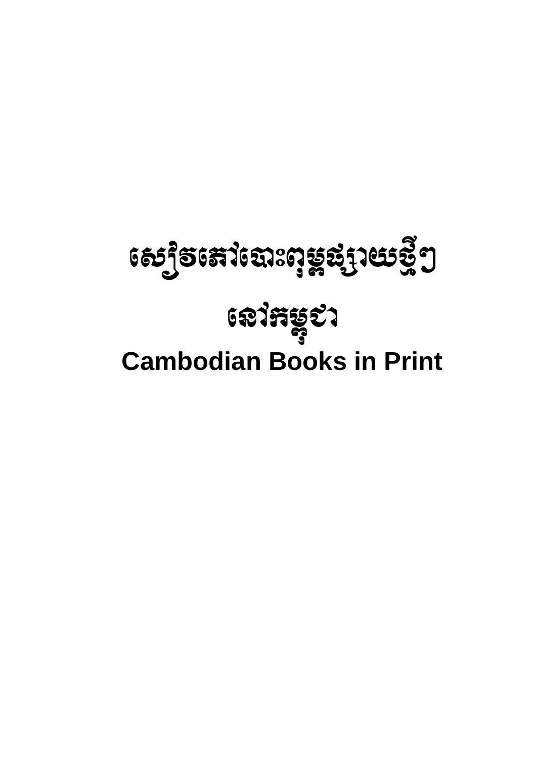# **ี เอากะรุะว Cambodian Books in Print**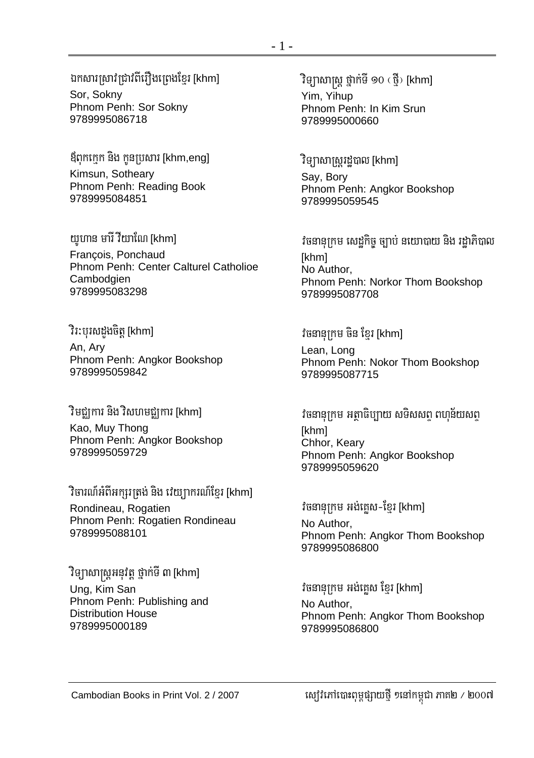ឪពុកកេក និង កូនប្រសារ [khm,eng] Kimsun, Sotheary Phnom Penh: Reading Book 9789995084851

យូហាន មារី វីយាណៃ [khm] Francois, Ponchaud Phnom Penh: Center Calturel Catholioe Cambodgien 9789995083298

វិរ:បុរសដងចិត្ត [khm] An, Ary Phnom Penh: Angkor Bookshop 9789995059842

## ិរមជ្ឈការ និង វិសហមជ្ឈការ [khm]

Kao, Muy Thong Phnom Penh: Angkor Bookshop 9789995059729

ិវិចារណ៍អំពីអក្សរត្រង់ និង វេយ្យាករណ៍ខ្មែរ [khm] Rondineau, Rogatien Phnom Penh: Rogatien Rondineau 9789995088101

ិរិទ្យាសាស្ត្រអនុវត្ត ថ្នាក់ទី ៣ [khm] Ung, Kim San Phnom Penh: Publishing and **Distribution House** 9789995000189

Yim, Yihup Phnom Penh: In Kim Srun 9789995000660

ិវិទ្យាសាស្ត្ររដ្ឋបាល [khm] Say, Bory Phnom Penh: Angkor Bookshop 9789995059545

វិចនានុក្រម សេដកិច្ច ច្បាប់ នយោបាយ និង រដាភិបាល [khm] No Author, Phnom Penh: Norkor Thom Bookshop 9789995087708

#### វិចនានុក្រម ចិន ខ្មែរ [khm]

Lean, Long Phnom Penh: Nokor Thom Bookshop 9789995087715

វិចនានុក្រម អត្ថាធិប្បាយ សទិសសពុ ពហុន័យសពុ [khm] Chhor, Keary Phnom Penh: Angkor Bookshop 9789995059620

#### វិចនានុក្រម អង់គេស-ខ្មែរ [khm]

No Author. Phnom Penh: Angkor Thom Bookshop 9789995086800

#### វិចនានុក្រម អង់គ្លេស ខ្មែរ [khm] No Author. Phnom Penh: Angkor Thom Bookshop 9789995086800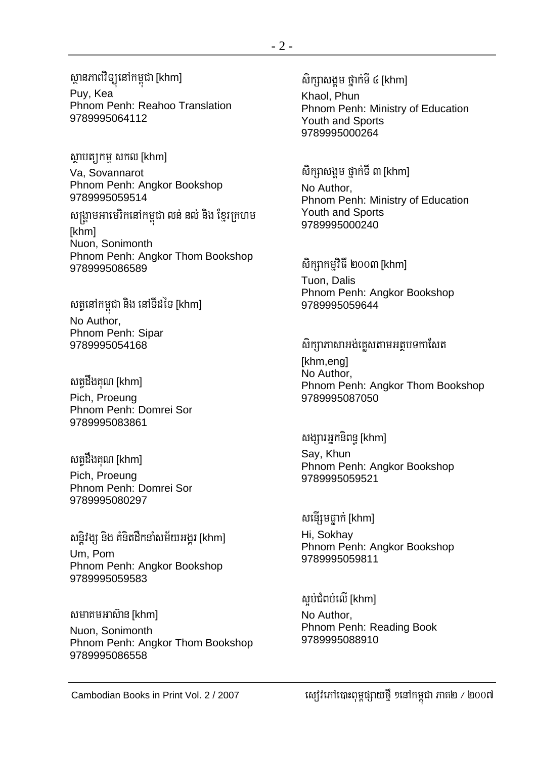ស្ថានភាពវិទ្យុនៅកម្ពុជា [khm] Puy, Kea Phnom Penh: Reahoo Translation 9789995064112

សាបត្យកម្ម សកល [khm] Va, Sovannarot Phnom Penh: Angkor Bookshop 9789995059514

សង្គ្រាមអាមេរិកនៅកម្ពុជា លន់ នល់ និង ខ្មែរក្រហម [khm] Nuon, Sonimonth Phnom Penh: Angkor Thom Bookshop 9789995086589

សត្វនៅកម្ពុជា និង នៅទីដទៃ [khm] No Author, Phnom Penh: Sipar 9789995054168

សត្វដឹងគុណ [khm] Pich, Proeung Phnom Penh: Domrei Sor 9789995083861

សត្វដឹងគុណ [khm] Pich, Proeung Phnom Penh: Domrei Sor 9789995080297

សន្តិវង្ស និង គំនិតដឹកនាំសម័យអង្គរ [khm] Um, Pom Phnom Penh: Angkor Bookshop 9789995059583

សមាគមអាស៊ាន [khm] Nuon, Sonimonth Phnom Penh: Angkor Thom Bookshop 9789995086558

sikSasgÁm fñak;TI 4 [khm] Khaol, Phun Phnom Penh: Ministry of Education Youth and Sports 9789995000264

សិក្សាសង្គម ថ្នាក់ទី ៣ [khm] No Author, Phnom Penh: Ministry of Education Youth and Sports 9789995000240

សិកព្យាកមវិធី ២០០៣ [khm] Tuon, Dalis Phnom Penh: Angkor Bookshop 9789995059644

សិក្សាភាសាអង់គេសតាមអត្ថបទកាសែត [khm,eng] No Author, Phnom Penh: Angkor Thom Bookshop 9789995087050

សង្សារអ្នកនិពន្ធ [khm] Say, Khun Phnom Penh: Angkor Bookshop 9789995059521

សន្ទើរុមធាក់ [khm] Hi, Sokhay Phnom Penh: Angkor Bookshop 9789995059811

ស្អប់ជំពប់លើ [khm] No Author, Phnom Penh: Reading Book 9789995088910

Cambodian Books in Print Vol. 2 / 2007 esovePAe)aHBum<pSayfµI ²enAkm<úCa PaK2 ¼ 2007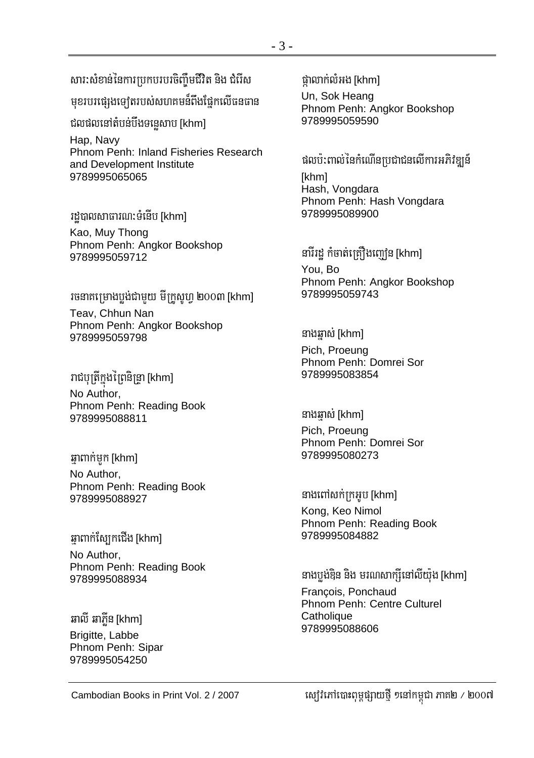## សារ:សំខាន់នៃការប្រកបរបរចិញ្ចឹមជីវិត និង ជំរើស

មុខរបរផ្សេងទ្បេតរបស់សហគមន៍ពីងផ្នែកលើធនធាន

ជលផលនៅតំបន់បឹងទនេសាប [khm]

Hap, Navy Phnom Penh: Inland Fisheries Research and Development Institute 9789995065065

រដបាលសាធារណ:ទំនើប [khm]

Kao, Muy Thong Phnom Penh: Angkor Bookshop 9789995059712

រចនាគម្រោងបង់ជាមយ មីក្រូសូហ ២០០៣ [khm] Teav. Chhun Nan Phnom Penh: Angkor Bookshop 9789995059798

រាជបុត្រីក្នុងព្រៃនិន្ទ្រា [khm] No Author. Phnom Penh: Reading Book 9789995088811

ឆ្នាពាក់មក [khm]

No Author, Phnom Penh: Reading Book 9789995088927

ឆាពាក់ស្បែកជើង [khm] No Author. Phnom Penh: Reading Book 9789995088934

ឆាលី ឆាភ្លីន [khm] Brigitte, Labbe Phnom Penh: Sipar 9789995054250

ផាលាក់លំអង [khm]

Un, Sok Heang Phnom Penh: Angkor Bookshop 9789995059590

ផលប៉:ពាល់នៃកំណើនប្រជាជនលើការអភិវឌ្ឍន៍

[khm] Hash, Vongdara Phnom Penh: Hash Vongdara 9789995089900

នារីរដ្ឋ កំចាត់ត្រឿងញៀន [khm] You, Bo Phnom Penh: Angkor Bookshop 9789995059743

#### នាងឆ្នាស់ [khm]

Pich, Proeung Phnom Penh: Domrei Sor 9789995083854

នាងឆ្ងាស់ [khm]

Pich, Proeung Phnom Penh: Domrei Sor 9789995080273

នាងពៅសក់ក្រអូប [khm] Kong, Keo Nimol

Phnom Penh: Reading Book 9789995084882

នាងប្លង់ឌិន និង មរណសាក្សីនៅលីយ៉ុង [khm] François, Ponchaud Phnom Penh: Centre Culturel Catholique 9789995088606

ស្យេវិភៅបោះពុម្ពផ្សាយថ្មី ១នៅកម្ពុជា ភាគ២ / ២០០៧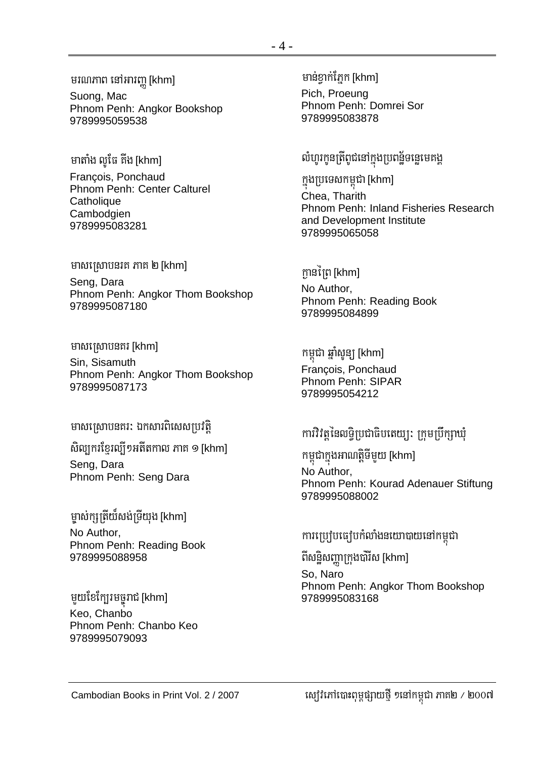មរណភាព នៅអារញ្ញ [khm]

Suong, Mac Phnom Penh: Angkor Bookshop 9789995059538

មាតាំង លូផៃ គីង [khm] François, Ponchaud Phnom Penh: Center Calturel Catholique Cambodgien 9789995083281

#### មាសស្រោបនរគ ភាគ ២ [khm]

Seng, Dara Phnom Penh: Angkor Thom Bookshop 9789995087180

មាសស្រោបនគរ [khm]

Sin, Sisamuth Phnom Penh: Angkor Thom Bookshop 9789995087173

មាសស្រោបនគរ: ឯកសារពិសេសប្រវត្តិ

សិល្បករខ្មែរល្បីៗអតីតកាល ភាគ ១ [khm]

Seng, Dara Phnom Penh: Seng Dara

ម្ចាស់ក្សត្រីយ៏សង់ទ្រីយុង [khm] No Author. Phnom Penh: Reading Book 9789995088958

មួយខែក្បែរមច្ចុរាជ [khm] Keo. Chanbo Phnom Penh: Chanbo Keo 9789995079093

មានខាក់ភ្នែក [khm] Pich. Proeuna Phnom Penh: Domrei Sor 9789995083878

#### លំហូរកូនត្រីពូជនៅក្នុងប្រពន្ឋ័ទន្លេមេគង្គ

ក្នុងប្រទេសកម្ពុជា [khm] Chea. Tharith Phnom Penh: Inland Fisheries Research and Development Institute 9789995065058

#### ក្អានព្រៃ [khm]

No Author, Phnom Penh: Reading Book 9789995084899

កម្ពុជា ឆ្នាំសូន្យូ [khm] François, Ponchaud Phnom Penh: SIPAR 9789995054212

### ការវិវត្តនៃលទ្ធិប្រជាធិបតេយ្យ: ក្រុមប្រឹក្សាឃុំ

កម្ពុជាក្នុងអាណត្តិទីមួយ [khm] No Author, Phnom Penh: Kourad Adenauer Stiftung 9789995088002

### ការប្រៀបធ្យើបកំលាំងនយោបាយនៅកម្ពុជា

ពីសន្ធិសញ្ញាក្រុងប៉ារីស [khm] So, Naro Phnom Penh: Angkor Thom Bookshop 9789995083168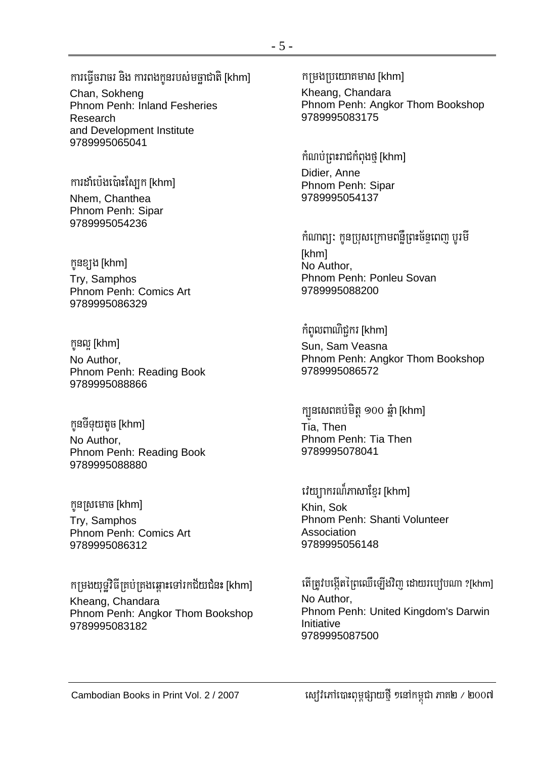ការធ្វើចរាចរ និង ការពងកូនរបស់មច្ឆាជាតិ [khm]

Chan. Sokheng Phnom Penh: Inland Fesheries Research and Development Institute 9789995065041

#### ការដាំប៉េងប៉ោះស្បែក [khm]

Nhem. Chanthea Phnom Penh: Sipar 9789995054236

កូនខ្យង [khm] Try, Samphos Phnom Penh: Comics Art 9789995086329

កូនល [khm] No Author. Phnom Penh: Reading Book 9789995088866

កូនទីទុយតូច [khm] No Author. Phnom Penh: Reading Book 9789995088880

កូនស្រមោច [khm]

Try, Samphos Phnom Penh: Comics Art 9789995086312

កម្រងយុទ្ធវិធីគ្រប់គ្រងឆ្ពោះទៅរកជ័យជំនះ [khm]

Kheang, Chandara Phnom Penh: Angkor Thom Bookshop 9789995083182

Kheang, Chandara Phnom Penh: Angkor Thom Bookshop 9789995083175

កំណប់ព្រះរាជកំពុងថ្ម [khm]

Didier, Anne Phnom Penh: Sipar 9789995054137

កំណាព្យ: កូនប្រុសក្រោមពន្លឺព្រះច័ន្ទពេញ បូរមី [khm] No Author. Phnom Penh: Ponleu Sovan 9789995088200

កំពូលពាណិជ្ជករ [khm] Sun, Sam Veasna Phnom Penh: Angkor Thom Bookshop 9789995086572

ក្បួនសេពគប់មិត្ត ១០០ ឆ្នំា [khm] Tia. Then Phnom Penh: Tia Then 9789995078041

#### វេយ្យាករណ៏ភាសាខ្មែរ [khm]

Khin, Sok Phnom Penh: Shanti Volunteer Association 9789995056148

តើត្រូវបង្កើតព្រៃឈើឡើងវិពា ដោយរបៀបណា ?[khm] No Author. Phnom Penh: United Kingdom's Darwin Initiative 9789995087500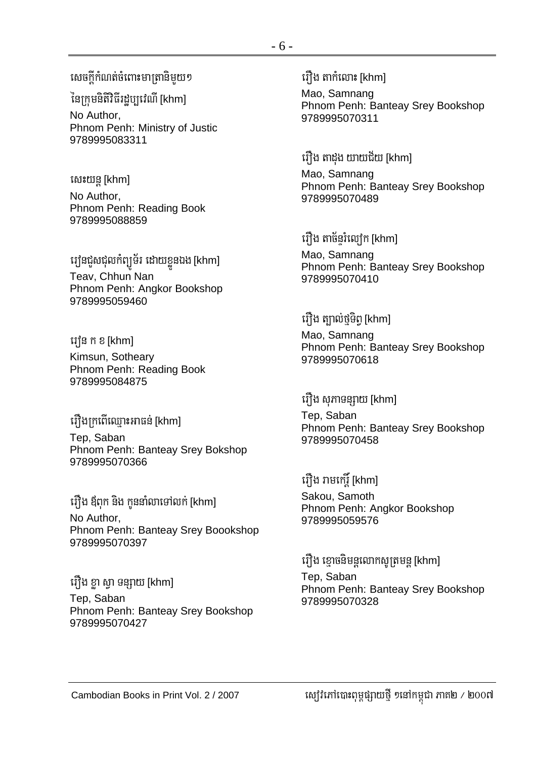សេចក្តីកំណត់ចំពោះមាត្រានិមយ១

នៃក្រមនិតិវិធីរដប្បវេណី [khm]

No Author. Phnom Penh: Ministry of Justic 9789995083311

សេះយន្ត[khm] No Author, Phnom Penh: Reading Book 9789995088859

វេវុនជួសជុលកំព្យូទ័រ ដោយខ្លួនឯង [khm] Teav, Chhun Nan Phnom Penh: Angkor Bookshop 9789995059460

រៅទេ ក ខ [khm] Kimsun, Sotheary Phnom Penh: Reading Book 9789995084875

## រឿងក្រពើឈ្មោះអាធន់ [khm]

Tep, Saban Phnom Penh: Banteay Srey Bokshop 9789995070366

រឿង ឪពុក និង កូននាំលាទៅលក់ [khm] No Author. Phnom Penh: Banteay Srey Boookshop 9789995070397

រឿង ខា ស្ថា ទន្សាយ [khm] Tep, Saban Phnom Penh: Banteay Srey Bookshop 9789995070427

រឿង តាកំលោះ [khm]

Mao. Samnang Phnom Penh: Banteay Srey Bookshop 9789995070311

#### រឿង តាដូង យាយជ័យ [khm]

Mao, Samnang Phnom Penh: Banteay Srey Bookshop 9789995070489

រឿង តាច័នរំល្យេក [khm]

Mao, Samnang Phnom Penh: Banteay Srey Bookshop 9789995070410

រឿង ត្បាល់ថ្មិទិព្ទ [khm] Mao, Samnang Phnom Penh: Banteay Srey Bookshop 9789995070618

រឿង សុភាទន្សាយ [khm] Tep, Saban Phnom Penh: Banteay Srey Bookshop 9789995070458

រឿង រាមកេរ្តិ៍ [khm] Sakou, Samoth Phnom Penh: Angkor Bookshop 9789995059576

រឿង ខ្មោចនិមន្តលោកសូត្រមន្ត [khm] Tep, Saban Phnom Penh: Banteay Srey Bookshop 9789995070328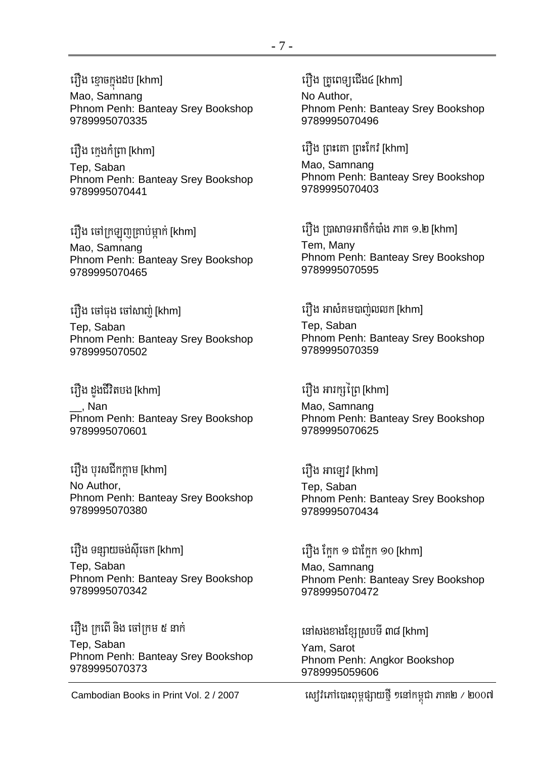#### រឿង ខ្មោចក្នុងដប [khm]

Mao, Samnang Phnom Penh: Banteay Srey Bookshop 9789995070335

រឿង ក្មេងកំព្រា [khm] Tep, Saban

Phnom Penh: Banteay Srey Bookshop 9789995070441

រឿង ចៅក្រឡូញគ្រាប់ម្នាក់ [khm]

Mao, Samnang Phnom Penh: Banteay Srey Bookshop 9789995070465

#### រឿង ចៅធុង ចៅសាញ់ [khm]

Tep, Saban Phnom Penh: Banteay Srey Bookshop 9789995070502

#### ព្យឹង ដួងជីវិតបង [khm]

\_\_, Nan Phnom Penh: Banteay Srey Bookshop 9789995070601

#### រឿង បុរសជីកកាម [khm]

No Author, Phnom Penh: Banteay Srey Bookshop 9789995070380

រឿង ទន្សាយចង់ស៊ីចេក [khm] Tep, Saban Phnom Penh: Banteay Srey Bookshop 9789995070342

រឿង ក្រពើ និង ចៅក្រម ៥ នាក់ Tep, Saban Phnom Penh: Banteay Srey Bookshop 9789995070373

#### រើវ៉ាង ត្រពេទ្យជើង៤ [khm]

No Author, Phnom Penh: Banteay Srey Bookshop 9789995070496

#### រឿង ព្រះគោ ព្រះកែវ [khm]

Mao, Samnang Phnom Penh: Banteay Srey Bookshop 9789995070403

រើ្យឹង ប្រាសាទអាថឹកំបាំង ភាគ ១.២ [khm]

Tem, Many Phnom Penh: Banteay Srey Bookshop 9789995070595

#### រើ្យឹង អាសំគមបាញ់លលក [khm]

Tep, Saban Phnom Penh: Banteay Srey Bookshop 9789995070359

#### បឿង អារក្សព្រៃ [khm]

Mao, Samnang Phnom Penh: Banteay Srey Bookshop 9789995070625

#### រឿង អាឡៅ [khm]

Tep, Saban Phnom Penh: Banteay Srey Bookshop 9789995070434

#### រឿង ក្រែក ១ ជាក្រែក ១០ [khm]

Mao, Samnang Phnom Penh: Banteay Srey Bookshop 9789995070472

#### នៅសងខាងខ្សែស្របទី ៣៨ [khm] Yam, Sarot Phnom Penh: Angkor Bookshop 9789995059606

Cambodian Books in Print Vol. 2 / 2007 ស្យ៊ីវិភៅបោះពុម្ពផ្សាយថ្មី ១នៅកម្ពុជា ភាគ២ / ២០០៧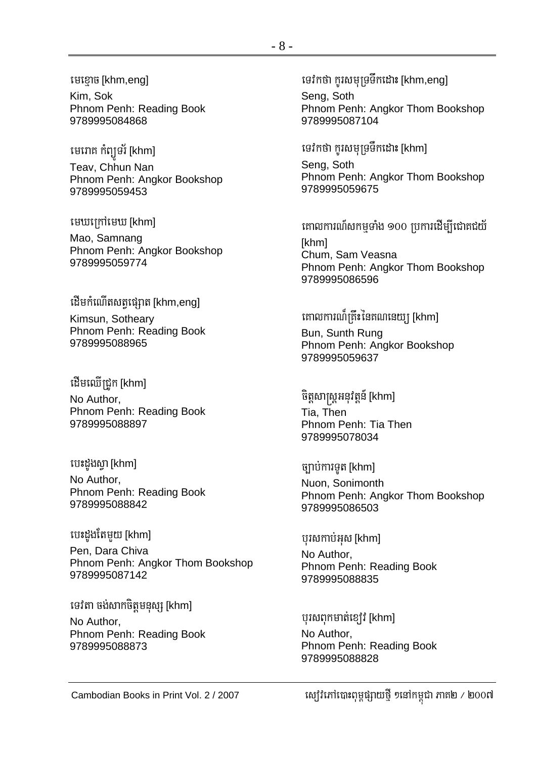#### មេខោច [khm,eng]

Kim, Sok Phnom Penh: Reading Book 9789995084868

មេរោគ កំព្យូទវ័ [khm] Teav. Chhun Nan Phnom Penh: Angkor Bookshop 9789995059453

មេឃក្រៅមេឃ [khm]

Mao, Samnang Phnom Penh: Angkor Bookshop 9789995059774

#### ដើមកំណើតសត្សផ្សាត [khm,eng]

Kimsun, Sotheary Phnom Penh: Reading Book 9789995088965

ដើមឈើជ្រូក [khm]

No Author. Phnom Penh: Reading Book 9789995088897

បេះដួងស្វា [khm]

No Author. Phnom Penh: Reading Book 9789995088842

#### បេះដូងតែមួយ [khm]

Pen. Dara Chiva Phnom Penh: Angkor Thom Bookshop 9789995087142

#### ទេវតា ចង់សាកចិត្តមនុស្ស [khm]

No Author, Phnom Penh: Reading Book 9789995088873

ទេវកថា ករសមទ្រទឹកដោះ [khm,eng]

Seng, Soth Phnom Penh: Angkor Thom Bookshop 9789995087104

ទេវកថា កូរសមុទ្រទឹកដោះ [khm]

Seng, Soth Phnom Penh: Angkor Thom Bookshop 9789995059675

គោលការណ៍សកម្មទាំង ១០០ ប្រការដើម្បីជោគជយ័ **Ikhml** Chum, Sam Veasna

Phnom Penh: Angkor Thom Bookshop 9789995086596

#### គោលការណ៏ត្រឹះនៃគណនេយ្យ [khm]

Bun, Sunth Rung Phnom Penh: Angkor Bookshop 9789995059637

ចិត្តសាស្ត្រអនុវត្តន៍ [khm]

Tia. Then Phnom Penh: Tia Then 9789995078034

ច្បាប់ការទូត [khm]

Nuon, Sonimonth Phnom Penh: Angkor Thom Bookshop 9789995086503

#### ឬរសកាប់អុស [khm]

No Author, Phnom Penh: Reading Book 9789995088835

#### ឬរសពុកមាត់ខ្យៅ [khm]

No Author, Phnom Penh: Reading Book 9789995088828

ស្យេវិភៅបោះពុម្ពផ្សាយថ្មី ១នៅកម្ពុជា ភាគ២ / ២០០៧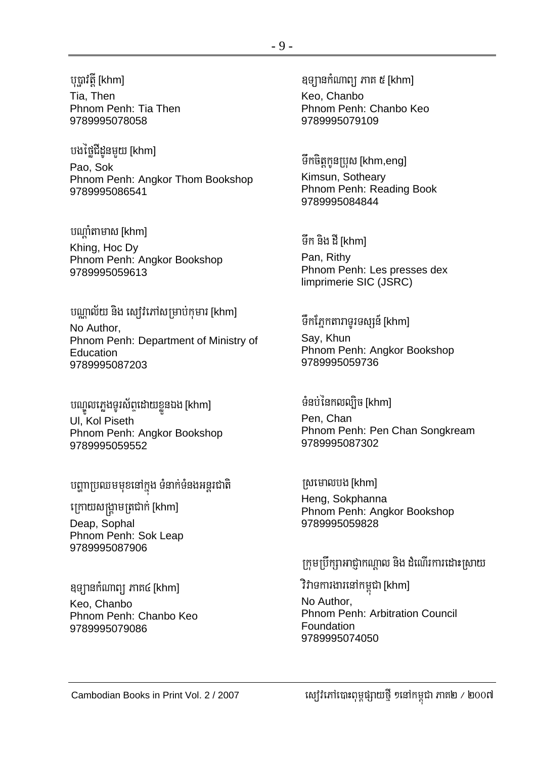#### បុប្ផាវិត្តិ [khm]

Tia, Then Phnom Penh: Tia Then 9789995078058

បងថៃជីដូនមយ [khm] Pao. Sok Phnom Penh: Angkor Thom Bookshop 9789995086541

បណាំតាមាស [khm]

Khing, Hoc Dy Phnom Penh: Angkor Bookshop 9789995059613

#### បណ្ឌល័យ និង ស្យេវៃភៅសម្រាប់កុមារ [khm]

No Author. Phnom Penh: Department of Ministry of Education 9789995087203

បណ្ឌលភ្លេងទូរស័ព្ទដោយខ្លួនឯង [khm] UI, Kol Piseth Phnom Penh: Angkor Bookshop 9789995059552

បញ្ហាប្រឈមមុខនៅក្នុង ទំនាក់ទំនងអន្តរជាតិ

ក្រោយសង្គ្រាមត្រជាក់ [khm]

Deap, Sophal Phnom Penh: Sok Leap 9789995087906

ខុទ្យានកំណាព្យ ភាគ៤ [khm] Keo, Chanbo Phnom Penh: Chanbo Keo 9789995079086

ឧទ្យានកំណាព្យ ភាគ ៥ [khm] Keo, Chanbo Phnom Penh: Chanbo Keo 9789995079109

ទឹកចិត្តកូនប្រុស [khm,eng] Kimsun, Sotheary Phnom Penh: Reading Book 9789995084844

ទឹក និង ដី [khm] Pan, Rithy Phnom Penh: Les presses dex limprimerie SIC (JSRC)

#### ទឹកភ្នែកតារាទូរទស្សន៍ [khm]

Say, Khun Phnom Penh: Angkor Bookshop 9789995059736

#### ទំនប់នៃកលល្បិច [khm]

Pen, Chan Phnom Penh: Pen Chan Songkream 9789995087302

ស្រមោលបង [khm] Heng, Sokphanna Phnom Penh: Angkor Bookshop 9789995059828

#### ក្រុមប្រឹក្សាអាជ្ញាកណ្តាល និង ដំណើរការដោះស្រាយ

#### វិវាទការងារនៅកម្ពុជា [khm]

No Author. Phnom Penh: Arbitration Council Foundation 9789995074050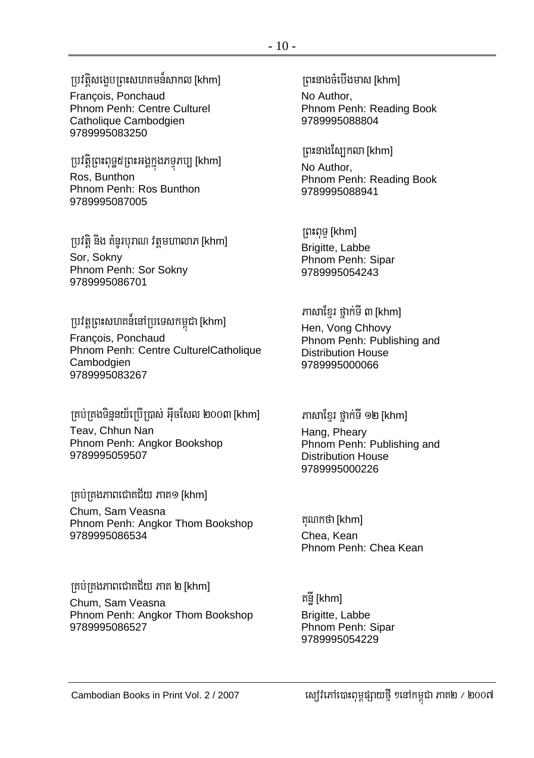#### ប្រវតិសងេបព្រះសហគមន៍សាកល [khm] François, Ponchaud Phnom Penh: Centre Culturel

Catholique Cambodgien 9789995083250

ប្រវត្តិព្រះពុទ្ធ៥ព្រះអង្គក្នុងភទ្ទភប្បុ [khm] Ros, Bunthon Phnom Penh: Ros Bunthon 9789995087005

ប្រវត្តិ និង គំនូរបុរាណ វត្តមហាលាភ [khm] Sor, Sokny Phnom Penh: Sor Sokny 9789995086701

ប្រវត្តព្រះសហគន៏នៅប្រទេសកម្ពុជា [khm] François, Ponchaud Phnom Penh: Centre CulturelCatholique Cambodgien

គ្រប់គ្រងទិន្ននយ័ក្រើប្រាស់ អ៊ីចសែល ២០០៣ [khm] Teav, Chhun Nan Phnom Penh: Angkor Bookshop 9789995059507

ក្រប់គ្រងភាពជោគជ័យ ភាគ១ [khm]

9789995083267

Chum, Sam Veasna Phnom Penh: Angkor Thom Bookshop 9789995086534

គ្រប់គ្រងភាពជោគជ័យ ភាគ ២ [khm] Chum, Sam Veasna Phnom Penh: Angkor Thom Bookshop 9789995086527

 $m$ នាងចំបើងមាស [khm]

No Author, Phnom Penh: Reading Book 9789995088804

 $f$ ពះនាងស្បែកលា [khm]

No Author, Phnom Penh: Reading Book 9789995088941

RBHBuTÞ [khm] Brigitte, Labbe Phnom Penh: Sipar 9789995054243

ភាសាខែរ ថាក់ទី ៣ [khm] Hen, Vong Chhovy Phnom Penh: Publishing and Distribution House 9789995000066

 $m$ សាខែ្មរ ថ្នាក់ទី ១២ [khm]

Hang, Pheary Phnom Penh: Publishing and Distribution House 9789995000226

កុណកថា [khm] Chea, Kean Phnom Penh: Chea Kean

គនី [khm] Brigitte, Labbe Phnom Penh: Sipar 9789995054229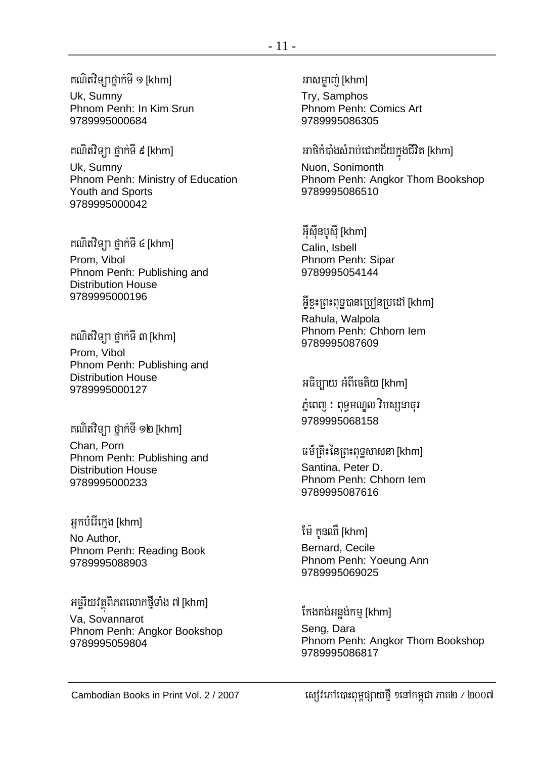#### គណិតវិទ្យាថ្នាក់ទី ១ [khm]

Uk, Sumny Phnom Penh: In Kim Srun 9789995000684

គណិតវិទ្យា ថ្នាក់ទី ៩ [khm] Uk, Sumny Phnom Penh: Ministry of Education Youth and Sports 9789995000042

គណិតវិទ្យា ថ្នាក់ទី ៤ [khm] Prom. Vibol Phnom Penh: Publishing and **Distribution House** 9789995000196

គណិតវិទ្យា ថ្នាក់ទី ៣ [khm] Prom, Vibol Phnom Penh: Publishing and **Distribution House** 9789995000127

គណិតវិទ្យា ថ្នាក់ទី ១២ [khm] Chan, Porn Phnom Penh: Publishing and **Distribution House** 9789995000233

#### អ្នកបំរើក្រេង [khm]

No Author. Phnom Penh: Reading Book 9789995088903

អច្ឆរិយវត្ថុពិភពលោកថ្មីទាំង ៧ [khm] Va, Sovannarot Phnom Penh: Angkor Bookshop 9789995059804

Try, Samphos Phnom Penh: Comics Art 9789995086305

### អាថិកំបាំងសំរាប់ជោគជ័យក្នុងជីវិត [khm]

Nuon. Sonimonth Phnom Penh: Angkor Thom Bookshop 9789995086510

អ៊ីស៊ីនបសី [khm] Calin. Isbell Phnom Penh: Sipar 9789995054144

អ៊ីខះព្រះពុទបានប្រៅនប្រដៅ [khm] Rahula, Walpola Phnom Penh: Chhorn lem 9789995087609

#### អធិប្បាយ អំពីចេតិយ [khm]

ភ្នំពេញ : ពុទ្ធមណ្ឌល វិបស្សនាធុរ 9789995068158

#### ធម៍ត្រិះនៃព្រះពុទ្ធសាសនា [khm] Santina. Peter D. Phnom Penh: Chhorn lem 9789995087616

#### ម៉ៃ កូនឈឺ [khm]

Bernard, Cecile Phnom Penh: Yoeung Ann 9789995069025

កែងគង់អន្លង់កម្ [khm] Seng, Dara Phnom Penh: Angkor Thom Bookshop 9789995086817

ស្យេវិភៅបោះពុម្ពផ្សាយថ្មី ១នៅកម្ពុជា ភាគ២ / ២០០៧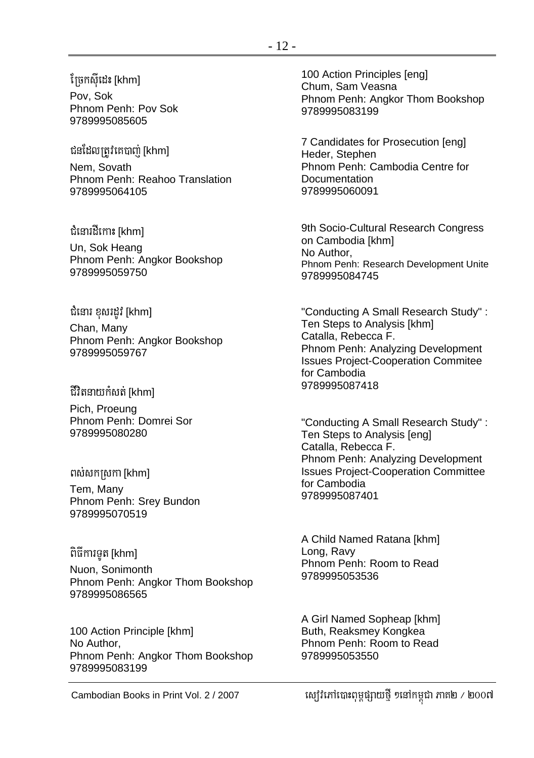#### ព្រែកសីដេះ [khm]

Pov, Sok Phnom Penh: Pov Sok 9789995085605

ជនដែលត្រូវគេបា៣ [khm] Nem, Sovath Phnom Penh: Reahoo Translation 9789995064105

ជំនោរដីកោះ [khm]

Un, Sok Heang Phnom Penh: Angkor Bookshop 9789995059750

ជំនោរ ខុសរដូវ [khm] Chan, Many Phnom Penh: Angkor Bookshop 9789995059767

ជីវិតនាយកំសត់ [khm]

Pich, Proeung Phnom Penh: Domrei Sor 9789995080280

ពស់សកស្រកា [khm] Tem, Many Phnom Penh: Srey Bundon 9789995070519

ពិធីការទូត [khm]

Nuon, Sonimonth Phnom Penh: Angkor Thom Bookshop 9789995086565

100 Action Principle [khm] No Author, Phnom Penh: Angkor Thom Bookshop 9789995083199

100 Action Principles [eng] Chum, Sam Veasna Phnom Penh: Angkor Thom Bookshop 9789995083199

7 Candidates for Prosecution [eng] Heder, Stephen Phnom Penh: Cambodia Centre for Documentation 9789995060091

9th Socio-Cultural Research Congress on Cambodia [khm] No Author, Phnom Penh: Research Development Unite 9789995084745

"Conducting A Small Research Study" : Ten Steps to Analysis [khm] Catalla, Rebecca F. Phnom Penh: Analyzing Development Issues Project-Cooperation Commitee for Cambodia 9789995087418

"Conducting A Small Research Study" : Ten Steps to Analysis [eng] Catalla, Rebecca F. Phnom Penh: Analyzing Development Issues Project-Cooperation Committee for Cambodia 9789995087401

A Child Named Ratana [khm] Long, Ravy Phnom Penh: Room to Read 9789995053536

A Girl Named Sopheap [khm] Buth, Reaksmey Kongkea Phnom Penh: Room to Read 9789995053550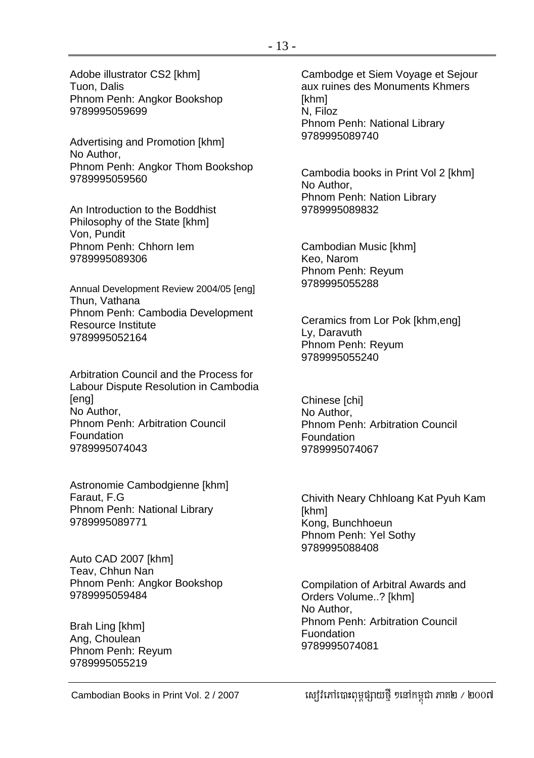Adobe illustrator CS2 [khm] Tuon, Dalis Phnom Penh: Angkor Bookshop 9789995059699

Advertising and Promotion [khm] No Author, Phnom Penh: Angkor Thom Bookshop 9789995059560

An Introduction to the Boddhist Philosophy of the State [khm] Von, Pundit Phnom Penh: Chhorn Iem 9789995089306

Annual Development Review 2004/05 [eng] Thun, Vathana Phnom Penh: Cambodia Development Resource Institute 9789995052164

Arbitration Council and the Process for Labour Dispute Resolution in Cambodia **[**eng] No Author, Phnom Penh: Arbitration Council Foundation 9789995074043

Astronomie Cambodgienne [khm] Faraut, F.G Phnom Penh: National Library 9789995089771

Auto CAD 2007 [khm] Teav, Chhun Nan Phnom Penh: Angkor Bookshop 9789995059484

Brah Ling [khm] Ang, Choulean Phnom Penh: Reyum 9789995055219

Cambodge et Siem Voyage et Sejour aux ruines des Monuments Khmers [khm] N, Filoz Phnom Penh: National Library 9789995089740

Cambodia books in Print Vol 2 [khm] No Author, Phnom Penh: Nation Library 9789995089832

Cambodian Music [khm] Keo, Narom Phnom Penh: Reyum 9789995055288

Ceramics from Lor Pok [khm,eng] Ly, Daravuth Phnom Penh: Reyum 9789995055240

Chinese [chi] No Author, Phnom Penh: Arbitration Council Foundation 9789995074067

Chivith Neary Chhloang Kat Pyuh Kam [khm] Kong, Bunchhoeun Phnom Penh: Yel Sothy 9789995088408

Compilation of Arbitral Awards and Orders Volume..? [khm] No Author, Phnom Penh: Arbitration Council Fuondation 9789995074081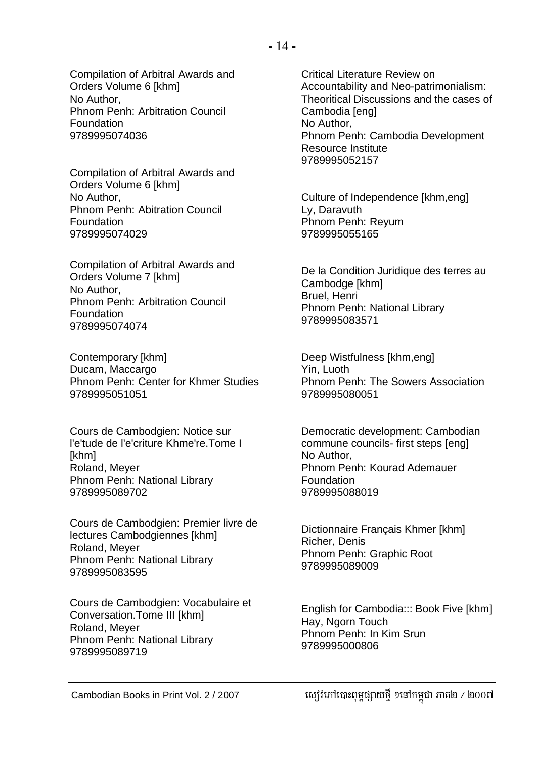Compilation of Arbitral Awards and Orders Volume 6 [khm] No Author, Phnom Penh: Arbitration Council Foundation 9789995074036

Compilation of Arbitral Awards and Orders Volume 6 [khm] No Author, Phnom Penh: Abitration Council Foundation 9789995074029

Compilation of Arbitral Awards and Orders Volume 7 [khm] No Author, Phnom Penh: Arbitration Council Foundation 9789995074074

Contemporary [khm] Ducam, Maccargo Phnom Penh: Center for Khmer Studies 9789995051051

Cours de Cambodgien: Notice sur l'e'tude de l'e'criture Khme're.Tome I [khm] Roland, Meyer Phnom Penh: National Library 9789995089702

Cours de Cambodgien: Premier livre de lectures Cambodgiennes [khm] Roland, Meyer Phnom Penh: National Library 9789995083595

Cours de Cambodgien: Vocabulaire et Conversation.Tome III [khm] Roland, Meyer Phnom Penh: National Library 9789995089719

Critical Literature Review on Accountability and Neo-patrimonialism: Theoritical Discussions and the cases of Cambodia [eng] No Author, Phnom Penh: Cambodia Development Resource Institute 9789995052157

Culture of Independence [khm,eng] Ly, Daravuth Phnom Penh: Reyum 9789995055165

De la Condition Juridique des terres au Cambodge [khm] Bruel, Henri Phnom Penh: National Library 9789995083571

Deep Wistfulness [khm,eng] Yin, Luoth Phnom Penh: The Sowers Association 9789995080051

Democratic development: Cambodian commune councils- first steps [eng] No Author, Phnom Penh: Kourad Ademauer Foundation 9789995088019

Dictionnaire Français Khmer [khm] Richer, Denis Phnom Penh: Graphic Root 9789995089009

English for Cambodia::: Book Five [khm] Hay, Ngorn Touch Phnom Penh: In Kim Srun 9789995000806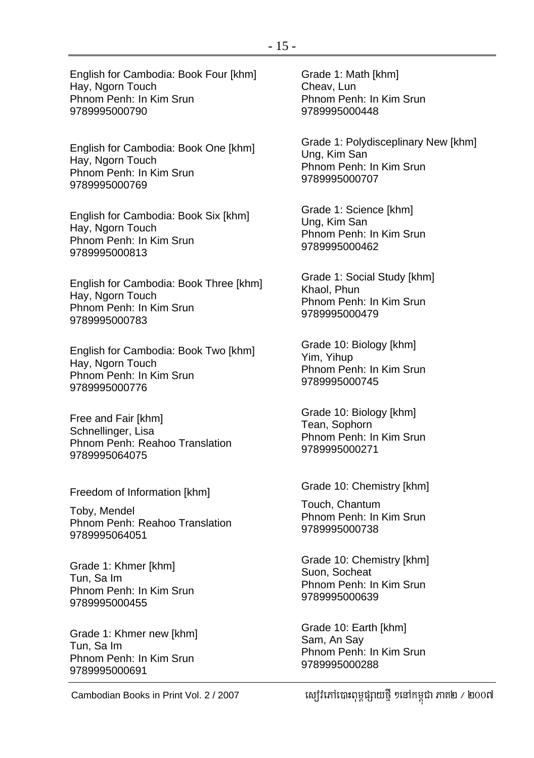English for Cambodia: Book Four [khm] Hay, Ngorn Touch Phnom Penh: In Kim Srun 9789995000790

English for Cambodia: Book One [khm] Hay, Ngorn Touch Phnom Penh: In Kim Srun 9789995000769

English for Cambodia: Book Six [khm] Hay, Ngorn Touch Phnom Penh: In Kim Srun 9789995000813

English for Cambodia: Book Three [khm] Hay, Ngorn Touch Phnom Penh: In Kim Srun 9789995000783

English for Cambodia: Book Two [khm] Hay, Ngorn Touch Phnom Penh: In Kim Srun 9789995000776

Free and Fair [khm] Schnellinger, Lisa Phnom Penh: Reahoo Translation 9789995064075

Freedom of Information [khm]

Toby, Mendel Phnom Penh: Reahoo Translation 9789995064051

Grade 1: Khmer [khm] Tun, Sa Im Phnom Penh: In Kim Srun 9789995000455

Grade 1: Khmer new [khm] Tun, Sa Im Phnom Penh: In Kim Srun 9789995000691

Grade 1: Math [khm] Cheav, Lun Phnom Penh: In Kim Srun 9789995000448

Grade 1: Polydisceplinary New [khm] Ung, Kim San Phnom Penh: In Kim Srun 9789995000707

Grade 1: Science [khm] Ung, Kim San Phnom Penh: In Kim Srun 9789995000462

Grade 1: Social Study [khm] Khaol, Phun Phnom Penh: In Kim Srun 9789995000479

Grade 10: Biology [khm] Yim, Yihup Phnom Penh: In Kim Srun 9789995000745

Grade 10: Biology [khm] Tean, Sophorn Phnom Penh: In Kim Srun 9789995000271

Grade 10: Chemistry [khm]

Touch, Chantum Phnom Penh: In Kim Srun 9789995000738

Grade 10: Chemistry [khm] Suon, Socheat Phnom Penh: In Kim Srun 9789995000639

Grade 10: Earth [khm] Sam, An Say Phnom Penh: In Kim Srun 9789995000288

Cambodian Books in Print Vol. 2 / 2007 ស្យ៊ូវិភៅបោះពុម្ពផ្សាយថ្មី ១នៅកម្ពុជា ភាគ២ / ២០០៧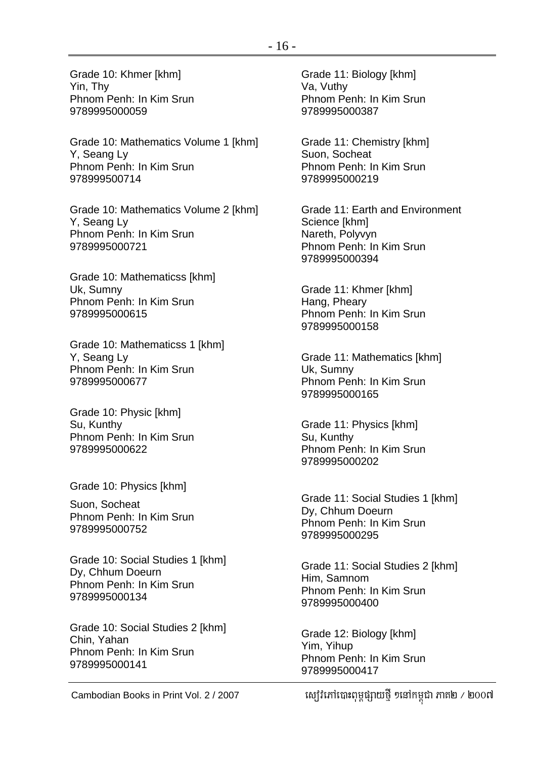Grade 10: Mathematics Volume 1 [khm] Y, Seang Ly Phnom Penh: In Kim Srun 978999500714

Grade 10: Mathematics Volume 2 [khm] Y, Seang Ly Phnom Penh: In Kim Srun 9789995000721

Grade 10: Mathematicss [khm] Uk, Sumny Phnom Penh: In Kim Srun 9789995000615

Grade 10: Mathematicss 1 [khm] Y, Seang Ly Phnom Penh: In Kim Srun 9789995000677

Grade 10: Physic [khm] Su, Kunthy Phnom Penh: In Kim Srun 9789995000622

Grade 10: Physics [khm]

Suon, Socheat Phnom Penh: In Kim Srun 9789995000752

Grade 10: Social Studies 1 [khm] Dy, Chhum Doeurn Phnom Penh: In Kim Srun 9789995000134

Grade 10: Social Studies 2 [khm] Chin, Yahan Phnom Penh: In Kim Srun 9789995000141

Grade 11: Biology [khm] Va, Vuthy Phnom Penh: In Kim Srun 9789995000387

Grade 11: Chemistry [khm] Suon, Socheat Phnom Penh: In Kim Srun 9789995000219

Grade 11: Earth and Environment Science [khm] Nareth, Polyvyn Phnom Penh: In Kim Srun 9789995000394

Grade 11: Khmer [khm] Hang, Pheary Phnom Penh: In Kim Srun 9789995000158

Grade 11: Mathematics [khm] Uk, Sumny Phnom Penh: In Kim Srun 9789995000165

Grade 11: Physics [khm] Su, Kunthy Phnom Penh: In Kim Srun 9789995000202

Grade 11: Social Studies 1 [khm] Dy, Chhum Doeurn Phnom Penh: In Kim Srun 9789995000295

Grade 11: Social Studies 2 [khm] Him, Samnom Phnom Penh: In Kim Srun 9789995000400

Grade 12: Biology [khm] Yim, Yihup Phnom Penh: In Kim Srun 9789995000417

Cambodian Books in Print Vol. 2 / 2007 ស្យ៊ូវិភៅបោះពុម្ពផ្សាយថ្មី ១នៅកម្ពុជា ភាគ២ / ២០០៧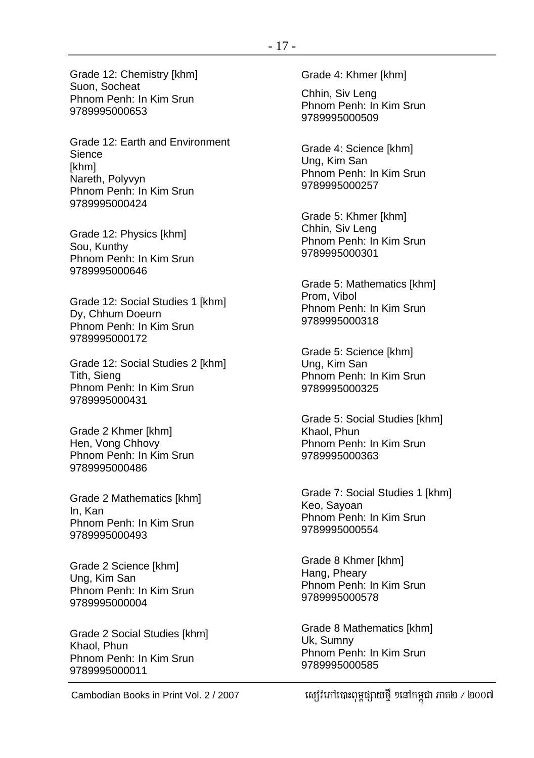Grade 12: Chemistry [khm] Suon, Socheat Phnom Penh: In Kim Srun 9789995000653

Grade 12: Earth and Environment Sience [khm] Nareth, Polyvyn Phnom Penh: In Kim Srun 9789995000424

Grade 12: Physics [khm] Sou, Kunthy Phnom Penh: In Kim Srun 9789995000646

Grade 12: Social Studies 1 [khm] Dy, Chhum Doeurn Phnom Penh: In Kim Srun 9789995000172

Grade 12: Social Studies 2 [khm] Tith, Sieng Phnom Penh: In Kim Srun 9789995000431

Grade 2 Khmer [khm] Hen, Vong Chhovy Phnom Penh: In Kim Srun 9789995000486

Grade 2 Mathematics [khm] In, Kan Phnom Penh: In Kim Srun 9789995000493

Grade 2 Science [khm] Ung, Kim San Phnom Penh: In Kim Srun 9789995000004

Grade 2 Social Studies [khm] Khaol, Phun Phnom Penh: In Kim Srun 9789995000011

Grade 4: Khmer [khm]

Chhin, Siv Leng Phnom Penh: In Kim Srun 9789995000509

Grade 4: Science [khm] Ung, Kim San Phnom Penh: In Kim Srun 9789995000257

Grade 5: Khmer [khm] Chhin, Siv Leng Phnom Penh: In Kim Srun 9789995000301

Grade 5: Mathematics [khm] Prom, Vibol Phnom Penh: In Kim Srun 9789995000318

Grade 5: Science [khm] Ung, Kim San Phnom Penh: In Kim Srun 9789995000325

Grade 5: Social Studies [khm] Khaol, Phun Phnom Penh: In Kim Srun 9789995000363

Grade 7: Social Studies 1 [khm] Keo, Sayoan Phnom Penh: In Kim Srun 9789995000554

Grade 8 Khmer [khm] Hang, Pheary Phnom Penh: In Kim Srun 9789995000578

Grade 8 Mathematics [khm] Uk, Sumny Phnom Penh: In Kim Srun 9789995000585

Cambodian Books in Print Vol. 2 / 2007 ស្យ៊ូវិភៅបោះពុម្ពផ្សាយថ្មី ១នៅកម្ពុជា ភាគ២ / ២០០៧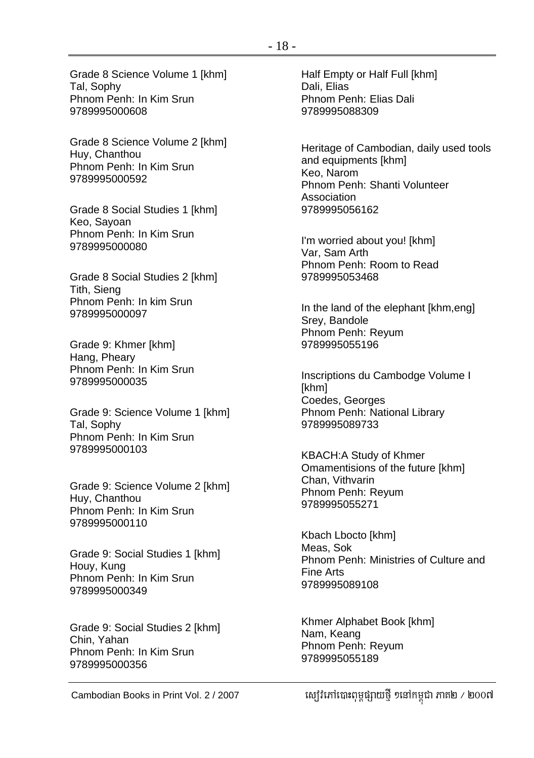Grade 8 Science Volume 1 [khm] Tal, Sophy Phnom Penh: In Kim Srun 9789995000608

Grade 8 Science Volume 2 [khm] Huy, Chanthou Phnom Penh: In Kim Srun 9789995000592

Grade 8 Social Studies 1 [khm] Keo, Sayoan Phnom Penh: In Kim Srun 9789995000080

Grade 8 Social Studies 2 [khm] Tith, Sieng Phnom Penh: In kim Srun 9789995000097

Grade 9: Khmer [khm] Hang, Pheary Phnom Penh: In Kim Srun 9789995000035

Grade 9: Science Volume 1 [khm] Tal, Sophy Phnom Penh: In Kim Srun 9789995000103

Grade 9: Science Volume 2 [khm] Huy, Chanthou Phnom Penh: In Kim Srun 9789995000110

Grade 9: Social Studies 1 [khm] Houy, Kung Phnom Penh: In Kim Srun 9789995000349

Grade 9: Social Studies 2 [khm] Chin, Yahan Phnom Penh: In Kim Srun 9789995000356

Half Empty or Half Full [khm] Dali, Elias Phnom Penh: Elias Dali 9789995088309

Heritage of Cambodian, daily used tools and equipments [khm] Keo, Narom Phnom Penh: Shanti Volunteer Association 9789995056162

I'm worried about you! [khm] Var, Sam Arth Phnom Penh: Room to Read 9789995053468

In the land of the elephant [khm,eng] Srey, Bandole Phnom Penh: Reyum 9789995055196

Inscriptions du Cambodge Volume I [khm] Coedes, Georges Phnom Penh: National Library 9789995089733

KBACH:A Study of Khmer Omamentisions of the future [khm] Chan, Vithvarin Phnom Penh: Reyum 9789995055271

Kbach Lbocto [khm] Meas, Sok Phnom Penh: Ministries of Culture and Fine Arts 9789995089108

Khmer Alphabet Book [khm] Nam, Keang Phnom Penh: Reyum 9789995055189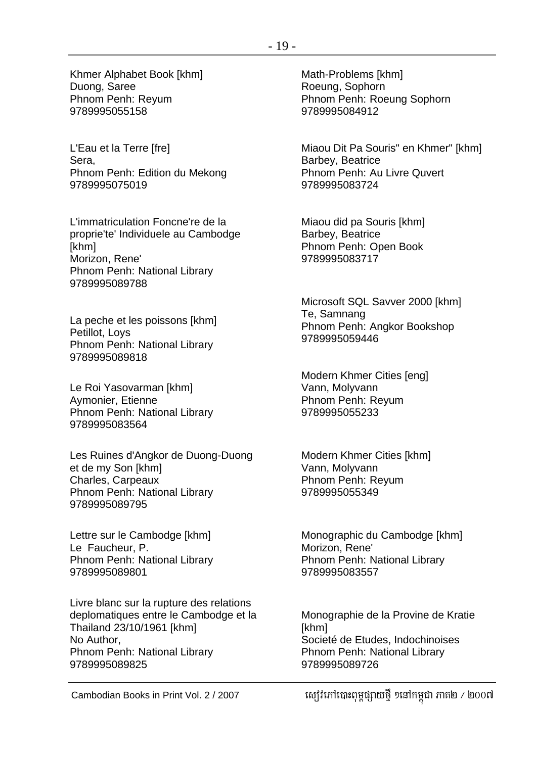Khmer Alphabet Book [khm] Duong, Saree Phnom Penh: Reyum 9789995055158

L'Eau et la Terre [fre] Sera, Phnom Penh: Edition du Mekong 9789995075019

L'immatriculation Foncne're de la proprie'te' Individuele au Cambodge [khm] Morizon, Rene' Phnom Penh: National Library 9789995089788

La peche et les poissons [khm] Petillot, Loys Phnom Penh: National Library 9789995089818

Le Roi Yasovarman [khm] Aymonier, Etienne Phnom Penh: National Library 9789995083564

Les Ruines d'Angkor de Duong-Duong et de my Son [khm] Charles, Carpeaux Phnom Penh: National Library 9789995089795

Lettre sur le Cambodge [khm] Le Faucheur, P. Phnom Penh: National Library 9789995089801

Livre blanc sur la rupture des relations deplomatiques entre le Cambodge et la Thailand 23/10/1961 [khm] No Author, Phnom Penh: National Library 9789995089825

Math-Problems [khm] Roeung, Sophorn Phnom Penh: Roeung Sophorn 9789995084912

Miaou Dit Pa Souris" en Khmer" [khm] Barbey, Beatrice Phnom Penh: Au Livre Quvert 9789995083724

Miaou did pa Souris [khm] Barbey, Beatrice Phnom Penh: Open Book 9789995083717

Microsoft SQL Savver 2000 [khm] Te, Samnang Phnom Penh: Angkor Bookshop 9789995059446

Modern Khmer Cities [eng] Vann, Molyvann Phnom Penh: Reyum 9789995055233

Modern Khmer Cities [khm] Vann, Molyvann Phnom Penh: Reyum 9789995055349

Monographic du Cambodge [khm] Morizon, Rene' Phnom Penh: National Library 9789995083557

Monographie de la Provine de Kratie [khm] Societé de Etudes, Indochinoises Phnom Penh: National Library 9789995089726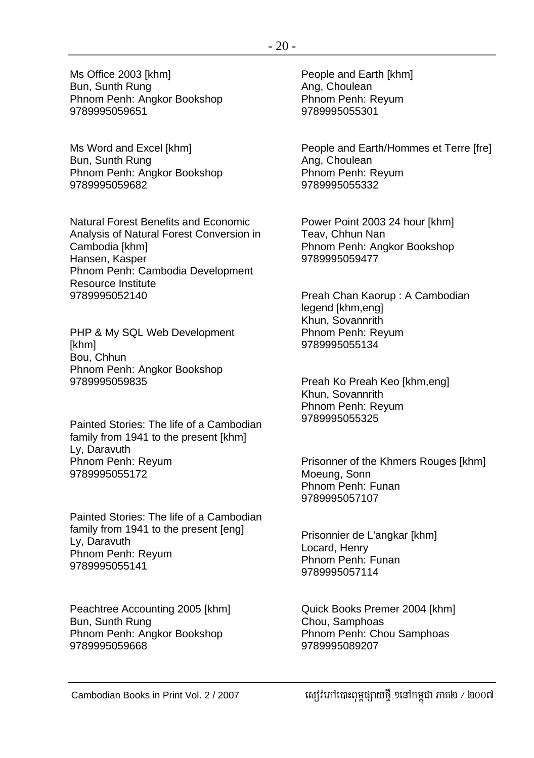Ms Office 2003 [khm] Bun, Sunth Rung Phnom Penh: Angkor Bookshop 9789995059651

Ms Word and Excel [khm] Bun, Sunth Rung Phnom Penh: Angkor Bookshop 9789995059682

Natural Forest Benefits and Economic Analysis of Natural Forest Conversion in Cambodia [khm] Hansen, Kasper Phnom Penh: Cambodia Development Resource Institute 9789995052140

PHP & My SQL Web Development [khm] Bou, Chhun Phnom Penh: Angkor Bookshop 9789995059835

Painted Stories: The life of a Cambodian family from 1941 to the present [khm] Ly, Daravuth Phnom Penh: Reyum 9789995055172

Painted Stories: The life of a Cambodian family from 1941 to the present [eng] Ly, Daravuth Phnom Penh: Reyum 9789995055141

Peachtree Accounting 2005 [khm] Bun, Sunth Rung Phnom Penh: Angkor Bookshop 9789995059668

People and Earth [khm] Ang, Choulean Phnom Penh: Reyum 9789995055301

People and Earth/Hommes et Terre [fre] Ang, Choulean Phnom Penh: Reyum 9789995055332

Power Point 2003 24 hour [khm] Teav, Chhun Nan Phnom Penh: Angkor Bookshop 9789995059477

Preah Chan Kaorup : A Cambodian legend [khm,eng] Khun, Sovannrith Phnom Penh: Reyum 9789995055134

Preah Ko Preah Keo [khm,eng] Khun, Sovannrith Phnom Penh: Reyum 9789995055325

Prisonner of the Khmers Rouges [khm] Moeung, Sonn Phnom Penh: Funan 9789995057107

Prisonnier de L'angkar [khm] Locard, Henry Phnom Penh: Funan 9789995057114

Quick Books Premer 2004 [khm] Chou, Samphoas Phnom Penh: Chou Samphoas 9789995089207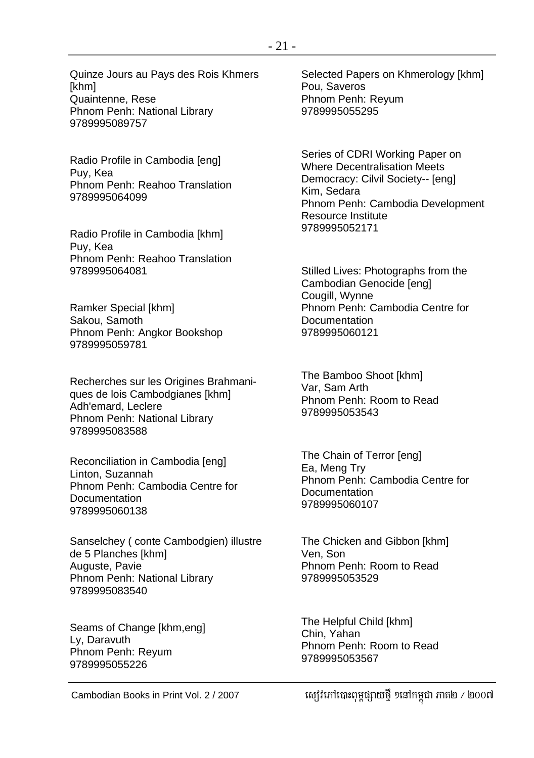Sanselchey ( conte Cambodgien) illustre de 5 Planches [khm] Auguste, Pavie Phnom Penh: National Library 9789995083540

Quinze Jours au Pays des Rois Khmers

Phnom Penh: National Library

Radio Profile in Cambodia [eng]

Phnom Penh: Reahoo Translation

Radio Profile in Cambodia [khm]

Phnom Penh: Reahoo Translation

Phnom Penh: Angkor Bookshop

Phnom Penh: National Library

Reconciliation in Cambodia [eng]

Phnom Penh: Cambodia Centre for

Recherches sur les Origines Brahmaniques de lois Cambodgianes [khm]

[khm]

Puy, Kea

Puy, Kea

Quaintenne, Rese

9789995089757

9789995064099

9789995064081

9789995059781

Adh'emard, Leclere

9789995083588

Linton, Suzannah

Documentation

Ramker Special [khm] Sakou, Samoth

Seams of Change [khm,eng] Ly, Daravuth Phnom Penh: Reyum 9789995055226

Selected Papers on Khmerology [khm] Pou, Saveros Phnom Penh: Reyum 9789995055295

Series of CDRI Working Paper on Where Decentralisation Meets Democracy: Cilvil Society-- [eng] Kim, Sedara Phnom Penh: Cambodia Development Resource Institute 9789995052171

Stilled Lives: Photographs from the Cambodian Genocide [eng] Cougill, Wynne Phnom Penh: Cambodia Centre for **Documentation** 9789995060121

The Bamboo Shoot [khm] Var, Sam Arth Phnom Penh: Room to Read 9789995053543

The Chain of Terror [eng] Ea, Meng Try Phnom Penh: Cambodia Centre for **Documentation** 9789995060107

The Chicken and Gibbon [khm] Ven, Son Phnom Penh: Room to Read 9789995053529

The Helpful Child [khm] Chin, Yahan Phnom Penh: Room to Read 9789995053567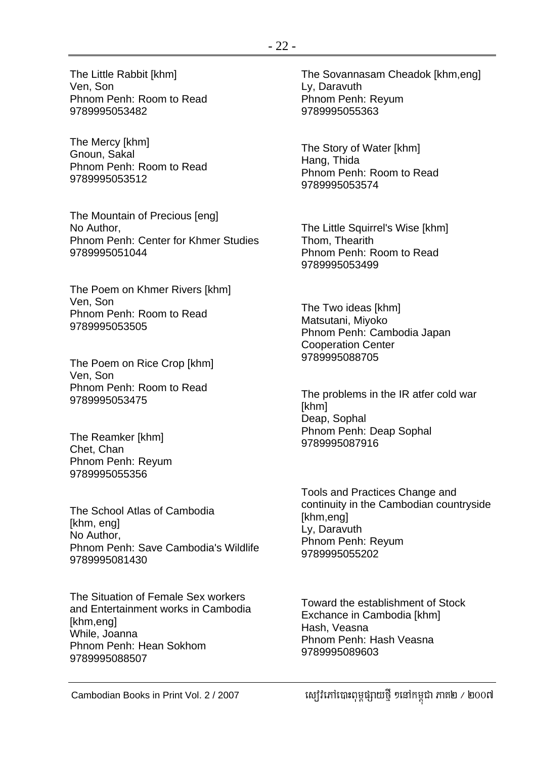The Little Rabbit [khm] Ven, Son Phnom Penh: Room to Read 9789995053482

The Mercy [khm] Gnoun, Sakal Phnom Penh: Room to Read 9789995053512

The Mountain of Precious [eng] No Author, Phnom Penh: Center for Khmer Studies 9789995051044

The Poem on Khmer Rivers [khm] Ven, Son Phnom Penh: Room to Read 9789995053505

The Poem on Rice Crop [khm] Ven, Son Phnom Penh: Room to Read 9789995053475

The Reamker [khm] Chet, Chan Phnom Penh: Reyum 9789995055356

The School Atlas of Cambodia [khm, eng] No Author, Phnom Penh: Save Cambodia's Wildlife 9789995081430

The Situation of Female Sex workers and Entertainment works in Cambodia [khm,eng] While, Joanna Phnom Penh: Hean Sokhom 9789995088507

The Sovannasam Cheadok [khm,eng] Ly, Daravuth Phnom Penh: Reyum 9789995055363

The Story of Water [khm] Hang, Thida Phnom Penh: Room to Read 9789995053574

The Little Squirrel's Wise [khm] Thom, Thearith Phnom Penh: Room to Read 9789995053499

The Two ideas [khm] Matsutani, Miyoko Phnom Penh: Cambodia Japan Cooperation Center 9789995088705

The problems in the IR atfer cold war [khm] Deap, Sophal Phnom Penh: Deap Sophal 9789995087916

Tools and Practices Change and continuity in the Cambodian countryside [khm,eng] Ly, Daravuth Phnom Penh: Reyum 9789995055202

Toward the establishment of Stock Exchance in Cambodia [khm] Hash, Veasna Phnom Penh: Hash Veasna 9789995089603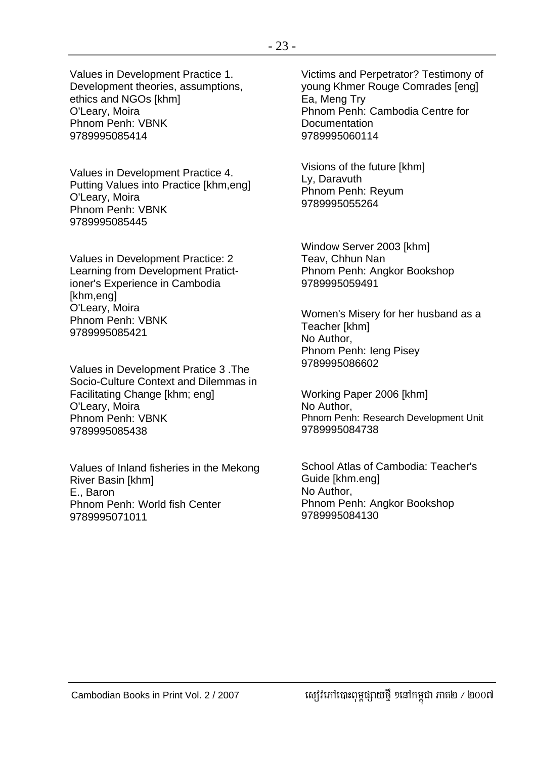Values in Development Practice 1. Development theories, assumptions, ethics and NGOs [khm] O'Leary, Moira Phnom Penh: VBNK 9789995085414

Values in Development Practice 4. Putting Values into Practice [khm,eng] O'Leary, Moira Phnom Penh: VBNK 9789995085445

Values in Development Practice: 2 Learning from Development Pratictioner's Experience in Cambodia [khm,eng] O'Leary, Moira Phnom Penh: VBNK 9789995085421

Values in Development Pratice 3 .The Socio-Culture Context and Dilemmas in Facilitating Change [khm; eng] O'Leary, Moira Phnom Penh: VBNK 9789995085438

Values of Inland fisheries in the Mekong River Basin [khm] E., Baron Phnom Penh: World fish Center 9789995071011

Victims and Perpetrator? Testimony of young Khmer Rouge Comrades [eng] Ea, Meng Try Phnom Penh: Cambodia Centre for **Documentation** 9789995060114

Visions of the future [khm] Ly, Daravuth Phnom Penh: Reyum 9789995055264

Window Server 2003 [khm] Teav, Chhun Nan Phnom Penh: Angkor Bookshop 9789995059491

Women's Misery for her husband as a Teacher [khm] No Author, Phnom Penh: Ieng Pisey 9789995086602

Working Paper 2006 [khm] No Author, Phnom Penh: Research Development Unit 9789995084738

School Atlas of Cambodia: Teacher's Guide [khm.eng] No Author, Phnom Penh: Angkor Bookshop 9789995084130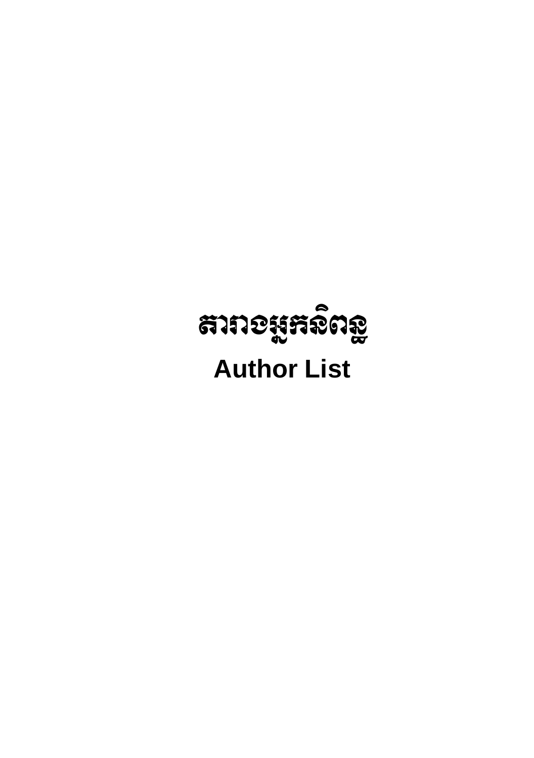# สาทอมูหลิต<u>อ</u>ู **Author List**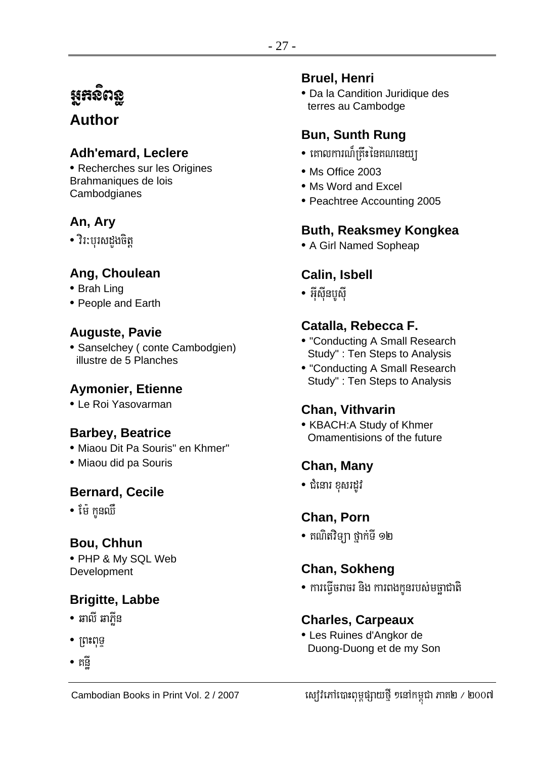## អ្នកសិពន្ធ

## **Author**

## **Adh'emard, Leclere**

• Recherches sur les Origines Brahmaniques de lois Cambodgianes

## An, Ary

• វិរ:បុរសដងចិត្ត

## Ang, Choulean

- Brah Ling
- People and Earth

## **Auguste, Pavie**

• Sanselchey (conte Cambodgien) illustre de 5 Planches

## **Aymonier, Etienne**

• Le Roi Yasovarman

## **Barbey, Beatrice**

- · Miaou Dit Pa Souris" en Khmer"
- · Miaou did pa Souris

## **Bernard, Cecile**

• ម៉ែ កូនឈឺ

## **Bou, Chhun**

• PHP & My SQL Web Development

## **Brigitte, Labbe**

- ឆាលី ឆាភីន
- $\bullet$   $\gamma$
- កុក្កី

### **Bruel, Henri**

• Da la Candition Juridique des terres au Cambodge

## **Bun, Sunth Rung**

- គោលការណ៏កើះនៃគណនេយា
- Ms Office 2003
- Ms Word and Excel
- Peachtree Accounting 2005

## **Buth, Reaksmey Kongkea**

• A Girl Named Sopheap

## **Calin, Isbell**

• អ៊ីស៊ីនបូស៊ី

## Catalla, Rebecca F.

- "Conducting A Small Research Study": Ten Steps to Analysis
- "Conducting A Small Research Study": Ten Steps to Analysis

## **Chan, Vithvarin**

• KBACH:A Study of Khmer Omamentisions of the future

## Chan, Many

• ជំនោរ ខសរដវ

## **Chan. Porn**

• គណិតវិទ្យា ថ្នាក់ទី ១២

## Chan, Sokheng

• ការធ្វើចរាចរ និង ការពងកូនរបស់មច្ឆាជាតិ

## **Charles, Carpeaux**

• Les Ruines d'Angkor de Duong-Duong et de my Son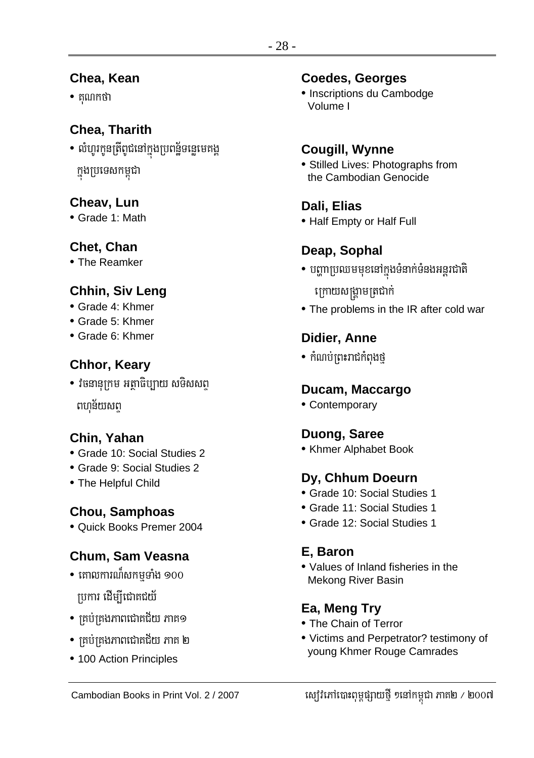## Chea, Kean

 $\bullet$  គុណកថា

## **Chea. Tharith**

• លំហូរកូនត្រីពូជនៅក្នុងប្រពន្ន័ទន្លេមេគង្គ ក្នុងប្រទេសកម្ពុជា

## Cheav. Lun

• Grade 1: Math

## Chet, Chan

• The Reamker

## Chhin, Siv Leng

- $\bullet$  Grade 4: Khmer
- Grade 5: Khmer
- Grade 6: Khmer

## Chhor, Keary

• វិចនានុក្រម អត្ថាធិប្បាយ សទិសសព្ ពហុន័យសព្

## Chin, Yahan

- Grade 10: Social Studies 2
- Grade 9: Social Studies 2
- The Helpful Child

## **Chou, Samphoas**

· Quick Books Premer 2004

## Chum, Sam Veasna

- $\bullet$  គោលការណ៍សកមទាំង ១០០ ប្រការ ដើម្បីជោគជយ័
- គ្រប់គ្រងភាពជោគជ័យ ភាគ១
- $\bullet$  គ្រប់គ្រងភាពជោគជ័យ ភាគ ២
- 100 Action Principles

## **Coedes, Georges**

• Inscriptions du Cambodge Volume I

## **Cougill, Wynne**

• Stilled Lives: Photographs from the Cambodian Genocide

## Dali, Elias

• Half Empty or Half Full

## Deap, Sophal

- បញ្ហាប្រឈមមុខនៅក្នុងទំនាក់ទំនងអន្តរជាតិ ក្រោយសង្គ្រាមត្រជាក់
- The problems in the IR after cold war

## Didier, Anne

• កំណប់ព្រះរាជកំពុងថ្

## Ducam, Maccargo

• Contemporary

## Duong, Saree

• Khmer Alphabet Book

## Dy, Chhum Doeurn

- Grade 10: Social Studies 1
- Grade 11: Social Studies 1
- Grade 12: Social Studies 1

## E. Baron

• Values of Inland fisheries in the **Mekong River Basin** 

## Ea, Meng Try

- The Chain of Terror
- Victims and Perpetrator? testimony of young Khmer Rouge Camrades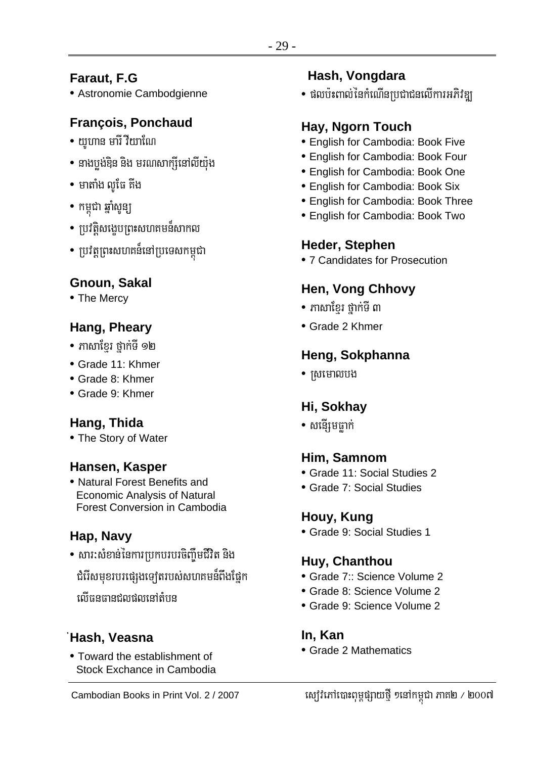# Faraut, F.G

• Astronomie Cambodgienne

# **François, Ponchaud**

- $\bullet$  យហាន មារី វីយាណែ
- នាងបង់ឌិន និង មរណសាក្សីនៅលីយ៉ុង
- $\bullet$  មាតាំង លូផែ គីង
- កម្ពុជា ឆ្នាំសូន្យ
- ប្រវត្តិសង្ខេបព្រះសហគមន៍សាកល
- ប្រវត្តព្រះសហគន៏នៅប្រទេសកម្ពុជា

# Gnoun, Sakal

• The Mercy

# Hang, Pheary

- ភាសាខ្មែរ ថ្នាក់ទី ១២
- $\bullet$  Grade 11: Khmer
- Grade 8: Khmer
- Grade 9: Khmer

# Hang, Thida

• The Story of Water

# Hansen, Kasper

• Natural Forest Benefits and **Economic Analysis of Natural** Forest Conversion in Cambodia

# Hap, Navy

- សារ:សំខាន់នៃការប្រកបរបរចិញ្ចឹមជីវិត និង
	- ជំរើសមុខរបរផ្សេងទ្បេីតរបស់សហគមន៏ពឹងផ្នែក
	- ណីធនធានជុលផលនៅតំបន

# 'Hash, Veasna

• Toward the establishment of Stock Exchance in Cambodia

# Hash, Vongdara

• ផលប៉ះពាល់នៃកំណើនប្រជាជនលើការអភិវឌ្យ

# Hay, Ngorn Touch

- **English for Cambodia: Book Five**
- English for Cambodia: Book Four
- **English for Cambodia: Book One**
- English for Cambodia: Book Six
- **English for Cambodia: Book Three**
- English for Cambodia: Book Two

# Heder, Stephen

• 7 Candidates for Prosecution

# **Hen, Vong Chhovy**

- $\bullet$  ភាសាខ្មែរ ថ្នាក់ទី ៣
- Grade 2 Khmer

# Heng, Sokphanna

• ស្រមោលបង

# Hi, Sokhay

• សនើរុមធាក់

# Him, Samnom

- Grade 11: Social Studies 2
- Grade 7: Social Studies

# Houy, Kung

• Grade 9: Social Studies 1

# Huy, Chanthou

- Grade 7:: Science Volume 2
- Grade 8: Science Volume 2
- Grade 9: Science Volume 2

# In. Kan

• Grade 2 Mathematics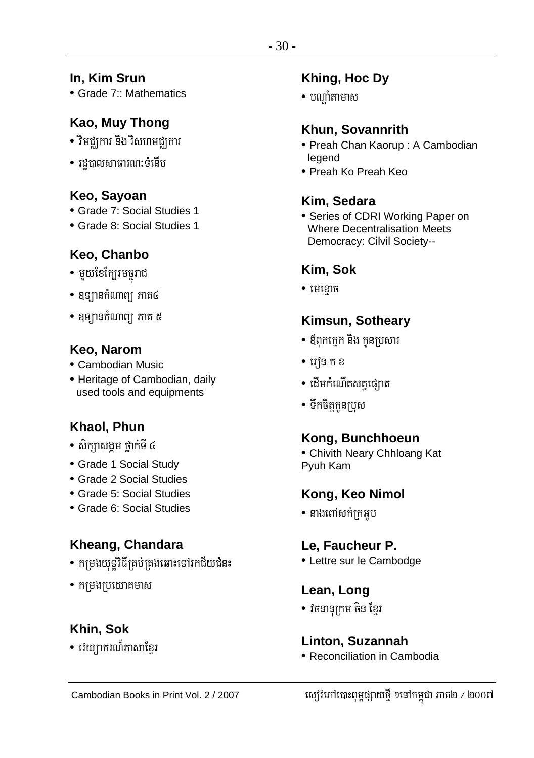#### In, Kim Srun

• Grade 7:: Mathematics

# Kao, Muy Thong

- វិមជ្ឈការ និង វិសហមជ្ឈការ
- រដបាលសាធារណ:ទំនើប

#### Keo, Sayoan

- Grade 7: Social Studies 1
- Grade 8: Social Studies 1

## Keo, Chanbo

- មួយខែក្បែរមចូរាជ
- ឧទ្យានកំណាព្យ ភាគ៤
- ឧទ្យានកំណាព្យ ភាគ ៥

#### Keo, Narom

- Cambodian Music
- Heritage of Cambodian, daily used tools and equipments

# Khaol, Phun

- សិកពសងម ថាក់ទី ៤
- Grade 1 Social Study
- Grade 2 Social Studies
- Grade 5: Social Studies
- Grade 6: Social Studies

## Kheang, Chandara

- កម្រងយុទ្ធវិធីគ្រប់គ្រងឆោះទៅរកជ័យជំនះ
- កម្រងប្រយោគមាស

## Khin, Sok

• វេយ្យាករណ៏ភាសាខ្មែរ

## Khing, Hoc Dy

 $\bullet$  បណាំតាមាស

#### Khun, Sovannrith

- · Preah Chan Kaorup: A Cambodian legend
- Preah Ko Preah Keo

# Kim, Sedara

• Series of CDRI Working Paper on **Where Decentralisation Meets** Democracy: Cilvil Society--

# Kim, Sok

 $\bullet$  មេខោច

## Kimsun, Sotheary

- ឪពុកក្មេក និង កូនប្រសារ
- $\bullet$  រេវ៉ុន ក ខ
- ដើមកំណើតសតផេរាត
- ទឹកចិត្តកូនប្រុស

## Kong, Bunchhoeun

• Chivith Neary Chhloang Kat Pyuh Kam

## Kong, Keo Nimol

 $\bullet$  នាងពៅសក់ក្រអូប

## Le, Faucheur P.

• Lettre sur le Cambodge

#### Lean, Long

• វចនានុក្រម ចិន ខែ្មរ

#### Linton, Suzannah

• Reconciliation in Cambodia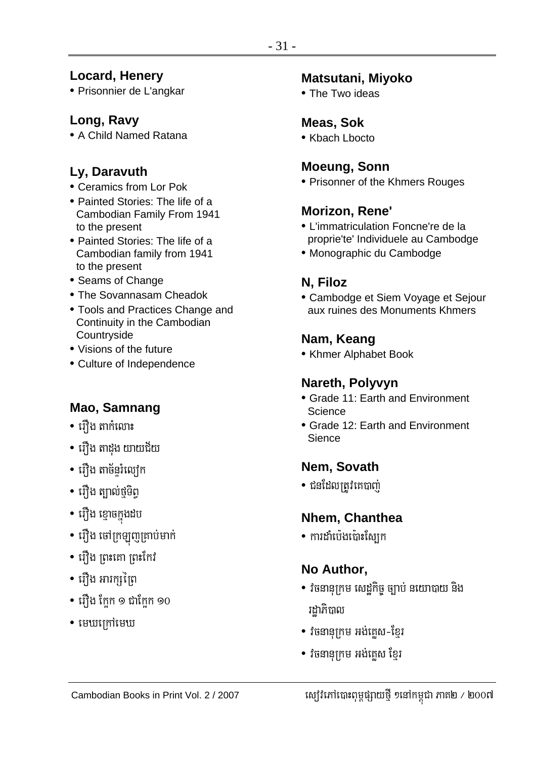### **Locard, Henery**

• Prisonnier de L'angkar

## Long, Ravy

• A Child Named Ratana

# Ly, Daravuth

- Ceramics from Lor Pok
- Painted Stories: The life of a Cambodian Family From 1941 to the present
- Painted Stories: The life of a Cambodian family from 1941 to the present
- Seams of Change
- The Sovannasam Cheadok
- Tools and Practices Change and Continuity in the Cambodian Countryside
- Visions of the future
- Culture of Independence

# Mao, Samnang

- រើវង តាកំលោះ
- រឿង តាដូង យាយជ័យ
- រើាំង តាច័នរំលៅក
- រើវ៉ាង ត្បាល់ថទិព
- រឿង ខ្មោចក្នុងដប
- រឿង ចៅក្រឡូញគ្រាប់មាក់
- រឿង ព្រះគោ ព្រះកែវ
- រឿង អារក្សព្រៃ
- រឿង ក្អែក ១ ជាក្អែក ១០
- $\bullet$  មេឃក្រៅមេឃ

#### **Matsutani, Miyoko**

. The Two ideas

## **Meas, Sok**

• Kbach Lbocto

# **Moeung, Sonn**

• Prisonner of the Khmers Rouges

#### Morizon, Rene'

- . I 'immatriculation Foncne're de la proprie'te' Individuele au Cambodge
- Monographic du Cambodge

# N, Filoz

• Cambodge et Siem Voyage et Sejour aux ruines des Monuments Khmers

# Nam, Keang

• Khmer Alphabet Book

#### Nareth, Polyvyn

- Grade 11: Earth and Environment Science
- Grade 12: Earth and Environment Sience

## Nem, Sovath

• ជនដែលត្រូវគេបាញ់

# Nhem, Chanthea

• ការដាំប៉េងប៉ោះស្បែក

# No Author,

- វិចនានុក្រម សេដ្ឋកិច្ច ច្បាប់ នយោបាយ និង រដាភិបាល
- វិចនានុក្រម អង់គេស-ខ្មែរ
- វិចនានុក្រម អង់គេស ខែ្មរ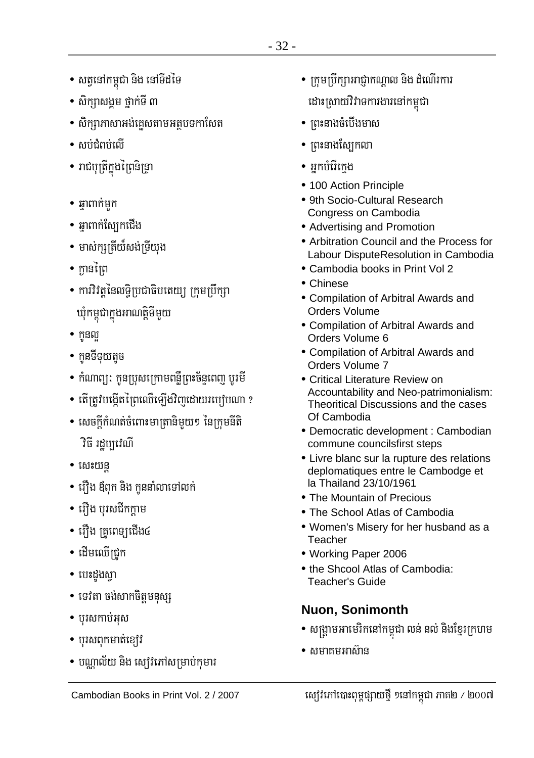- សត្វនៅកម្ពុជា និង នៅទីដទៃ
- សិករាសងម ថាក់ទី ៣
- សិក្សាភាសាអង់គ្លេសតាមអត្ថបទកាសែត
- $\bullet$  តួប្រាំពួកយើ
- រាជបុត្រីក្នុងព្រៃនិន្ទ្រា
- $\bullet$  ឆាពាក់មក
- ឆ្នាពាក់ស្បែកជើង
- មាស់ក្សត្រីយ៏សង់ទ្រីយុង
- កានព្រៃ
- ការិវិត្តនៃលទ្ធិប្រជាធិបតេយ្យ ក្រុមប្រឹក្សា ឃុំកម្ពុជាក្នុងអាណត្តិទីមួយ
- $\bullet$  ក្តនល
- កនទីទយតច
- កំណាព្យ: កូនប្រុសក្រោមពន្លឺព្រះច័ន្ទពេញ បូរមី
- តើត្រូវបង្កើតព្រៃឈើឡើងវិញដោយរបៀបណា ?
- សេចក្តីកំណត់ចំពោះមាត្រានិមយ១ នៃក្រុមនីតិ **វិ**ធី រដបាវេណី
- $\bullet$  សេះយន្ត
- រឿង ឪពុក និង កូននាំលាទៅលក់
- រឿង បុរសជីកក្តាម
- រឿង គ្រូពេទ្យជើង៤
- ដើមឈើជ្រូក
- បេះដួងស្មា
- ទេវតា ចង់សាកចិត្តមនុស្ស
- បុរសកាប់អុស
- $\bullet$  បុរសពុកមាត់ខ្យៅ
- បណ្ណាល័យ និង ស្យេវិភៅសម្រាប់កុមារ
- ក្រុមប្រឹក្សាអាជ្ញាកណ្តាល និង ដំណើរការ ដោះស្រាយវិវាទការងារនៅកម្ពុជា
- ព្រះនាងចំបើងមាស
- ព្រះនាងស្បែកលា
- អ្នកបំរើក្រេង
- 100 Action Principle
- 9th Socio-Cultural Research Congress on Cambodia
- Advertising and Promotion
- Arbitration Council and the Process for Labour DisputeResolution in Cambodia
- Cambodia books in Print Vol 2
- Chinese
- Compilation of Arbitral Awards and Orders Volume
- Compilation of Arbitral Awards and Orders Volume 6
- Compilation of Arbitral Awards and Orders Volume 7
- Critical Literature Review on Accountability and Neo-patrimonialism: Theoritical Discussions and the cases Of Cambodia
- Democratic development : Cambodian commune councilsfirst steps
- Livre blanc sur la rupture des relations deplomatiques entre le Cambodge et la Thailand 23/10/1961
- The Mountain of Precious
- The School Atlas of Cambodia
- . Women's Misery for her husband as a Teacher
- · Working Paper 2006
- the Shcool Atlas of Cambodia: **Teacher's Guide**

# **Nuon, Sonimonth**

- សង្គ្រាមអាមេរិកនៅកម្ពុជា លន់ នល់ និងខ្មែរក្រហម
- សមាគមអាស៊ាន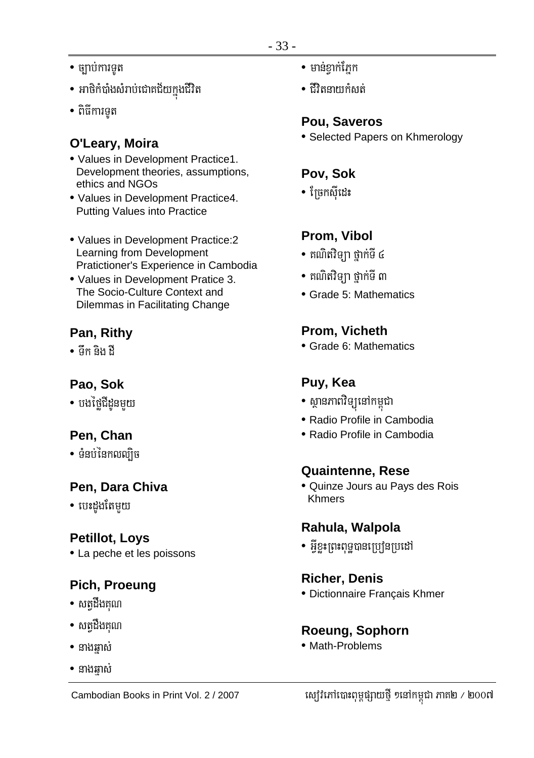- $\bullet$  ច្បាប់ការទូត
- អាថិកំបាំងសំរាប់ជោគជ័យក្នុងជីវិត
- ពិធីការទត

## O'Leary, Moira

- Values in Development Practice1. Development theories, assumptions, ethics and NGOs
- Values in Development Practice4. **Putting Values into Practice**
- Values in Development Practice:2 Learning from Development Pratictioner's Experience in Cambodia
- Values in Development Pratice 3. The Socio-Culture Context and Dilemmas in Facilitating Change

# Pan, Rithy

• ផឹក និង ដឹ

# Pao, Sok

• បងថ្មៃជីដូនមួយ

# Pen, Chan

 $\bullet$   $\mathring{\mathbf{g}}$ នប់នៃកលល្យិច

# Pen, Dara Chiva

• បេះដួងតែមួយ

# **Petillot, Lovs**

• La peche et les poissons

# Pich, Proeung

- សតុដឹងគុណ
- សត្វដឹងគុណ
- នាងឆ្នាស់
- $\bullet$  នាងឆាស់
- $\bullet$  មាន់ខាក់ភែក
- $\bullet$  ជីវិតនាយកំសត់

# Pou, Saveros

• Selected Papers on Khmerology

## Pov. Sok

• ព្រែកស៊ីដេះ

# Prom, Vibol

- គណិតវិទ្យា ថ្នាក់ទី ៤
- គណិតវិទ្យា ថ្នាក់ទី ៣
- Grade 5: Mathematics

# Prom, Vicheth

• Grade 6: Mathematics

# Puy, Kea

- ស្ថានភាពវិទ្យុនៅកម្ពុជា
- Radio Profile in Cambodia
- Radio Profile in Cambodia

# **Quaintenne, Rese**

· Quinze Jours au Pays des Rois **Khmers** 

# Rahula, Walpola

• អ្វីខ្លះព្រះពុទ្ធបានប្រៅួនប្រដៅ

## **Richer, Denis**

· Dictionnaire Français Khmer

## Roeung, Sophorn

• Math-Problems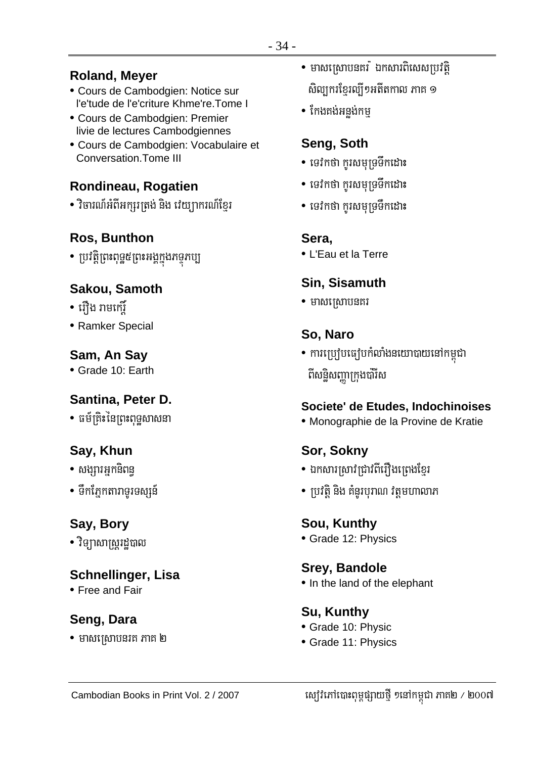#### **Roland, Meyer**

- Cours de Cambodgien: Notice sur l'e'tude de l'e'criture Khme're. Tome I
- · Cours de Cambodgien: Premier livie de lectures Cambodgiennes
- Cours de Cambodgien: Vocabulaire et Conversation. Tome III

## Rondineau, Rogatien

• វិចារណ៍អំពីអក្សរត្រង់ និង វេយ្យាករណ៍ខ្មែរ

# **Ros. Bunthon**

• ប្រវត្តិព្រះពុទ្ធ៥ព្រះអង្គក្នុងភទ្ទភប្ប

# Sakou, Samoth

- រឿង រាមកេរ្ម័
- Ramker Special

## Sam, An Say

• Grade 10: Earth

## Santina, Peter D.

• ធម័ត្រិះនៃព្រះពទសាសនា

# Say, Khun

- សង្សារអ្នកនិពន្ធ
- ទឹកភ្នែកតារាទូរទស្សន៍

# Say, Bory

• វិទ្យាសាស្ត្ររដ្ឋបាល

## **Schnellinger, Lisa**

• Free and Fair

# Seng, Dara

 $\bullet$  មាសស្រោបនរគ ភាគ ២

- មាសស្រោបនគរ ំ ឯកសារពិសេសប្រវតិ សិល្បករខ្មែរល្បី១អតីតកាល ភាគ ១
- កែងតង់អនង់កម

# Seng, Soth

- ទេវកថា កូរសមុទ្រទឹកដោះ
- ទេវកថា កូរសមុទ្រទឹកដោះ
- ទេវកថា កូរសមុទ្រទឹកដោះ

## Sera.

• L'Eau et la Terre

# Sin, Sisamuth

 $\bullet$  មាសស្រោបនគរ

# So, Naro

• ការប្រៀបធៀបកំលាំងនយោបាយនៅកម្ពុជា ពីសន្ធិសញ្ញាក្រុងប៉ារីស

## Societe' de Etudes, Indochinoises

· Monographie de la Provine de Kratie

# Sor, Sokny

- ឯកសារស្រាវជ្រាវពីរឿងព្រេងខ្មែរ
- ប្រវត្តិ និង គំនូរបុរាណ វត្តមហាលាភ

#### Sou, Kunthy

• Grade 12: Physics

#### **Srey, Bandole**

• In the land of the elephant

## **Su. Kunthy**

- Grade 10: Physic
- Grade 11: Physics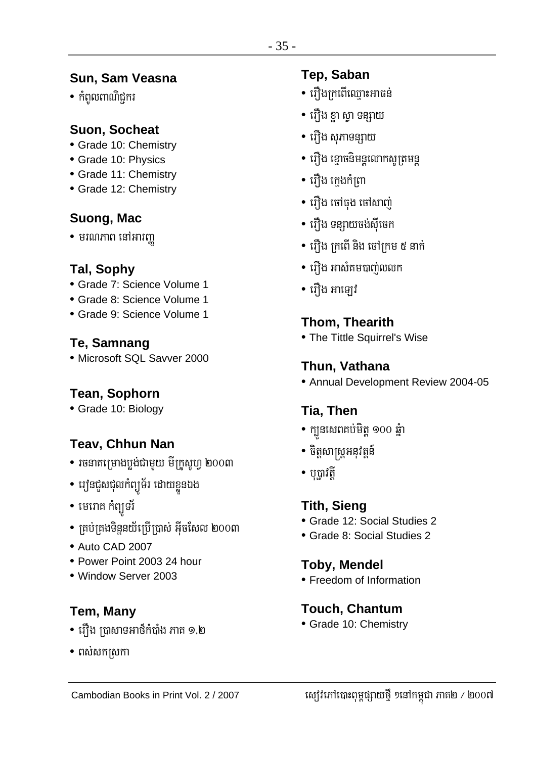# Sun, Sam Veasna

• កំពូលពាណិជ្ជករ

### **Suon, Socheat**

- Grade 10: Chemistry
- Grade 10: Physics
- Grade 11: Chemistry
- Grade 12: Chemistry

# Suong, Mac

 $\bullet$  មរណភាព នៅអារញ្ញ

#### Tal, Sophy

- Grade 7: Science Volume 1
- · Grade 8: Science Volume 1
- Grade 9: Science Volume 1

## Te, Samnang

· Microsoft SQL Savver 2000

## **Tean, Sophorn**

• Grade 10: Biology

# **Teav, Chhun Nan**

- រចនាគម្រោងបង់ជាមយ មីក្រូសូហ្ ២០០៣
- វេន្ទ្រីសជុលកំព្យូទ័រ ដោយខ្លួនឯង
- មេរោគ កំព្យុទរ័
- គ្រប់គ្រងទិន្ននយ័ប្រើប្រាស់ អ៊ីចសែល ២០០៣
- Auto CAD 2007
- Power Point 2003 24 hour
- Window Server 2003

# **Tem, Many**

- រឿង ប្រាសាទអាថឹកំបាំង ភាគ ១.២
- $\bullet$  ពស់សកស្រកា

## **Tep. Saban**

- រឿងក្រពើឈ្មោះអាធន់
- រឿង ខ្លា ស្វា ទន្សាយ
- រឿង សុភាទន្សាយ
- រឿង ខោចនិមន្តលោកសូត្រមន្ត
- រើវ៉ាង កេងកំពោ
- រឿង ចៅធុង ចៅសាពា
- រើាង ទន្សាយចង់សីចេក
- រឿង ក្រពើ និង ចៅក្រម ៥ នាក់
- រើ្បឹង អាសំគមបាពាលលក
- រឿង អាឡៅ

# **Thom, Thearith**

• The Tittle Squirrel's Wise

# Thun, Vathana

• Annual Development Review 2004-05

# Tia, Then

- ក្បួនសេពតប់មិត្ត ១០០ ឆ្នំា
- ចិត្តសាស្ត្រអនុវត្តន៍
- $\bullet$  បុប្ផាវតី

# **Tith, Sieng**

- Grade 12: Social Studies 2
- Grade 8: Social Studies 2

## **Toby, Mendel**

• Freedom of Information

## **Touch, Chantum**

• Grade 10: Chemistry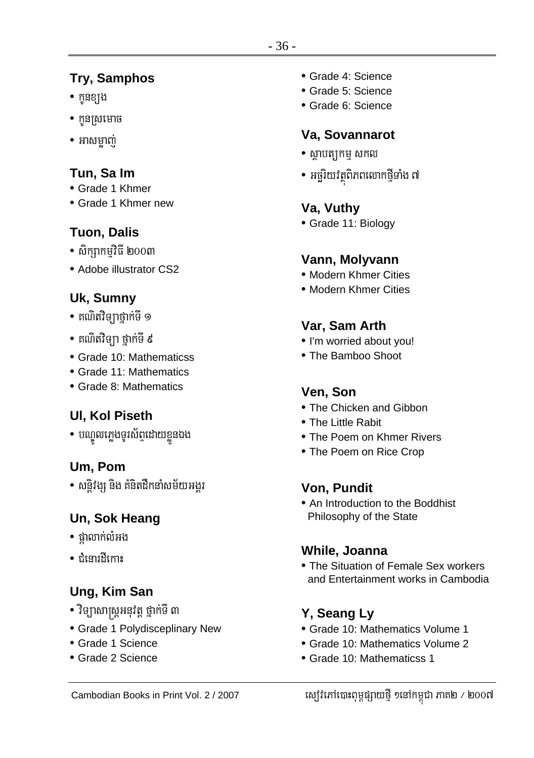# **Try, Samphos**

- កូនខ្យង
- $\bullet$  កូនស្រមោច
- អាសមាពា

# Tun, Sa Im

- Grade 1 Khmer
- Grade 1 Khmer new

# **Tuon, Dalis**

- $\bullet$  សិក្សាកម្មវិធី ២០០៣
- Adobe illustrator CS2

# Uk, Sumny

- គណិតវិទ្យាថ្នាក់ទី ១
- គណិតវិទ្យា ថ្នាក់ទី ៩
- Grade 10: Mathematicss
- Grade 11: Mathematics
- Grade 8: Mathematics

# **UI, Kol Piseth**

• បណ្ឌូលភ្លេងទូរស័ព្ទដោយខ្លួនឯង

# Um. Pom

• សន្តិវង្ស និង គំនិតដឹកនាំសម័យអង្គរ

# Un, Sok Heang

- ផ្លាលាក់លំអង
- កំនោះអីកោះ

# Ung, Kim San

- វិទ្យាសាស្ត្រអនុវត្ត ថ្នាក់ទី ៣
- Grade 1 Polydisceplinary New
- Grade 1 Science
- Grade 2 Science
- · Grade 4: Science
- · Grade 5: Science
- Grade 6: Science

# Va, Sovannarot

- $\bullet$  សាបត្យកម សកល
- អច្ឆិរយវត្ថុពិភពលោកថ្មីទាំង ៧

# Va, Vuthy

• Grade 11: Biology

# Vann, Molyvann

- Modern Khmer Cities
- Modern Khmer Cities

# Var, Sam Arth

- I'm worried about you!
- The Bamboo Shoot

# Ven. Son

- The Chicken and Gibbon
- The Little Rabit
- The Poem on Khmer Rivers
- The Poem on Rice Crop

# Von, Pundit

• An Introduction to the Boddhist Philosophy of the State

## While, Joanna

• The Situation of Female Sex workers and Entertainment works in Cambodia

# Y. Seang Ly

- Grade 10: Mathematics Volume 1
- Grade 10: Mathematics Volume 2
- Grade 10: Mathematicss 1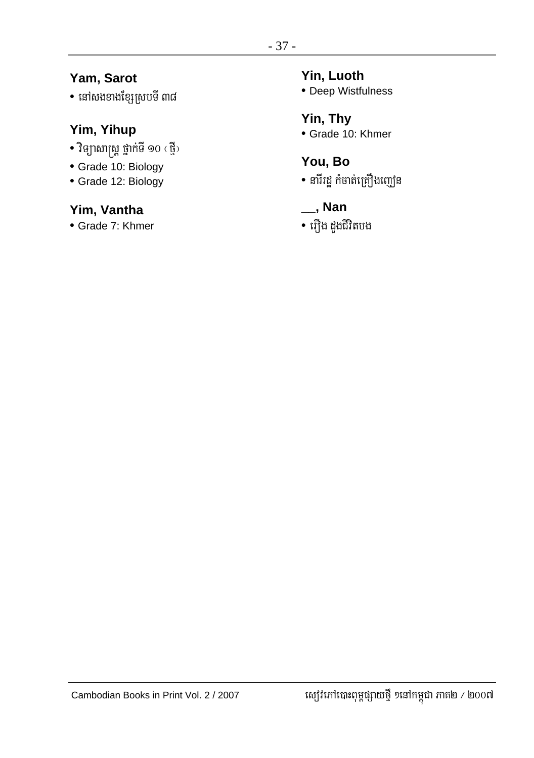## Yam, Sarot

• នៅសងខាងខ្សែស្របទី ៣៨

## Yim, Yihup

- វិទ្យាសាស្ត្រ ថ្នាក់ទី ១០ (ថ្មី)
- · Grade 10: Biology
- Grade 12: Biology

## Yim, Vantha

• Grade 7: Khmer

#### Yin, Luoth

• Deep Wistfulness

# Yin, Thy

• Grade 10: Khmer

# You, Bo

- នារីរដ្ឋ កំចាត់គ្រឿងញៀន
- $\overline{\phantom{a}}$ , Nan
- រឿង ដួងជីវិតបង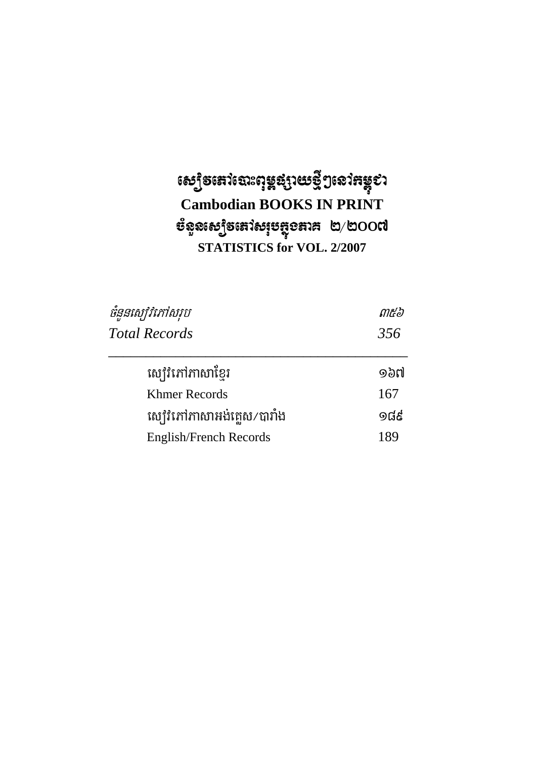# សេ្យិកនៅលោះពុម្ពផ្សាយថ្មីៗនៅកម្ពុះ<br>Cambodian BOOKS IN PRINT  $\mathfrak{G}$ នួនស្យៀទនៅសរុបត្ថុខតាគ ២/២ $\mathbf{O}\mathbf{O}$ ៧ **STATISTICS for VOL. 2/2007**

| ចំនួនស្ប៉េរិភៅសរុប          | ៣๕๖   |  |  |
|-----------------------------|-------|--|--|
| <b>Total Records</b>        | 356   |  |  |
| ស្បៅវិកៅភាសាខែរ             | ๑๖๗   |  |  |
| Khmer Records               | 167   |  |  |
| ស្បៅវិភៅភាសាអង់គ្លេស/បារាំង | 9ದೆಕೆ |  |  |
| English/French Records      | 189   |  |  |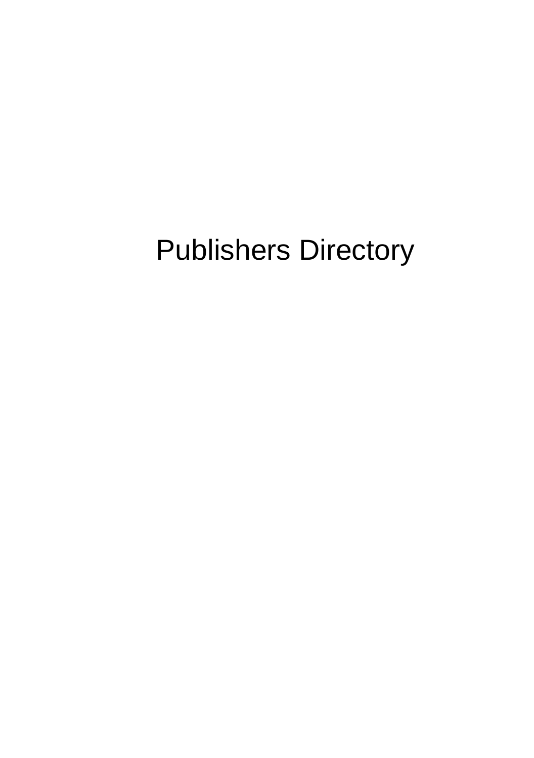# Publishers Directory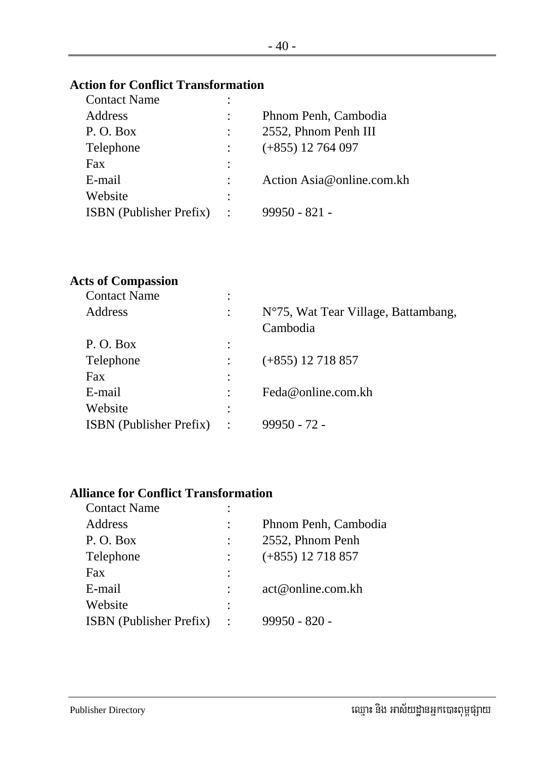## **Action for Conflict Transformation**

| <b>Contact Name</b>            | ٠                      |                           |
|--------------------------------|------------------------|---------------------------|
| <b>Address</b>                 |                        | Phnom Penh, Cambodia      |
| P. O. Box                      |                        | 2552, Phnom Penh III      |
| Telephone                      |                        | $(+855)$ 12 764 097       |
| Fax                            | ٠                      |                           |
| E-mail                         |                        | Action Asia@online.com.kh |
| Website                        | ٠                      |                           |
| <b>ISBN</b> (Publisher Prefix) | $\ddot{\phantom{1}}$ : | 99950 - 821 -             |
|                                |                        |                           |

#### **Acts of Compassion**

| <b>Contact Name</b>            | ٠                    |                                     |
|--------------------------------|----------------------|-------------------------------------|
| Address                        | $\ddot{\cdot}$       | N°75, Wat Tear Village, Battambang, |
|                                |                      | Cambodia                            |
| P.O. Box                       | $\ddot{\cdot}$       |                                     |
| Telephone                      |                      | $(+855)$ 12 718 857                 |
| Fax                            | $\ddot{\phantom{a}}$ |                                     |
| E-mail                         |                      | Feda@online.com.kh                  |
| Website                        | $\ddot{\phantom{a}}$ |                                     |
| <b>ISBN</b> (Publisher Prefix) | $\ddot{\cdot}$       | $99950 - 72$ -                      |
|                                |                      |                                     |

# **Alliance for Conflict Transformation**

| <b>Contact Name</b>            |                      |
|--------------------------------|----------------------|
| Address                        | Phnom Penh, Cambodia |
| P.O. Box                       | 2552, Phnom Penh     |
| Telephone                      | $(+855)$ 12 718 857  |
| Fax                            |                      |
| E-mail                         | act@online.com.kh    |
| Website                        |                      |
| <b>ISBN</b> (Publisher Prefix) | $99950 - 820 -$      |
|                                |                      |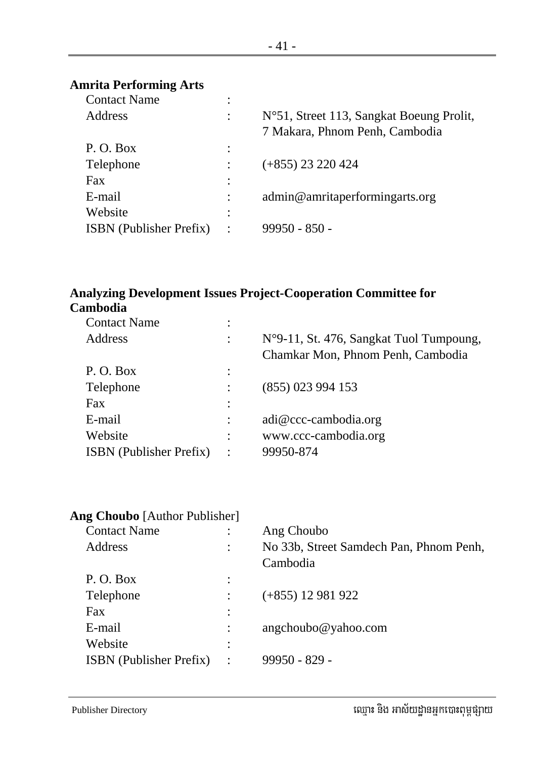## **Amrita Performing Arts**

| <b>Contact Name</b>            | ٠ |                                                                            |
|--------------------------------|---|----------------------------------------------------------------------------|
| <b>Address</b>                 |   | N°51, Street 113, Sangkat Boeung Prolit,<br>7 Makara, Phnom Penh, Cambodia |
| P.O. Box                       | ٠ |                                                                            |
| Telephone                      |   | $(+855)$ 23 220 424                                                        |
| Fax                            | ٠ |                                                                            |
| E-mail                         |   | admin@amritaperformingarts.org                                             |
| Website                        | ٠ |                                                                            |
| <b>ISBN</b> (Publisher Prefix) |   | $99950 - 850 -$                                                            |
|                                |   |                                                                            |

# **Analyzing Development Issues Project-Cooperation Committee for Cambodia**

| <b>Contact Name</b>            | ٠              |                                                                              |
|--------------------------------|----------------|------------------------------------------------------------------------------|
| Address                        | ٠              | N°9-11, St. 476, Sangkat Tuol Tumpoung,<br>Chamkar Mon, Phnom Penh, Cambodia |
| P.O. Box                       | $\ddot{\cdot}$ |                                                                              |
| Telephone                      |                | $(855)$ 023 994 153                                                          |
| Fax                            | $\ddot{\cdot}$ |                                                                              |
| E-mail                         | $\ddot{\cdot}$ | $adi@ccc$ -cambodia.org                                                      |
| Website                        | $\ddot{\cdot}$ | www.ccc-cambodia.org                                                         |
| <b>ISBN</b> (Publisher Prefix) | $\ddot{\cdot}$ | 99950-874                                                                    |
|                                |                |                                                                              |

| Ang Choubo [Author Publisher] |                                         |
|-------------------------------|-----------------------------------------|
|                               | Ang Choubo                              |
|                               | No 33b, Street Samdech Pan, Phnom Penh, |
|                               | Cambodia                                |
| $\ddot{\phantom{a}}$          |                                         |
|                               | $(+855)$ 12 981 922                     |
| $\ddot{\cdot}$                |                                         |
|                               | angchoubo@yahoo.com                     |
| ٠<br>$\bullet$                |                                         |
| $\ddot{\phantom{a}}$          | $99950 - 829 -$                         |
|                               |                                         |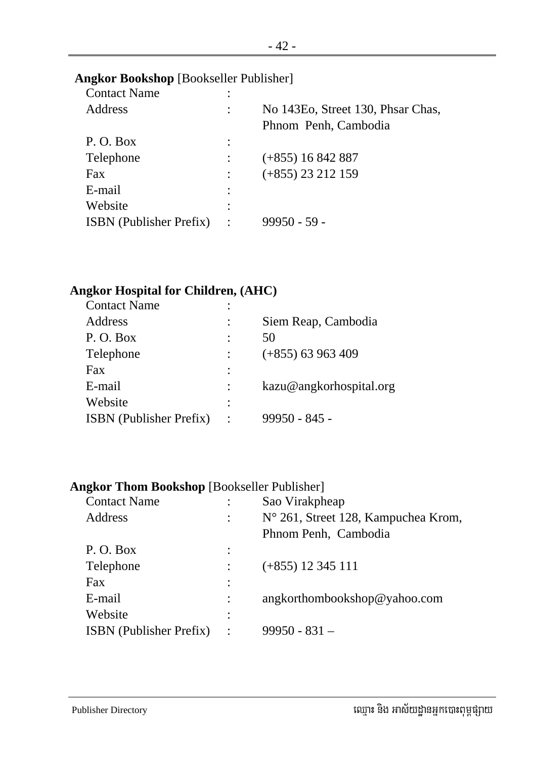#### **Angkor Bookshop** [Bookseller Publisher]

| <b>Contact Name</b>            | ٠              |                                   |
|--------------------------------|----------------|-----------------------------------|
| <b>Address</b>                 |                | No 143Eo, Street 130, Phsar Chas, |
|                                |                | Phnom Penh, Cambodia              |
| P.O. Box                       |                |                                   |
| Telephone                      |                | $(+855)$ 16 842 887               |
| Fax                            |                | $(+855)$ 23 212 159               |
| E-mail                         |                |                                   |
| Website                        | ٠              |                                   |
| <b>ISBN</b> (Publisher Prefix) | $\ddot{\cdot}$ | $99950 - 59 -$                    |
|                                |                |                                   |

#### **Angkor Hospital for Children, (AHC)**

| <b>Contact Name</b>            | ٠              |                         |
|--------------------------------|----------------|-------------------------|
| Address                        | $\ddot{\cdot}$ | Siem Reap, Cambodia     |
| P.O. Box                       | $\ddot{\cdot}$ | 50                      |
| Telephone                      |                | $(+855)$ 63 963 409     |
| Fax                            | $\ddot{\cdot}$ |                         |
| E-mail                         |                | kazu@angkorhospital.org |
| Website                        | $\ddot{\cdot}$ |                         |
| <b>ISBN</b> (Publisher Prefix) |                | 99950 - 845 -           |

#### **Angkor Thom Bookshop** [Bookseller Publisher]

| <b>Contact Name</b>            |                      | Sao Virakpheap                      |
|--------------------------------|----------------------|-------------------------------------|
| Address                        |                      | N° 261, Street 128, Kampuchea Krom, |
|                                |                      | Phnom Penh, Cambodia                |
| P.O. Box                       |                      |                                     |
| Telephone                      |                      | $(+855)$ 12 345 111                 |
| Fax                            |                      |                                     |
| E-mail                         |                      | angkorthombookshop@yahoo.com        |
| Website                        |                      |                                     |
| <b>ISBN</b> (Publisher Prefix) | $\ddot{\phantom{a}}$ | $99950 - 831 -$                     |
|                                |                      |                                     |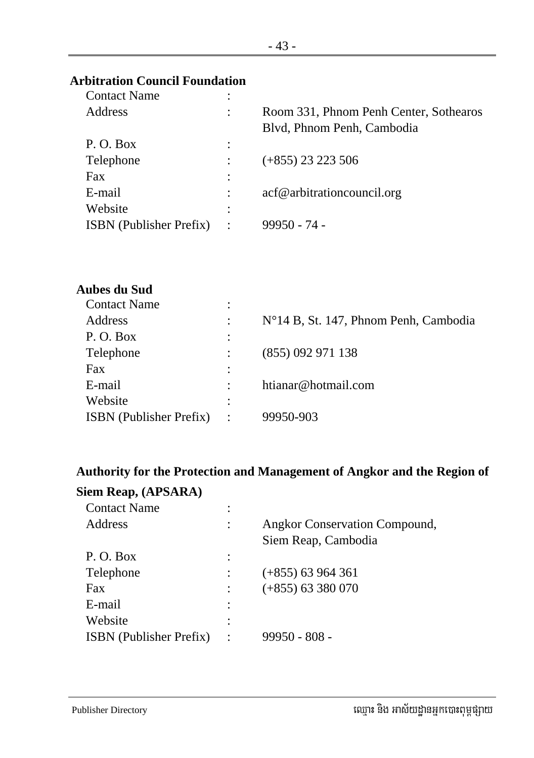#### **Arbitration Council Foundation**

| <b>Contact Name</b>            | ٠              |                                        |
|--------------------------------|----------------|----------------------------------------|
| Address                        | ٠              | Room 331, Phnom Penh Center, Sothearos |
|                                |                | Blvd, Phnom Penh, Cambodia             |
| P.O. Box                       | $\ddot{\cdot}$ |                                        |
| Telephone                      |                | $(+855)$ 23 223 506                    |
| Fax                            | $\ddot{\cdot}$ |                                        |
| E-mail                         |                | acf@arbitrationcouncil.org             |
| Website                        | ٠<br>$\bullet$ |                                        |
| <b>ISBN</b> (Publisher Prefix) | $\ddot{\cdot}$ | $99950 - 74$ -                         |
|                                |                |                                        |

#### **Aubes du Sud**

| <b>Contact Name</b>            | ٠                    |                                       |
|--------------------------------|----------------------|---------------------------------------|
| Address                        |                      | N°14 B, St. 147, Phnom Penh, Cambodia |
| P.O. Box                       | ٠                    |                                       |
| Telephone                      |                      | (855) 092 971 138                     |
| Fax                            |                      |                                       |
| E-mail                         | $\ddot{\phantom{a}}$ | htianar@hotmail.com                   |
| Website                        | ٠                    |                                       |
| <b>ISBN</b> (Publisher Prefix) | $\ddot{\cdot}$       | 99950-903                             |

# **Authority for the Protection and Management of Angkor and the Region of**

#### **Siem Reap, (APSARA)**

| <b>Contact Name</b>            |                |                               |
|--------------------------------|----------------|-------------------------------|
| Address                        |                | Angkor Conservation Compound, |
|                                |                | Siem Reap, Cambodia           |
| P.O. Box                       |                |                               |
| Telephone                      |                | $(+855)$ 63 964 361           |
| Fax                            |                | $(+855)$ 63 380 070           |
| E-mail                         |                |                               |
| Website                        |                |                               |
| <b>ISBN</b> (Publisher Prefix) | $\ddot{\cdot}$ | $99950 - 808 -$               |
|                                |                |                               |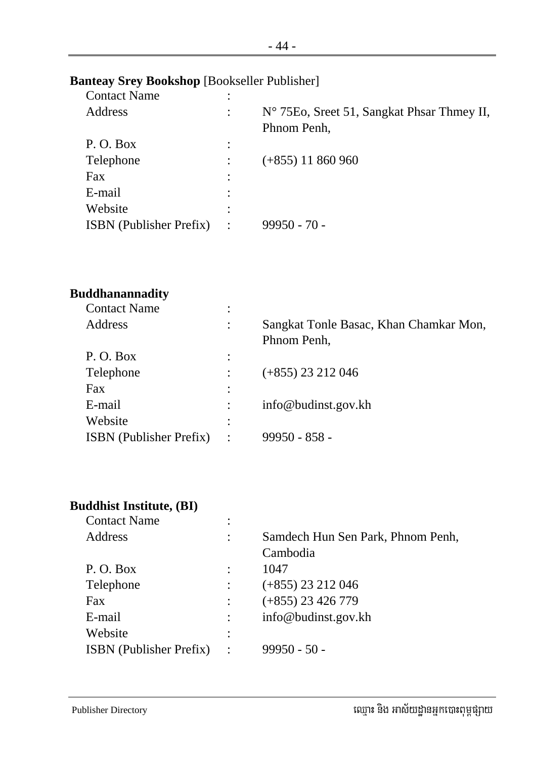#### **Banteay Srey Bookshop** [Bookseller Publisher]

| <b>Contact Name</b>            | ٠              |                                                           |
|--------------------------------|----------------|-----------------------------------------------------------|
| Address                        |                | N° 75Eo, Sreet 51, Sangkat Phsar Thmey II,<br>Phnom Penh, |
| P.O. Box                       | ٠              |                                                           |
| Telephone                      |                | $(+855)$ 11 860 960                                       |
| Fax                            |                |                                                           |
| E-mail                         |                |                                                           |
| Website                        |                |                                                           |
| <b>ISBN</b> (Publisher Prefix) | $\ddot{\cdot}$ | $99950 - 70$                                              |
|                                |                |                                                           |

#### **Buddhanannadity**

| <b>Contact Name</b>            | ٠                    |                                                       |
|--------------------------------|----------------------|-------------------------------------------------------|
| Address                        | ٠<br>$\cdot$         | Sangkat Tonle Basac, Khan Chamkar Mon,<br>Phnom Penh, |
| P.O. Box                       | $\ddot{\phantom{a}}$ |                                                       |
| Telephone                      |                      | $(+855)$ 23 212 046                                   |
| Fax                            | $\ddot{\phantom{a}}$ |                                                       |
| E-mail                         |                      | info@budinst.gov.kh                                   |
| Website                        | ٠<br>$\bullet$       |                                                       |
| <b>ISBN</b> (Publisher Prefix) | $\ddot{\cdot}$       | $99950 - 858 -$                                       |
|                                |                      |                                                       |

#### **Buddhist Institute, (BI)**

| <b>Contact Name</b>            |                |                                   |
|--------------------------------|----------------|-----------------------------------|
| Address                        | ٠              | Samdech Hun Sen Park, Phnom Penh, |
|                                |                | Cambodia                          |
| P.O. Box                       |                | 1047                              |
| Telephone                      |                | $(+855)$ 23 212 046               |
| Fax                            |                | $(+855)$ 23 426 779               |
| E-mail                         |                | info@budinst.gov.kh               |
| Website                        | ٠              |                                   |
| <b>ISBN</b> (Publisher Prefix) | $\ddot{\cdot}$ | $99950 - 50 -$                    |
|                                |                |                                   |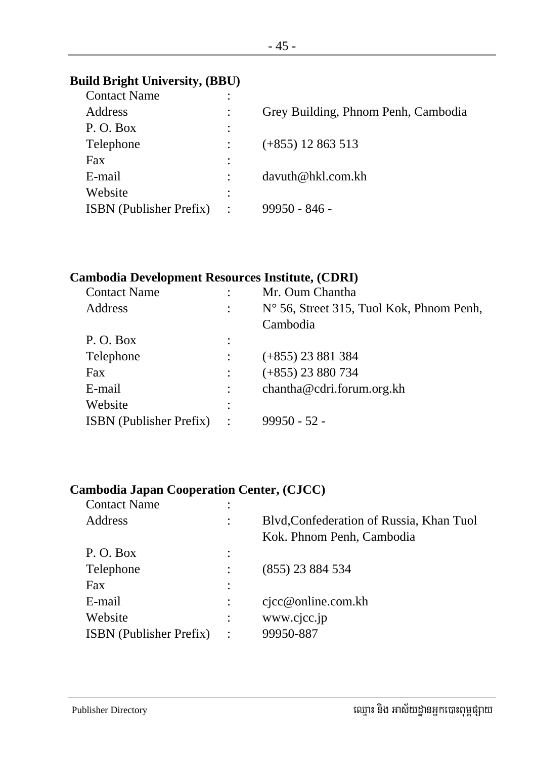#### **Build Bright University, (BBU)**

| <b>Contact Name</b>            | ٠              |                                     |
|--------------------------------|----------------|-------------------------------------|
| Address                        |                | Grey Building, Phnom Penh, Cambodia |
| P.O. Box                       | $\bullet$      |                                     |
| Telephone                      |                | $(+855)$ 12 863 513                 |
| Fax                            | ٠              |                                     |
| E-mail                         |                | davuth@hkl.com.kh                   |
| Website                        | ٠              |                                     |
| <b>ISBN</b> (Publisher Prefix) | $\ddot{\cdot}$ | $99950 - 846 -$                     |
|                                |                |                                     |

#### **Cambodia Development Resources Institute, (CDRI)**

| <b>Contact Name</b>            |                | Mr. Oum Chantha                          |
|--------------------------------|----------------|------------------------------------------|
| Address                        |                | N° 56, Street 315, Tuol Kok, Phnom Penh, |
|                                |                | Cambodia                                 |
| P.O. Box                       | $\ddot{\cdot}$ |                                          |
| Telephone                      |                | $(+855)$ 23 881 384                      |
| <b>Fax</b>                     |                | $(+855)$ 23 880 734                      |
| E-mail                         |                | chantha@cdri.forum.org.kh                |
| Website                        | ٠              |                                          |
| <b>ISBN</b> (Publisher Prefix) | $\cdot$        | $99950 - 52$                             |
|                                |                |                                          |

#### **Cambodia Japan Cooperation Center, (CJCC)**

| <b>Contact Name</b>            | ٠       |                                          |
|--------------------------------|---------|------------------------------------------|
| Address                        | ٠       | Blvd, Confederation of Russia, Khan Tuol |
|                                |         | Kok. Phnom Penh, Cambodia                |
| P.O. Box                       | ٠       |                                          |
| Telephone                      |         | $(855)$ 23 884 534                       |
| Fax                            |         |                                          |
| E-mail                         |         | $c$ jcc@online.com.kh                    |
| Website                        |         | www.cjcc.jp                              |
| <b>ISBN</b> (Publisher Prefix) | $\cdot$ | 99950-887                                |
|                                |         |                                          |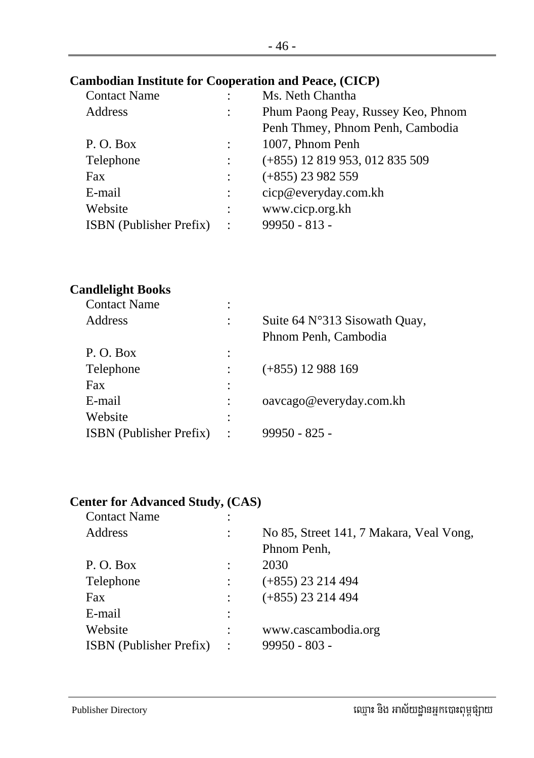#### **Cambodian Institute for Cooperation and Peace, (CICP)**

| <b>Contact Name</b>            |           | Ms. Neth Chantha                   |
|--------------------------------|-----------|------------------------------------|
| Address                        |           | Phum Paong Peay, Russey Keo, Phnom |
|                                |           | Penh Thmey, Phnom Penh, Cambodia   |
| P.O. Box                       |           | 1007, Phnom Penh                   |
| Telephone                      |           | $(+855)$ 12 819 953, 012 835 509   |
| Fax                            |           | $(+855)$ 23 982 559                |
| E-mail                         |           | cicp@everyday.com.kh               |
| Website                        |           | www.cicp.org.kh                    |
| <b>ISBN</b> (Publisher Prefix) | $\cdot$ : | $99950 - 813 -$                    |
|                                |           |                                    |

#### **Candlelight Books**

| <b>Contact Name</b>            | ٠ |                               |
|--------------------------------|---|-------------------------------|
| <b>Address</b>                 |   | Suite 64 N°313 Sisowath Quay, |
|                                |   | Phnom Penh, Cambodia          |
| P.O. Box                       |   |                               |
| Telephone                      |   | $(+855)$ 12 988 169           |
| <b>Fax</b>                     |   |                               |
| E-mail                         |   | oavcago@everyday.com.kh       |
| Website                        |   |                               |
| <b>ISBN</b> (Publisher Prefix) |   | $99950 - 825 -$               |
|                                |   |                               |

#### **Center for Advanced Study, (CAS)**

| <b>Contact Name</b>            | ٠       |                                         |
|--------------------------------|---------|-----------------------------------------|
| Address                        |         | No 85, Street 141, 7 Makara, Veal Vong, |
|                                |         | Phnom Penh,                             |
| P.O. Box                       |         | 2030                                    |
| Telephone                      |         | $(+855)$ 23 214 494                     |
| Fax                            |         | $(+855)$ 23 214 494                     |
| E-mail                         |         |                                         |
| Website                        |         | www.cascambodia.org                     |
| <b>ISBN</b> (Publisher Prefix) | $\cdot$ | $99950 - 803 -$                         |
|                                |         |                                         |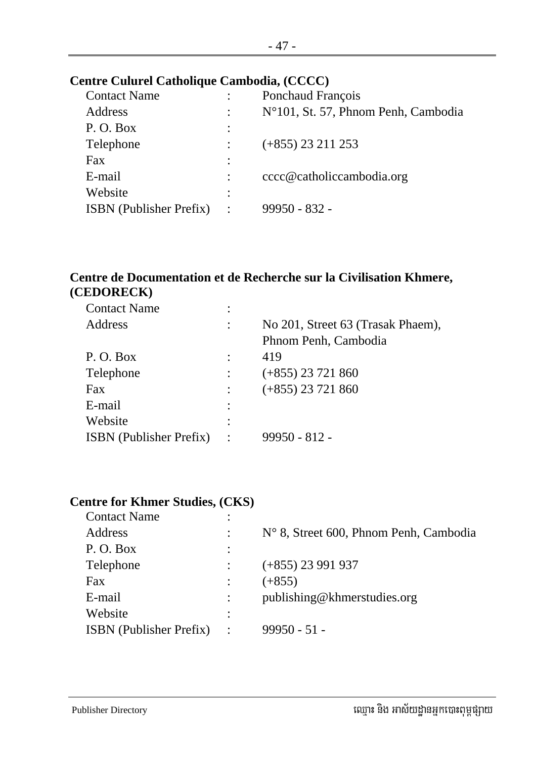#### **Centre Culurel Catholique Cambodia, (CCCC)**

| <b>Contact Name</b>            |                | Ponchaud François                   |
|--------------------------------|----------------|-------------------------------------|
| Address                        |                | N°101, St. 57, Phnom Penh, Cambodia |
| P.O. Box                       | $\vdots$       |                                     |
| Telephone                      |                | $(+855)$ 23 211 253                 |
| Fax                            | $\ddot{\cdot}$ |                                     |
| E-mail                         |                | cccc@catholiccambodia.org           |
| Website                        | $\ddot{\cdot}$ |                                     |
| <b>ISBN</b> (Publisher Prefix) | $\ddot{\cdot}$ | 99950 - 832 -                       |
|                                |                |                                     |

#### **Centre de Documentation et de Recherche sur la Civilisation Khmere, (CEDORECK)**

| <b>Contact Name</b>            |                |                                   |
|--------------------------------|----------------|-----------------------------------|
| Address                        |                | No 201, Street 63 (Trasak Phaem), |
|                                |                | Phnom Penh, Cambodia              |
| P.O. Box                       |                | 419                               |
| Telephone                      |                | $(+855)$ 23 721 860               |
| Fax                            |                | $(+855)$ 23 721 860               |
| E-mail                         |                |                                   |
| Website                        |                |                                   |
| <b>ISBN</b> (Publisher Prefix) | $\ddot{\cdot}$ | $99950 - 812 -$                   |
|                                |                |                                   |

#### **Centre for Khmer Studies, (CKS)**

| <b>Contact Name</b>            |                |                                        |
|--------------------------------|----------------|----------------------------------------|
| Address                        |                | N° 8, Street 600, Phnom Penh, Cambodia |
| P.O. Box                       | ٠              |                                        |
| Telephone                      |                | $(+855)$ 23 991 937                    |
| Fax                            |                | $(+855)$                               |
| E-mail                         |                | publishing@khmerstudies.org            |
| Website                        | ٠              |                                        |
| <b>ISBN</b> (Publisher Prefix) | $\ddot{\cdot}$ | $99950 - 51 -$                         |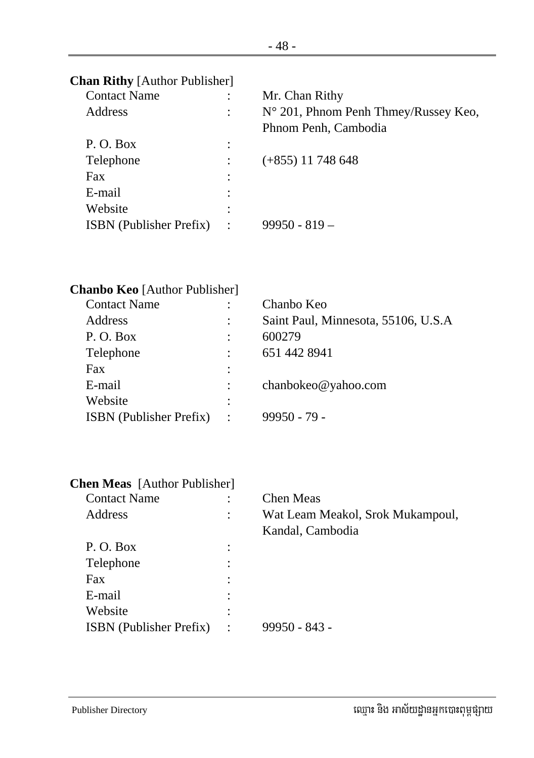| <b>Contact Name</b>            |                      | Mr. Chan Rithy                       |
|--------------------------------|----------------------|--------------------------------------|
| Address                        |                      | N° 201, Phnom Penh Thmey/Russey Keo, |
|                                |                      | Phnom Penh, Cambodia                 |
| P.O. Box                       |                      |                                      |
| Telephone                      |                      | $(+855)$ 11 748 648                  |
| Fax                            |                      |                                      |
| E-mail                         |                      |                                      |
| Website                        |                      |                                      |
| <b>ISBN</b> (Publisher Prefix) | $\ddot{\phantom{1}}$ | $99950 - 819 -$                      |
|                                |                      |                                      |

| <b>Chanbo Keo</b> [Author Publisher] |           |                                      |
|--------------------------------------|-----------|--------------------------------------|
| <b>Contact Name</b>                  |           | Chanbo Keo                           |
| Address                              |           | Saint Paul, Minnesota, 55106, U.S.A. |
| P.O. Box                             |           | 600279                               |
| Telephone                            |           | 651 442 8941                         |
| Fax                                  |           |                                      |
| E-mail                               |           | chanbokeo@yahoo.com                  |
| Website                              |           |                                      |
| <b>ISBN</b> (Publisher Prefix)       | $\cdot$ : | $99950 - 79$                         |
|                                      |           |                                      |

| <b>Chen Meas</b> [Author Publisher] |                |                                                      |
|-------------------------------------|----------------|------------------------------------------------------|
| <b>Contact Name</b>                 |                | <b>Chen Meas</b>                                     |
| Address                             | ٠              | Wat Leam Meakol, Srok Mukampoul,<br>Kandal, Cambodia |
| P.O. Box                            | ٠<br>$\cdot$   |                                                      |
| Telephone                           | ٠<br>$\bullet$ |                                                      |
| Fax                                 |                |                                                      |
| E-mail                              |                |                                                      |
| Website                             | ٠              |                                                      |
| <b>ISBN</b> (Publisher Prefix)      | ٠              | 99950 - 843 -                                        |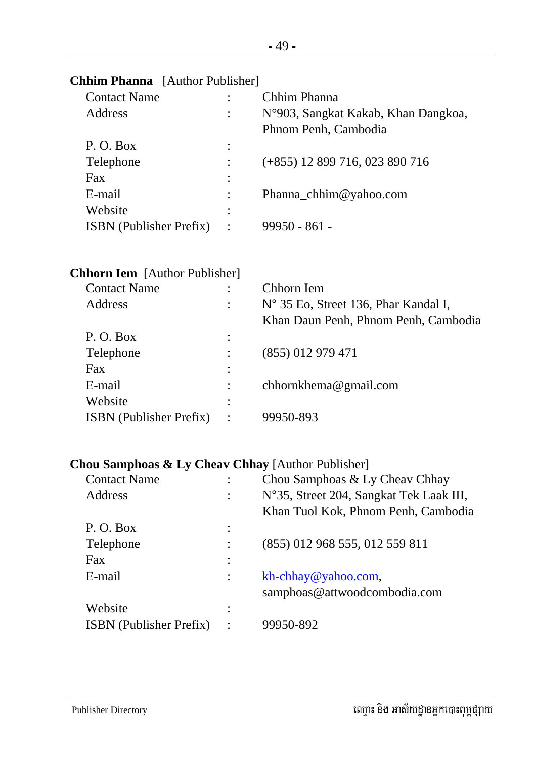| <b>Contact Name</b>                  |         | Chhim Phanna                         |
|--------------------------------------|---------|--------------------------------------|
| Address                              |         | N°903, Sangkat Kakab, Khan Dangkoa,  |
|                                      |         | Phnom Penh, Cambodia                 |
| P.O. Box                             |         |                                      |
| Telephone                            |         | $(+855)$ 12 899 716, 023 890 716     |
| Fax                                  |         |                                      |
| E-mail                               |         | Phanna_chhim@yahoo.com               |
| Website                              |         |                                      |
| <b>ISBN</b> (Publisher Prefix)       | $\cdot$ | $99950 - 861 -$                      |
|                                      |         |                                      |
| <b>Chhorn Iem</b> [Author Publisher] |         |                                      |
| <b>Contact Name</b>                  |         | Chhorn Iem                           |
| Address                              |         | N° 35 Eo, Street 136, Phar Kandal I, |

## **Chhim Phanna** [Author Publisher]

| <b>Contact Name</b>            |                | Chhorn Iem                           |
|--------------------------------|----------------|--------------------------------------|
| Address                        | $\ddot{\cdot}$ | N° 35 Eo, Street 136, Phar Kandal I, |
|                                |                | Khan Daun Penh, Phnom Penh, Cambodia |
| P.O. Box                       | $\ddot{\cdot}$ |                                      |
| Telephone                      |                | $(855)$ 012 979 471                  |
| Fax                            | $\ddot{\cdot}$ |                                      |
| E-mail                         |                | chhornkhema@gmail.com                |
| Website                        | $\ddot{\cdot}$ |                                      |
| <b>ISBN</b> (Publisher Prefix) | ÷              | 99950-893                            |
|                                |                |                                      |

#### **Chou Samphoas & Ly Cheav Chhay** [Author Publisher]

| <b>Contact Name</b>            | Chou Samphoas & Ly Cheav Chhay          |
|--------------------------------|-----------------------------------------|
| Address                        | N°35, Street 204, Sangkat Tek Laak III, |
|                                | Khan Tuol Kok, Phnom Penh, Cambodia     |
| P.O. Box                       |                                         |
| Telephone                      | (855) 012 968 555, 012 559 811          |
| Fax                            |                                         |
| E-mail                         | kh-chhay@yahoo.com,                     |
|                                | samphoas@attwoodcombodia.com            |
| Website                        |                                         |
| <b>ISBN</b> (Publisher Prefix) | 99950-892                               |
|                                |                                         |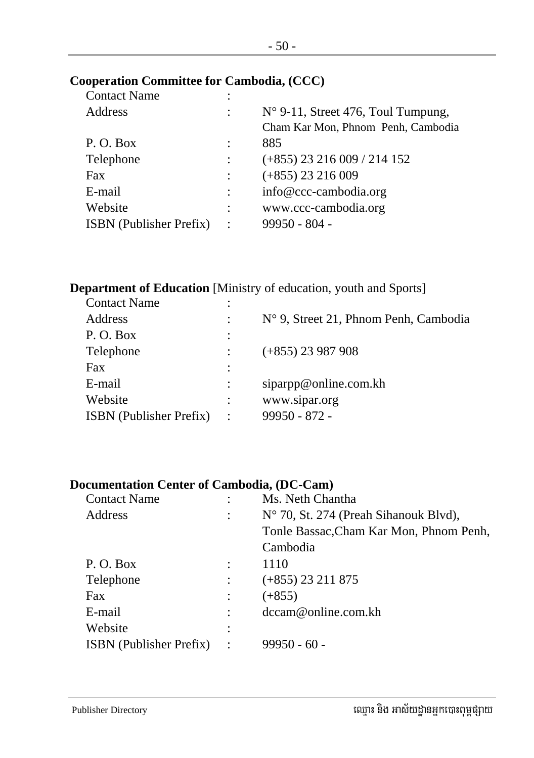#### **Cooperation Committee for Cambodia, (CCC)**

| <b>Contact Name</b>            | ٠                    |                                             |
|--------------------------------|----------------------|---------------------------------------------|
| Address                        | $\ddot{\phantom{a}}$ | $N^{\circ}$ 9-11, Street 476, Toul Tumpung, |
|                                |                      | Cham Kar Mon, Phnom Penh, Cambodia          |
| P.O. Box                       |                      | 885                                         |
| Telephone                      |                      | $(+855)$ 23 216 009 / 214 152               |
| Fax                            |                      | $(+855)$ 23 216 009                         |
| E-mail                         | $\ddot{\cdot}$       | info@ccc-cambodia.org                       |
| Website                        | $\ddot{\phantom{a}}$ | www.ccc-cambodia.org                        |
| <b>ISBN</b> (Publisher Prefix) | $\ddot{\cdot}$       | $99950 - 804 -$                             |
|                                |                      |                                             |

#### **Department of Education** [Ministry of education, youth and Sports]

| <b>Contact Name</b>            |           |                                       |
|--------------------------------|-----------|---------------------------------------|
| Address                        |           | N° 9, Street 21, Phnom Penh, Cambodia |
| P.O. Box                       |           |                                       |
| Telephone                      |           | $(+855)$ 23 987 908                   |
| Fax                            |           |                                       |
| E-mail                         |           | siparpp@online.com.kh                 |
| Website                        |           | www.sipar.org                         |
| <b>ISBN</b> (Publisher Prefix) | $\bullet$ | $99950 - 872 -$                       |
|                                |           |                                       |

#### **Documentation Center of Cambodia, (DC-Cam)**

| <b>Contact Name</b>            |                      | Ms. Neth Chantha                        |
|--------------------------------|----------------------|-----------------------------------------|
| Address                        |                      | N° 70, St. 274 (Preah Sihanouk Blvd),   |
|                                |                      | Tonle Bassac, Cham Kar Mon, Phnom Penh, |
|                                |                      | Cambodia                                |
| P. O. Box                      |                      | 1110                                    |
| Telephone                      |                      | $(+855)$ 23 211 875                     |
| Fax                            |                      | $(+855)$                                |
| E-mail                         |                      | dccam@online.com.kh                     |
| Website                        |                      |                                         |
| <b>ISBN</b> (Publisher Prefix) | $\ddot{\phantom{1}}$ | $99950 - 60 -$                          |
|                                |                      |                                         |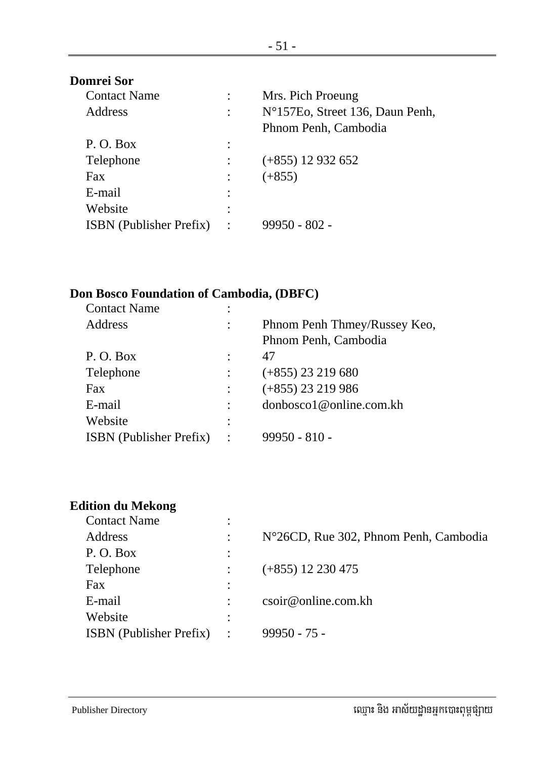| <b>Domrei Sor</b>              |                |                                 |
|--------------------------------|----------------|---------------------------------|
| <b>Contact Name</b>            |                | Mrs. Pich Proeung               |
| Address                        | $\ddot{\cdot}$ | N°157Eo, Street 136, Daun Penh, |
|                                |                | Phnom Penh, Cambodia            |
| P.O. Box                       | $\ddot{\cdot}$ |                                 |
| Telephone                      |                | $(+855)$ 12 932 652             |
| Fax                            |                | $(+855)$                        |
| E-mail                         |                |                                 |
| Website                        | ٠              |                                 |
| <b>ISBN</b> (Publisher Prefix) | ٠              | 99950 - 802 -                   |

#### **Don Bosco Foundation of Cambodia, (DBFC)**

| <b>Contact Name</b>            |                |                              |
|--------------------------------|----------------|------------------------------|
| Address                        |                | Phnom Penh Thmey/Russey Keo, |
|                                |                | Phnom Penh, Cambodia         |
| P.O. Box                       |                | 47                           |
| Telephone                      |                | $(+855)$ 23 219 680          |
| Fax                            |                | $(+855)$ 23 219 986          |
| E-mail                         |                | donbosco1@online.com.kh      |
| Website                        |                |                              |
| <b>ISBN</b> (Publisher Prefix) | $\ddot{\cdot}$ | $99950 - 810 -$              |
|                                |                |                              |

## **Edition du Mekong**

| <b>Contact Name</b>            | $\bullet$      |                                       |
|--------------------------------|----------------|---------------------------------------|
| Address                        |                | N°26CD, Rue 302, Phnom Penh, Cambodia |
| P.O. Box                       | $\ddot{\cdot}$ |                                       |
| Telephone                      |                | $(+855)$ 12 230 475                   |
| Fax                            | $\ddot{\cdot}$ |                                       |
| E-mail                         |                | csoir@online.com.kh                   |
| Website                        |                |                                       |
| <b>ISBN</b> (Publisher Prefix) | $\cdot$ :      | $99950 - 75 -$                        |
|                                |                |                                       |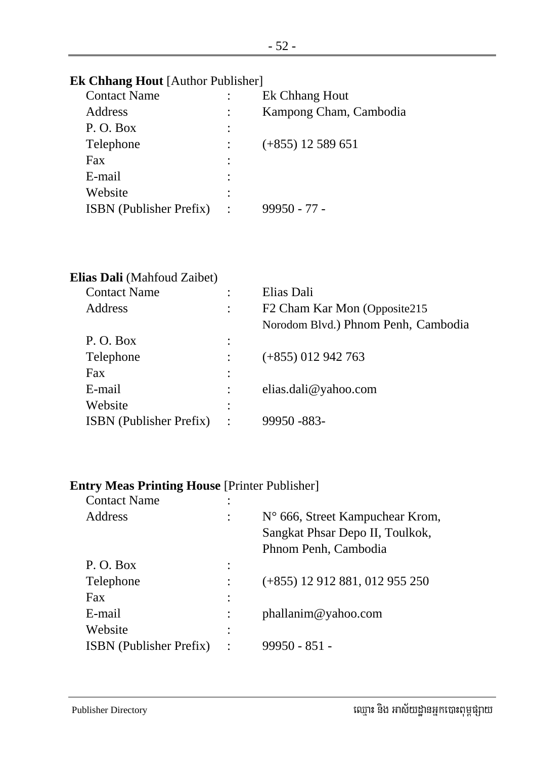#### **Ek Chhang Hout** [Author Publisher]

| <b>Contact Name</b>            |                      | Ek Chhang Hout         |
|--------------------------------|----------------------|------------------------|
| Address                        |                      | Kampong Cham, Cambodia |
| P.O. Box                       | $\ddot{\cdot}$       |                        |
| Telephone                      |                      | $(+855)$ 12 589 651    |
| Fax                            | ٠                    |                        |
| E-mail                         |                      |                        |
| Website                        |                      |                        |
| <b>ISBN</b> (Publisher Prefix) | $\ddot{\phantom{a}}$ | $99950 - 77 -$         |
|                                |                      |                        |

| Elias Dali (Mahfoud Zaibet)    |                |                                     |
|--------------------------------|----------------|-------------------------------------|
| <b>Contact Name</b>            |                | Elias Dali                          |
| Address                        |                | F2 Cham Kar Mon (Opposite215        |
|                                |                | Norodom Blvd.) Phnom Penh, Cambodia |
| P. O. Box                      |                |                                     |
| Telephone                      |                | $(+855)$ 012 942 763                |
| Fax                            |                |                                     |
| E-mail                         |                | elias.dali@yahoo.com                |
| Website                        |                |                                     |
| <b>ISBN</b> (Publisher Prefix) | $\ddot{\cdot}$ | 99950 - 883 -                       |
|                                |                |                                     |

#### **Entry Meas Printing House** [Printer Publisher]

| <b>Contact Name</b>            |                |                                  |
|--------------------------------|----------------|----------------------------------|
| Address                        |                | N° 666, Street Kampuchear Krom,  |
|                                |                | Sangkat Phsar Depo II, Toulkok,  |
|                                |                | Phnom Penh, Cambodia             |
| P.O. Box                       |                |                                  |
| Telephone                      |                | $(+855)$ 12 912 881, 012 955 250 |
| Fax                            |                |                                  |
| E-mail                         |                | phallanim@yahoo.com              |
| Website                        |                |                                  |
| <b>ISBN</b> (Publisher Prefix) | $\ddot{\cdot}$ | $99950 - 851 -$                  |
|                                |                |                                  |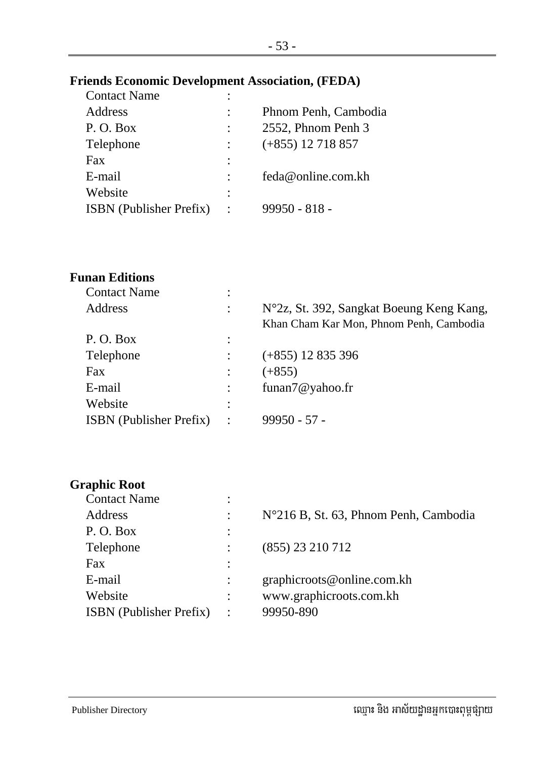#### **Friends Economic Development Association, (FEDA)**

| <b>Contact Name</b>            | ٠ |                      |
|--------------------------------|---|----------------------|
| Address                        |   | Phnom Penh, Cambodia |
| P.O. Box                       |   | 2552, Phnom Penh 3   |
| Telephone                      |   | $(+855)$ 12 718 857  |
| Fax                            | ٠ |                      |
| E-mail                         |   | feda@online.com.kh   |
| Website                        | ٠ |                      |
| <b>ISBN</b> (Publisher Prefix) |   | $99950 - 818 -$      |
|                                |   |                      |

#### **Funan Editions**

| <b>Contact Name</b>            |                |                                                                                     |
|--------------------------------|----------------|-------------------------------------------------------------------------------------|
| Address                        | $\ddot{\cdot}$ | N°2z, St. 392, Sangkat Boeung Keng Kang,<br>Khan Cham Kar Mon, Phnom Penh, Cambodia |
| P.O. Box                       |                |                                                                                     |
| Telephone                      |                | $(+855)$ 12 835 396                                                                 |
| Fax                            |                | $(+855)$                                                                            |
| E-mail                         |                | funan7@yahoo.fr                                                                     |
| Website                        | ٠              |                                                                                     |
| <b>ISBN</b> (Publisher Prefix) | $\ddot{\cdot}$ | $99950 - 57 -$                                                                      |

#### **Graphic Root**

| <b>Contact Name</b>            |         |                                       |
|--------------------------------|---------|---------------------------------------|
| Address                        |         | N°216 B, St. 63, Phnom Penh, Cambodia |
| P.O. Box                       |         |                                       |
| Telephone                      |         | (855) 23 210 712                      |
| Fax                            |         |                                       |
| E-mail                         |         | graphicroots@online.com.kh            |
| Website                        |         | www.graphicroots.com.kh               |
| <b>ISBN</b> (Publisher Prefix) | $\cdot$ | 99950-890                             |
|                                |         |                                       |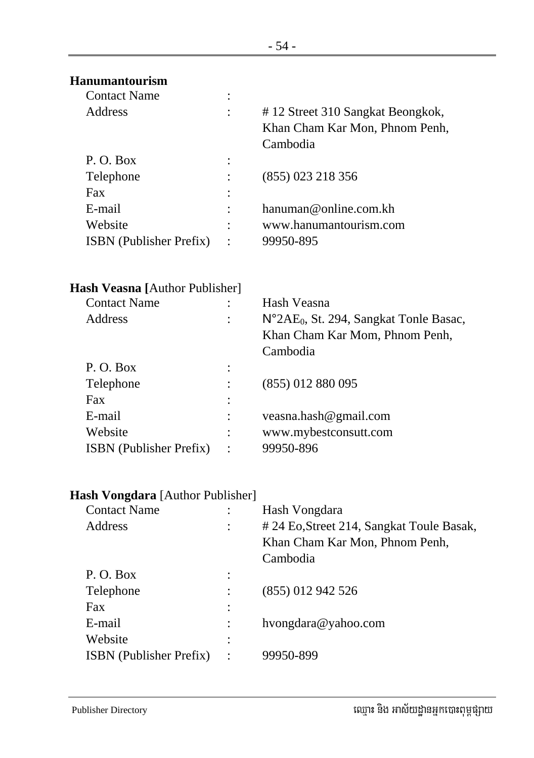| <b>Hanumantourism</b>                 |                                                                                |
|---------------------------------------|--------------------------------------------------------------------------------|
| <b>Contact Name</b>                   |                                                                                |
| Address                               | #12 Street 310 Sangkat Beongkok,<br>Khan Cham Kar Mon, Phnom Penh,<br>Cambodia |
| P.O. Box                              |                                                                                |
| Telephone                             | (855) 023 218 356                                                              |
| Fax                                   |                                                                                |
| E-mail                                | hanuman@online.com.kh                                                          |
| Website                               | www.hanumantourism.com                                                         |
| ISBN (Publisher Prefix)               | 99950-895                                                                      |
| <b>Hash Veasna</b> [Author Publisher] |                                                                                |
| <b>Contact Name</b>                   | Hash Veasna                                                                    |
| <b>Address</b>                        | N°2AE <sub>0</sub> , St. 294, Sangkat Tonle Basac,                             |
|                                       | Khan Cham Kar Mom, Phnom Penh,<br>Cambodia                                     |
| P.O. Box                              |                                                                                |
| Telephone                             | (855) 012 880 095                                                              |
| Fax                                   |                                                                                |
| E-mail                                | veasna.hash@gmail.com                                                          |
| Website                               | www.mybestconsutt.com                                                          |
| <b>ISBN</b> (Publisher Prefix)        | 99950-896                                                                      |
| Hash Vongdara [Author Publisher]      |                                                                                |
| <b>Contact Name</b>                   | Hash Vongdara                                                                  |
| Address                               | # 24 Eo, Street 214, Sangkat Toule Basak,                                      |
|                                       | Khan Cham Kar Mon, Phnom Penh,                                                 |
|                                       | Cambodia                                                                       |
| P.O. Box                              |                                                                                |
| Telephone                             | (855) 012 942 526                                                              |
| Fax                                   |                                                                                |
| E-mail                                | hvongdara@yahoo.com                                                            |
| Website                               |                                                                                |
| ISBN (Publisher Prefix)               | 99950-899                                                                      |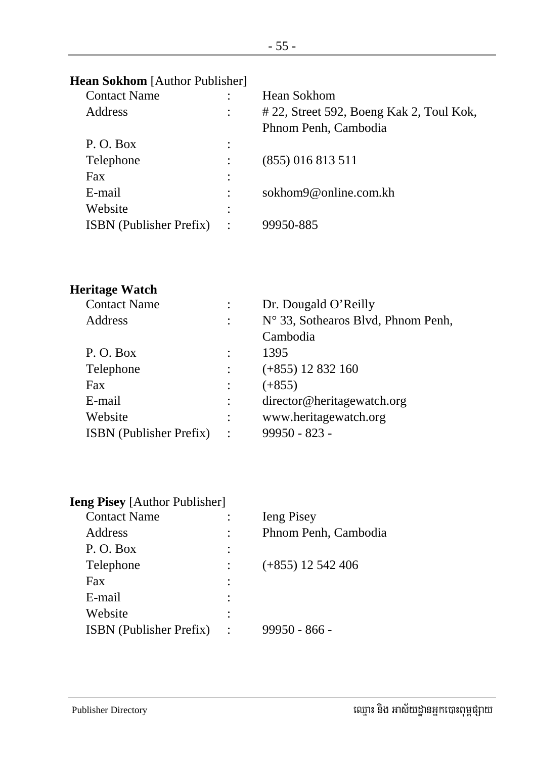# **Hean Sokhom** [Author Publisher]

| <b>Contact Name</b>            |           | <b>Hean Sokhom</b>                      |
|--------------------------------|-----------|-----------------------------------------|
| Address                        |           | #22, Street 592, Boeng Kak 2, Toul Kok, |
|                                |           | Phnom Penh, Cambodia                    |
| P.O. Box                       |           |                                         |
| Telephone                      |           | $(855)$ 016 813 511                     |
| Fax                            |           |                                         |
| E-mail                         |           | sokhom9@online.com.kh                   |
| Website                        |           |                                         |
| <b>ISBN</b> (Publisher Prefix) | $\cdot$ : | 99950-885                               |
|                                |           |                                         |

#### **Heritage Watch**

| <b>Contact Name</b>            |           | Dr. Dougald O'Reilly                        |
|--------------------------------|-----------|---------------------------------------------|
| Address                        |           | $N^{\circ}$ 33, Sothearos Blvd, Phnom Penh, |
|                                |           | Cambodia                                    |
| P.O. Box                       |           | 1395                                        |
| Telephone                      |           | $(+855)$ 12 832 160                         |
| Fax                            |           | $(+855)$                                    |
| E-mail                         |           | director@heritagewatch.org                  |
| Website                        |           | www.heritagewatch.org                       |
| <b>ISBN</b> (Publisher Prefix) | $\cdot$ : | $99950 - 823 -$                             |
|                                |           |                                             |

| <b>Ieng Pisey</b> [Author Publisher] |                      |
|--------------------------------------|----------------------|
| <b>Contact Name</b>                  | <b>I</b> eng Pisey   |
| Address                              | Phnom Penh, Cambodia |
| P.O. Box                             |                      |
| Telephone                            | $(+855)$ 12 542 406  |
| Fax                                  |                      |
| E-mail                               |                      |
| Website                              |                      |
| <b>ISBN</b> (Publisher Prefix)       | 99950 - 866 -        |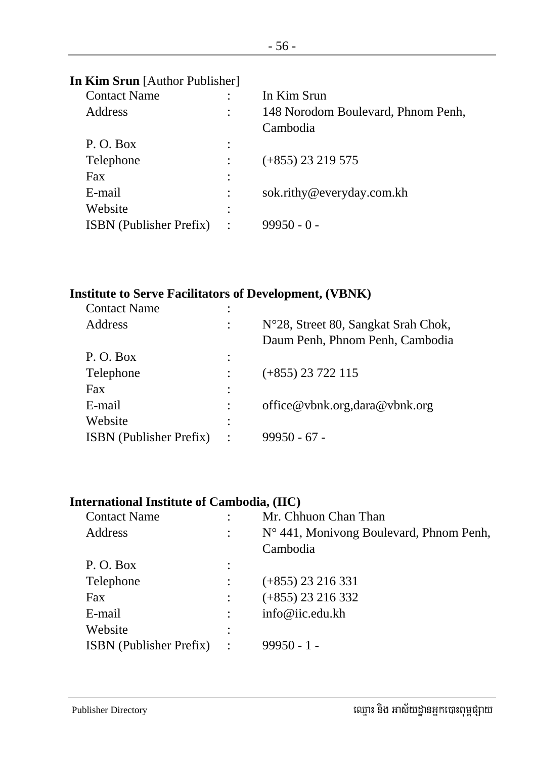| <b>In Kim Srun</b> [Author Publisher] |         |                                                |
|---------------------------------------|---------|------------------------------------------------|
| <b>Contact Name</b>                   |         | In Kim Srun                                    |
| <b>Address</b>                        |         | 148 Norodom Boulevard, Phnom Penh,<br>Cambodia |
| P.O. Box                              |         |                                                |
| Telephone                             |         | $(+855)$ 23 219 575                            |
| Fax                                   |         |                                                |
| E-mail                                |         | sok.rithy@everyday.com.kh                      |
| Website                               | ٠       |                                                |
| <b>ISBN</b> (Publisher Prefix)        | $\cdot$ | $99950 - 0 -$                                  |
|                                       |         |                                                |

#### **Institute to Serve Facilitators of Development, (VBNK)**

| <b>Contact Name</b>            | ٠       |                                     |
|--------------------------------|---------|-------------------------------------|
| Address                        |         | N°28, Street 80, Sangkat Srah Chok, |
|                                |         | Daum Penh, Phnom Penh, Cambodia     |
| P.O. Box                       |         |                                     |
| Telephone                      |         | $(+855)$ 23 722 115                 |
| Fax                            |         |                                     |
| E-mail                         |         | office@vbnk.org.dara@vbnk.org       |
| Website                        |         |                                     |
| <b>ISBN</b> (Publisher Prefix) | $\cdot$ | $99950 - 67 -$                      |
|                                |         |                                     |

#### **International Institute of Cambodia, (IIC)**

| <b>Contact Name</b>            |           | Mr. Chhuon Chan Than                    |
|--------------------------------|-----------|-----------------------------------------|
| Address                        |           | N° 441, Monivong Boulevard, Phnom Penh, |
|                                |           | Cambodia                                |
| P.O. Box                       |           |                                         |
| Telephone                      |           | $(+855)$ 23 216 331                     |
| Fax                            |           | $(+855)$ 23 216 332                     |
| E-mail                         |           | info@iic.edu.kh                         |
| Website                        |           |                                         |
| <b>ISBN</b> (Publisher Prefix) | $\cdot$ : | $99950 - 1 -$                           |
|                                |           |                                         |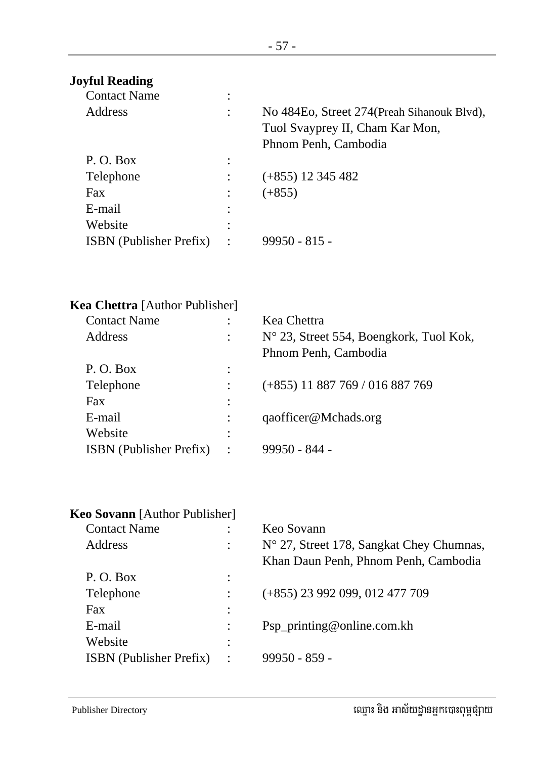# **Joyful Reading**

| <b>Contact Name</b>            | ٠                         |                                                                                                        |
|--------------------------------|---------------------------|--------------------------------------------------------------------------------------------------------|
| Address                        | ٠                         | No 484Eo, Street 274 (Preah Sihanouk Blvd),<br>Tuol Svayprey II, Cham Kar Mon,<br>Phnom Penh, Cambodia |
| P.O. Box                       | ٠<br>$\ddot{\phantom{a}}$ |                                                                                                        |
| Telephone                      |                           | $(+855)$ 12 345 482                                                                                    |
| <b>Fax</b>                     |                           | $(+855)$                                                                                               |
| E-mail                         | ٠                         |                                                                                                        |
| Website                        | ٠                         |                                                                                                        |
| <b>ISBN</b> (Publisher Prefix) | $\ddot{\phantom{a}}$      | $99950 - 815 -$                                                                                        |
|                                |                           |                                                                                                        |

| <b>Kea Chettra</b> [Author Publisher] |                      |                                         |
|---------------------------------------|----------------------|-----------------------------------------|
| <b>Contact Name</b>                   |                      | Kea Chettra                             |
| Address                               | $\ddot{\phantom{a}}$ | N° 23, Street 554, Boengkork, Tuol Kok, |
|                                       |                      | Phnom Penh, Cambodia                    |
| P.O. Box                              | ٠                    |                                         |
| Telephone                             |                      | $(+855)$ 11 887 769 / 016 887 769       |
| Fax                                   |                      |                                         |
| E-mail                                |                      | qaofficer@Mchads.org                    |
| Website                               |                      |                                         |
| <b>ISBN</b> (Publisher Prefix)        | $\ddot{\cdot}$       | $99950 - 844 -$                         |
|                                       |                      |                                         |

| Keo Sovann [Author Publisher]  |                      |                                          |
|--------------------------------|----------------------|------------------------------------------|
| <b>Contact Name</b>            |                      | Keo Sovann                               |
| Address                        | ٠                    | N° 27, Street 178, Sangkat Chey Chumnas, |
|                                |                      | Khan Daun Penh, Phnom Penh, Cambodia     |
| P.O. Box                       | ٠<br>$\bullet$       |                                          |
| Telephone                      |                      | $(+855)$ 23 992 099, 012 477 709         |
| Fax.                           | $\ddot{\cdot}$       |                                          |
| E-mail                         | ٠                    | Psp_printing@online.com.kh               |
| Website                        | ٠<br>٠               |                                          |
| <b>ISBN</b> (Publisher Prefix) | $\ddot{\phantom{0}}$ | $99950 - 859 -$                          |
|                                |                      |                                          |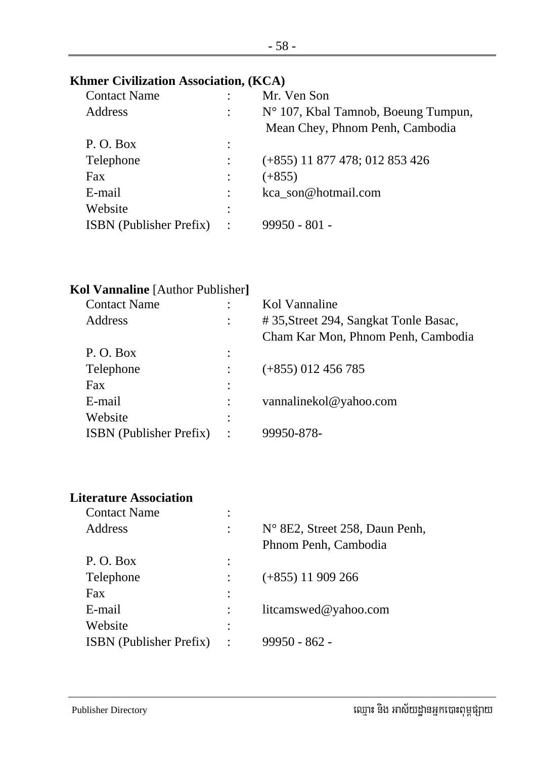#### **Khmer Civilization Association, (KCA)**

| <b>Contact Name</b>            |                | Mr. Ven Son                                                                     |
|--------------------------------|----------------|---------------------------------------------------------------------------------|
| Address                        |                | $N^{\circ}$ 107, Kbal Tamnob, Boeung Tumpun,<br>Mean Chey, Phnom Penh, Cambodia |
| P.O. Box                       | ٠              |                                                                                 |
| Telephone                      |                | $(+855)$ 11 877 478; 012 853 426                                                |
| Fax                            |                | $(+855)$                                                                        |
| E-mail                         |                | kca son@hotmail.com                                                             |
| Website                        | ٠              |                                                                                 |
| <b>ISBN</b> (Publisher Prefix) | $\ddot{\cdot}$ | $99950 - 801 -$                                                                 |
|                                |                |                                                                                 |

| Kol Vannaline [Author Publisher]      |
|---------------------------------------|
| Kol Vannaline                         |
| #35, Street 294, Sangkat Tonle Basac, |
| Cham Kar Mon, Phnom Penh, Cambodia    |
|                                       |
| $(+855)$ 012 456 785                  |
|                                       |
| vannalinekol@yahoo.com                |
|                                       |
| 99950-878-                            |
|                                       |

# **Literature Association**

| <b>Contact Name</b>            | ٠ |                                |
|--------------------------------|---|--------------------------------|
| <b>Address</b>                 |   | N° 8E2, Street 258, Daun Penh, |
|                                |   | Phnom Penh, Cambodia           |
| P.O. Box                       |   |                                |
| Telephone                      |   | $(+855)$ 11 909 266            |
| Fax                            |   |                                |
| E-mail                         |   | litcamswed@yahoo.com           |
| Website                        |   |                                |
| <b>ISBN</b> (Publisher Prefix) |   | 99950 - 862 -                  |
|                                |   |                                |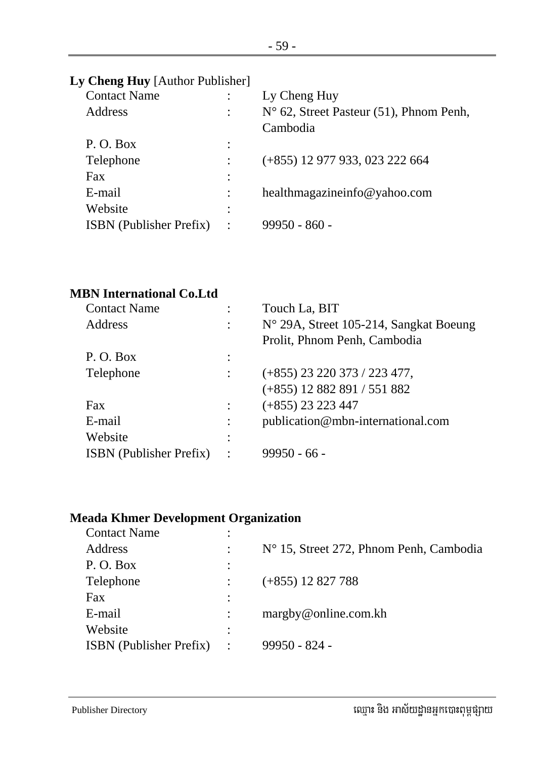# **Ly Cheng Huy** [Author Publisher]

| <b>Contact Name</b>            |                      | Ly Cheng Huy                                     |
|--------------------------------|----------------------|--------------------------------------------------|
| <b>Address</b>                 | ٠                    | $N^{\circ}$ 62, Street Pasteur (51), Phnom Penh, |
|                                |                      | Cambodia                                         |
| P. O. Box                      | ٠<br>$\bullet$       |                                                  |
| Telephone                      | $\ddot{\phantom{a}}$ | (+855) 12 977 933, 023 222 664                   |
| Fax                            | ٠                    |                                                  |
| E-mail                         | $\ddot{\cdot}$       | healthmagazineinfo@yahoo.com                     |
| Website                        | ٠                    |                                                  |
| <b>ISBN</b> (Publisher Prefix) | $\ddot{\cdot}$       | $99950 - 860 -$                                  |
|                                |                      |                                                  |

## **MBN International Co.Ltd**

| <b>Contact Name</b>            | Touch La, BIT                          |
|--------------------------------|----------------------------------------|
| Address                        | N° 29A, Street 105-214, Sangkat Boeung |
|                                | Prolit, Phnom Penh, Cambodia           |
| P. O. Box                      |                                        |
| Telephone                      | $(+855)$ 23 220 373 / 223 477,         |
|                                | $(+855)$ 12 882 891 / 551 882          |
| Fax                            | $(+855)$ 23 223 447                    |
| E-mail                         | publication@mbn-international.com      |
| Website                        |                                        |
| <b>ISBN</b> (Publisher Prefix) | $99950 - 66 -$                         |
|                                |                                        |

# **Meada Khmer Development Organization**

| <b>Contact Name</b>            | ٠              |                                                  |
|--------------------------------|----------------|--------------------------------------------------|
| Address                        |                | $N^{\circ}$ 15, Street 272, Phnom Penh, Cambodia |
| P.O. Box                       |                |                                                  |
| Telephone                      |                | $(+855)$ 12 827 788                              |
| Fax                            | ٠              |                                                  |
| E-mail                         |                | margby@online.com.kh                             |
| Website                        | ٠              |                                                  |
| <b>ISBN</b> (Publisher Prefix) | $\ddot{\cdot}$ | $99950 - 824 -$                                  |
|                                |                |                                                  |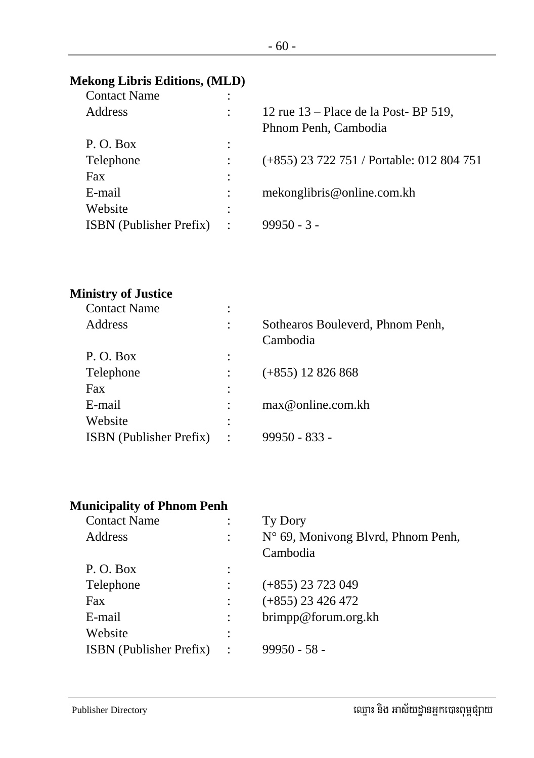#### **Mekong Libris Editions, (MLD)**

| <b>Contact Name</b>            | ٠<br>$\bullet$ |                                           |
|--------------------------------|----------------|-------------------------------------------|
| Address                        | $\ddot{\cdot}$ | 12 rue $13$ – Place de la Post-BP 519,    |
|                                |                | Phnom Penh, Cambodia                      |
| P.O. Box                       | ٠<br>$\bullet$ |                                           |
| Telephone                      |                | (+855) 23 722 751 / Portable: 012 804 751 |
| <b>Fax</b>                     | $\ddot{\cdot}$ |                                           |
| E-mail                         | $\ddot{\cdot}$ | mekonglibris@online.com.kh                |
| Website                        | ٠<br>$\bullet$ |                                           |
| <b>ISBN</b> (Publisher Prefix) | $\ddot{\cdot}$ | $99950 - 3 -$                             |
|                                |                |                                           |

#### **Ministry of Justice**

| <b>Contact Name</b>            | ٠ |                                  |
|--------------------------------|---|----------------------------------|
| <b>Address</b>                 |   | Sothearos Bouleverd, Phnom Penh, |
|                                |   | Cambodia                         |
| P.O. Box                       | ٠ |                                  |
| Telephone                      |   | $(+855)$ 12 826 868              |
| Fax                            | ٠ |                                  |
| E-mail                         |   | max@online.com.kh                |
| Website                        | ٠ |                                  |
| <b>ISBN</b> (Publisher Prefix) |   | $99950 - 833 -$                  |
|                                |   |                                  |

# **Municipality of Phnom Penh**

| <b>Contact Name</b>            |                      | Ty Dory                            |
|--------------------------------|----------------------|------------------------------------|
| Address                        | $\ddot{\phantom{a}}$ | N° 69, Monivong Blvrd, Phnom Penh, |
|                                |                      | Cambodia                           |
| P.O. Box                       | $\cdot$              |                                    |
| Telephone                      |                      | $(+855)$ 23 723 049                |
| Fax                            |                      | $(+855)$ 23 426 472                |
| E-mail                         |                      | brimpp@forum.org.kh                |
| Website                        |                      |                                    |
| <b>ISBN</b> (Publisher Prefix) | $\ddot{\cdot}$       | $99950 - 58 -$                     |
|                                |                      |                                    |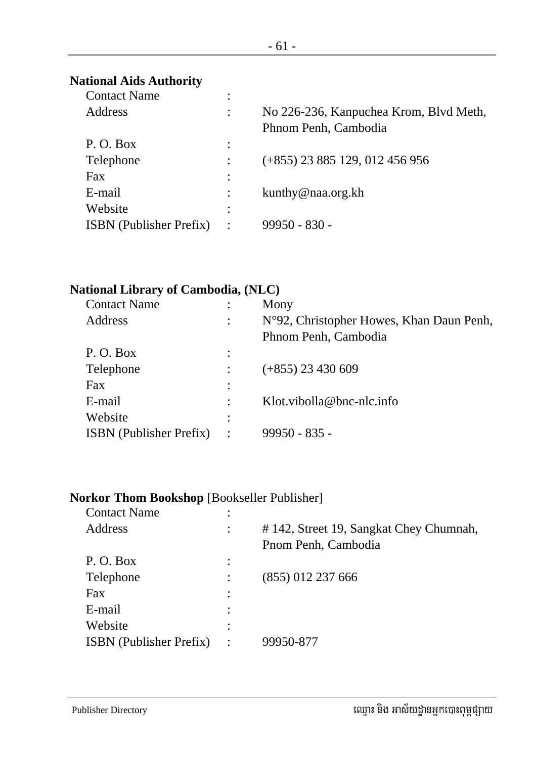#### **National Aids Authority**

| <b>Contact Name</b>            | ٠                   |                                        |
|--------------------------------|---------------------|----------------------------------------|
| Address                        |                     | No 226-236, Kanpuchea Krom, Blvd Meth, |
|                                |                     | Phnom Penh, Cambodia                   |
| P.O. Box                       | ٠<br>$\cdot$        |                                        |
| Telephone                      |                     | $(+855)$ 23 885 129, 012 456 956       |
| Fax                            | $\ddot{\cdot}$      |                                        |
| E-mail                         |                     | kunthy@naa.org.kh                      |
| Website                        | ٠<br>$\blacksquare$ |                                        |
| <b>ISBN</b> (Publisher Prefix) | $\ddot{\cdot}$      | $99950 - 830 -$                        |
|                                |                     |                                        |

#### **National Library of Cambodia, (NLC)**

| <b>Contact Name</b>            |                      | Mony                                     |
|--------------------------------|----------------------|------------------------------------------|
| Address                        |                      | N°92, Christopher Howes, Khan Daun Penh, |
|                                |                      | Phnom Penh, Cambodia                     |
| P.O. Box                       | ٠                    |                                          |
| Telephone                      |                      | $(+855)$ 23 430 609                      |
| Fax                            |                      |                                          |
| E-mail                         |                      | Klot.vibolla@bnc-nlc.info                |
| Website                        | ٠                    |                                          |
| <b>ISBN</b> (Publisher Prefix) | $\ddot{\phantom{a}}$ | $99950 - 835 -$                          |
|                                |                      |                                          |

#### **Norkor Thom Bookshop** [Bookseller Publisher]

| <b>Contact Name</b>            | ٠         |                                        |
|--------------------------------|-----------|----------------------------------------|
| Address                        |           | #142, Street 19, Sangkat Chey Chumnah, |
|                                |           | Pnom Penh, Cambodia                    |
| P.O. Box                       |           |                                        |
| Telephone                      |           | $(855)$ 012 237 666                    |
| Fax                            |           |                                        |
| E-mail                         |           |                                        |
| Website                        |           |                                        |
| <b>ISBN</b> (Publisher Prefix) | $\bullet$ | 99950-877                              |
|                                |           |                                        |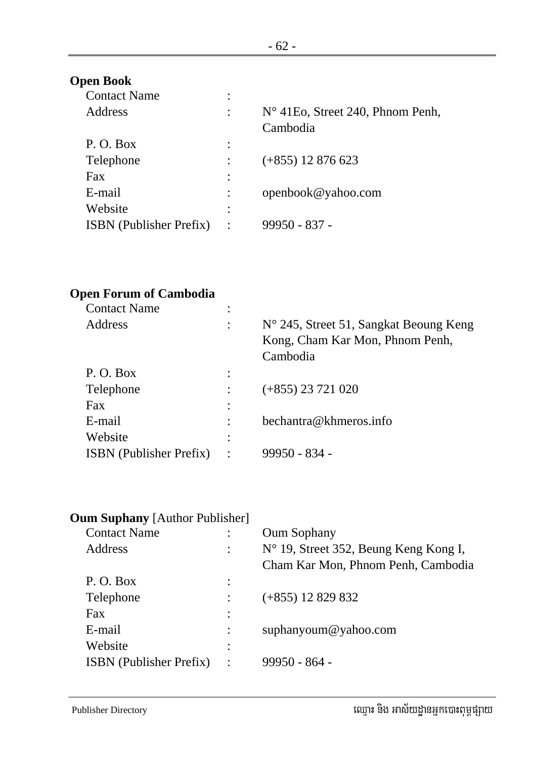## **Open Book**

| <b>Contact Name</b>            | ٠                   |                                            |
|--------------------------------|---------------------|--------------------------------------------|
| <b>Address</b>                 |                     | $N^{\circ}$ 41 Eo, Street 240, Phnom Penh, |
|                                |                     | Cambodia                                   |
| P.O. Box                       | ٠<br>$\overline{a}$ |                                            |
| Telephone                      |                     | $(+855)$ 12 876 623                        |
| Fax                            | ٠                   |                                            |
| E-mail                         |                     | openbook@yahoo.com                         |
| Website                        | ٠                   |                                            |
| <b>ISBN</b> (Publisher Prefix) | $\ddot{\cdot}$      | 99950 - 837 -                              |
|                                |                     |                                            |

#### **Open Forum of Cambodia**

| <b>Contact Name</b>            | ٠ |                                                                                                |
|--------------------------------|---|------------------------------------------------------------------------------------------------|
| Address                        |   | $N^{\circ}$ 245, Street 51, Sangkat Beoung Keng<br>Kong, Cham Kar Mon, Phnom Penh,<br>Cambodia |
| P.O. Box                       | ٠ |                                                                                                |
| Telephone                      |   | $(+855)$ 23 721 020                                                                            |
| Fax                            |   |                                                                                                |
| E-mail                         |   | bechantra@khmeros.info                                                                         |
| Website                        | ٠ |                                                                                                |
| <b>ISBN</b> (Publisher Prefix) |   | 99950 - 834 -                                                                                  |
|                                |   |                                                                                                |

#### **Oum Suphany** [Author Publisher]

| <b>Contact Name</b>            |   | <b>Oum Sophany</b>                    |
|--------------------------------|---|---------------------------------------|
| Address                        |   | N° 19, Street 352, Beung Keng Kong I, |
|                                |   | Cham Kar Mon, Phnom Penh, Cambodia    |
| P.O. Box                       | ٠ |                                       |
| Telephone                      |   | $(+855)$ 12 829 832                   |
| Fax                            | ٠ |                                       |
| E-mail                         |   | suphanyoum@yahoo.com                  |
| Website                        | ٠ |                                       |
| <b>ISBN</b> (Publisher Prefix) |   | $99950 - 864 -$                       |
|                                |   |                                       |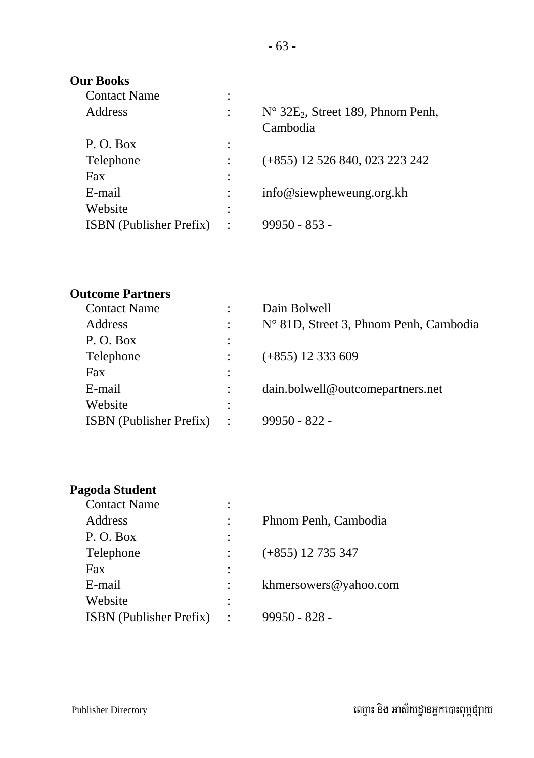#### **Our Books**

| <b>Contact Name</b>            | ٠                             |                                                            |
|--------------------------------|-------------------------------|------------------------------------------------------------|
| <b>Address</b>                 |                               | $N^{\circ}$ 32 $E_2$ , Street 189, Phnom Penh,<br>Cambodia |
| P.O. Box                       | ٠                             |                                                            |
| Telephone                      |                               | (+855) 12 526 840, 023 223 242                             |
| Fax                            | ٠                             |                                                            |
| E-mail                         |                               | info@siewpheweung.org.kh                                   |
| Website                        | ٠<br>$\overline{\phantom{a}}$ |                                                            |
| <b>ISBN</b> (Publisher Prefix) | $\ddot{\cdot}$                | $99950 - 853 -$                                            |
|                                |                               |                                                            |

#### **Outcome Partners**

| <b>Contact Name</b>            |                | Dain Bolwell                                    |
|--------------------------------|----------------|-------------------------------------------------|
| Address                        |                | $N^{\circ}$ 81D, Street 3, Phnom Penh, Cambodia |
| P.O. Box                       | $\ddot{\cdot}$ |                                                 |
| Telephone                      |                | $(+855)$ 12 333 609                             |
| Fax                            |                |                                                 |
| E-mail                         | $\ddot{\cdot}$ | dain.bolwell@outcomepartners.net                |
| Website                        | ٠              |                                                 |
| <b>ISBN</b> (Publisher Prefix) | $\ddot{\cdot}$ | $99950 - 822 -$                                 |

# **Pagoda Student**

| <b>Contact Name</b>            | ٠              |                       |
|--------------------------------|----------------|-----------------------|
| Address                        |                | Phnom Penh, Cambodia  |
| P.O. Box                       | $\ddot{\cdot}$ |                       |
| Telephone                      |                | $(+855)$ 12 735 347   |
| Fax                            | $\ddot{\cdot}$ |                       |
| E-mail                         |                | khmersowers@yahoo.com |
| Website                        | $\ddot{\cdot}$ |                       |
| <b>ISBN</b> (Publisher Prefix) |                | $99950 - 828 -$       |
|                                |                |                       |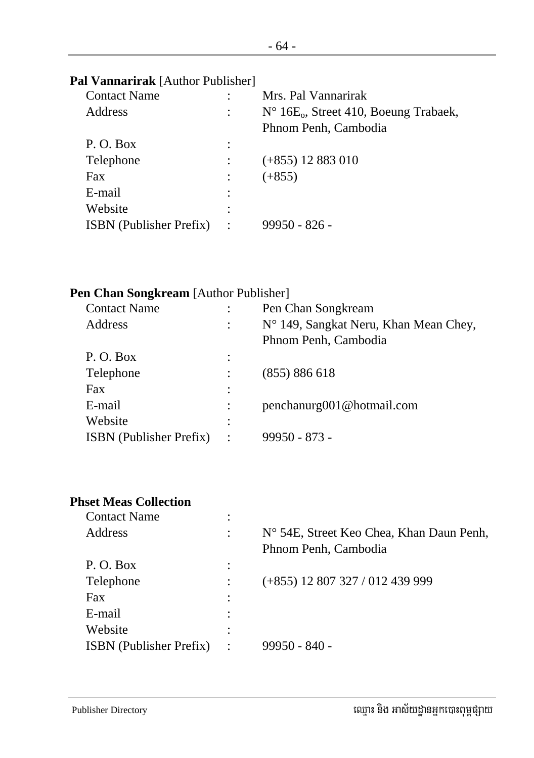## **Pal Vannarirak** [Author Publisher]

| <b>Contact Name</b>            |         | Mrs. Pal Vannarirak                                        |
|--------------------------------|---------|------------------------------------------------------------|
| Address                        |         | $N^{\circ}$ 16E <sub>0</sub> , Street 410, Boeung Trabaek, |
|                                |         | Phnom Penh, Cambodia                                       |
| P.O. Box                       |         |                                                            |
| Telephone                      |         | $(+855)$ 12 883 010                                        |
| Fax                            |         | $(+855)$                                                   |
| E-mail                         |         |                                                            |
| Website                        | ٠       |                                                            |
| <b>ISBN</b> (Publisher Prefix) | $\cdot$ | $99950 - 826 -$                                            |
|                                |         |                                                            |

#### **Pen Chan Songkream** [Author Publisher]

| <b>Contact Name</b>            |                        | Pen Chan Songkream                    |
|--------------------------------|------------------------|---------------------------------------|
| Address                        |                        | N° 149, Sangkat Neru, Khan Mean Chey, |
|                                |                        | Phnom Penh, Cambodia                  |
| P.O. Box                       |                        |                                       |
| Telephone                      |                        | (855) 886 618                         |
| Fax                            |                        |                                       |
| E-mail                         |                        | penchanurg001@hotmail.com             |
| Website                        |                        |                                       |
| <b>ISBN</b> (Publisher Prefix) | $\ddot{\phantom{1}}$ : | $99950 - 873 -$                       |
|                                |                        |                                       |

#### **Phset Meas Collection**

| <b>Contact Name</b>            | ٠              |                                          |
|--------------------------------|----------------|------------------------------------------|
| Address                        |                | N° 54E, Street Keo Chea, Khan Daun Penh, |
|                                |                | Phnom Penh, Cambodia                     |
| P. O. Box                      | ٠              |                                          |
| Telephone                      |                | $(+855)$ 12 807 327 / 012 439 999        |
| Fax                            | ٠              |                                          |
| E-mail                         |                |                                          |
| Website                        | ٠              |                                          |
| <b>ISBN</b> (Publisher Prefix) | $\ddot{\cdot}$ | $99950 - 840 -$                          |
|                                |                |                                          |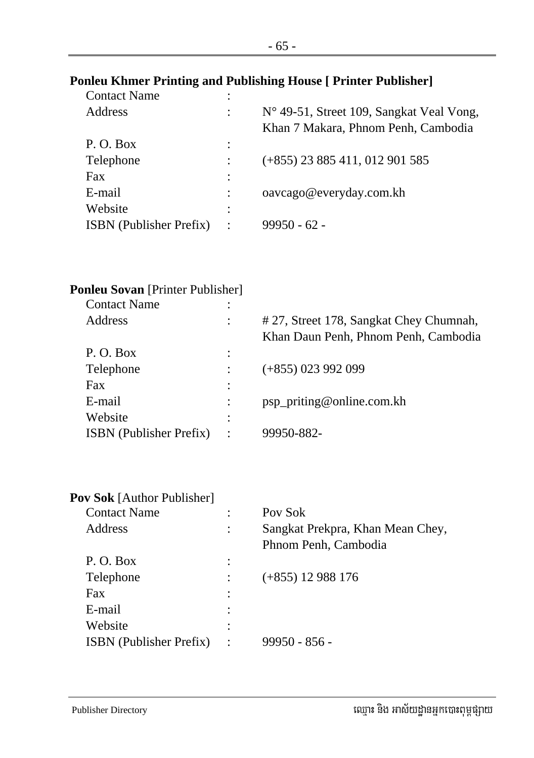### **Ponleu Khmer Printing and Publishing House [ Printer Publisher]**

| <b>Contact Name</b>            | $\bullet$            |                                                                                 |
|--------------------------------|----------------------|---------------------------------------------------------------------------------|
| Address                        |                      | N° 49-51, Street 109, Sangkat Veal Vong,<br>Khan 7 Makara, Phnom Penh, Cambodia |
| P.O. Box                       |                      |                                                                                 |
| Telephone                      |                      | $(+855)$ 23 885 411, 012 901 585                                                |
| Fax                            |                      |                                                                                 |
| E-mail                         |                      | oavcago@everyday.com.kh                                                         |
| Website                        | ٠                    |                                                                                 |
| <b>ISBN</b> (Publisher Prefix) | $\ddot{\phantom{1}}$ | $99950 - 62 -$                                                                  |
|                                |                      |                                                                                 |

|  | <b>Ponleu Sovan</b> [Printer Publisher] |  |
|--|-----------------------------------------|--|
|  |                                         |  |

| <b>Contact Name</b>            | ٠<br>$\bullet$ |                                        |
|--------------------------------|----------------|----------------------------------------|
| Address                        | $\ddot{\cdot}$ | #27, Street 178, Sangkat Chey Chumnah, |
|                                |                | Khan Daun Penh, Phnom Penh, Cambodia   |
| P.O. Box                       | $\ddot{\cdot}$ |                                        |
| Telephone                      |                | $(+855)$ 023 992 099                   |
| Fax                            | $\ddot{\cdot}$ |                                        |
| E-mail                         |                | psp_priting@online.com.kh              |
| Website                        | ٠<br>٠         |                                        |
| <b>ISBN</b> (Publisher Prefix) | $\cdot$        | 99950-882-                             |
|                                |                |                                        |

| <b>Pov Sok</b> [Author Publisher] |   |                                  |
|-----------------------------------|---|----------------------------------|
| <b>Contact Name</b>               |   | Pov Sok                          |
| Address                           |   | Sangkat Prekpra, Khan Mean Chey, |
|                                   |   | Phnom Penh, Cambodia             |
| P.O. Box                          | ٠ |                                  |
| Telephone                         |   | $(+855)$ 12 988 176              |
| Fax                               |   |                                  |
| E-mail                            |   |                                  |
| Website                           |   |                                  |
| <b>ISBN</b> (Publisher Prefix)    |   | 99950 - 856 -                    |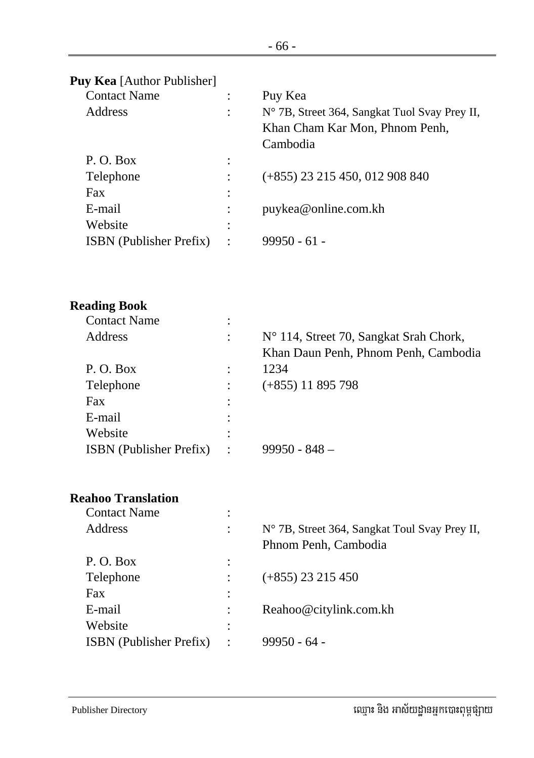# **Puy Kea** [Author Publisher]

| <b>Contact Name</b>            |                                   | Puy Kea                                                                                     |
|--------------------------------|-----------------------------------|---------------------------------------------------------------------------------------------|
| Address                        | $\ddot{\cdot}$                    | N° 7B, Street 364, Sangkat Tuol Svay Prey II,<br>Khan Cham Kar Mon, Phnom Penh,<br>Cambodia |
| P.O. Box                       | $\bullet$<br>$\ddot{\phantom{0}}$ |                                                                                             |
| Telephone                      |                                   | $(+855)$ 23 215 450, 012 908 840                                                            |
| Fax                            | $\ddot{\cdot}$                    |                                                                                             |
| E-mail                         |                                   | puykea@online.com.kh                                                                        |
| Website                        | ٠                                 |                                                                                             |
| <b>ISBN</b> (Publisher Prefix) | $\cdot$                           | $99950 - 61 -$                                                                              |
|                                |                                   |                                                                                             |

| <b>Reading Book</b>            |   |                                        |
|--------------------------------|---|----------------------------------------|
| <b>Contact Name</b>            | ٠ |                                        |
| Address                        |   | N° 114, Street 70, Sangkat Srah Chork, |
|                                |   | Khan Daun Penh, Phnom Penh, Cambodia   |
| P.O. Box                       |   | 1234                                   |
| Telephone                      |   | $(+855)$ 11 895 798                    |
| Fax                            |   |                                        |
| E-mail                         | ٠ |                                        |
| Website                        |   |                                        |
| <b>ISBN</b> (Publisher Prefix) |   | $99950 - 848 -$                        |

#### **Reahoo Translation**

| <b>Contact Name</b>            | ٠              |                                               |
|--------------------------------|----------------|-----------------------------------------------|
| Address                        |                | N° 7B, Street 364, Sangkat Toul Svay Prey II, |
|                                |                | Phnom Penh, Cambodia                          |
| P.O. Box                       | $\ddot{\cdot}$ |                                               |
| Telephone                      |                | $(+855)$ 23 215 450                           |
| Fax                            | $\ddot{\cdot}$ |                                               |
| E-mail                         |                | Reahoo@citylink.com.kh                        |
| Website                        | ٠<br>$\bullet$ |                                               |
| <b>ISBN</b> (Publisher Prefix) | $\ddot{\cdot}$ | 99950 - 64 -                                  |
|                                |                |                                               |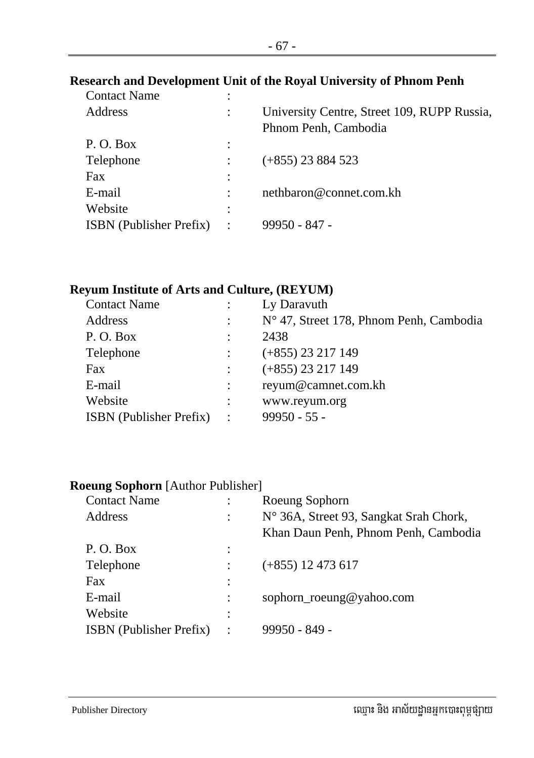# **Research and Development Unit of the Royal University of Phnom Penh**

| <b>Contact Name</b>            |         |                                             |
|--------------------------------|---------|---------------------------------------------|
| Address                        |         | University Centre, Street 109, RUPP Russia, |
|                                |         | Phnom Penh, Cambodia                        |
| P.O. Box                       |         |                                             |
| Telephone                      |         | $(+855)$ 23 884 523                         |
| Fax                            |         |                                             |
| E-mail                         |         | nethbaron@connet.com.kh                     |
| Website                        |         |                                             |
| <b>ISBN</b> (Publisher Prefix) | $\cdot$ | $99950 - 847 -$                             |
|                                |         |                                             |

### **Reyum Institute of Arts and Culture, (REYUM)**

| <b>Contact Name</b>            |                      | Ly Daravuth                                      |
|--------------------------------|----------------------|--------------------------------------------------|
| Address                        | $\ddot{\cdot}$       | $N^{\circ}$ 47, Street 178, Phnom Penh, Cambodia |
| P.O. Box                       | $\ddot{\cdot}$       | 2438                                             |
| Telephone                      |                      | $(+855)$ 23 217 149                              |
| Fax                            |                      | $(+855)$ 23 217 149                              |
| E-mail                         |                      | reyum@camnet.com.kh                              |
| Website                        |                      | www.reyum.org                                    |
| <b>ISBN</b> (Publisher Prefix) | $\ddot{\phantom{a}}$ | $99950 - 55 -$                                   |
|                                |                      |                                                  |

### **Roeung Sophorn** [Author Publisher]

| <b>Contact Name</b>            |                | Roeung Sophorn                         |
|--------------------------------|----------------|----------------------------------------|
| Address                        | $\ddot{\cdot}$ | N° 36A, Street 93, Sangkat Srah Chork, |
|                                |                | Khan Daun Penh, Phnom Penh, Cambodia   |
| P.O. Box                       | $\ddot{\cdot}$ |                                        |
| Telephone                      |                | $(+855)$ 12 473 617                    |
| Fax                            | $\ddot{\cdot}$ |                                        |
| E-mail                         | $\ddot{\cdot}$ | sophorn_roeung@yahoo.com               |
| Website                        | ٠<br>$\cdot$   |                                        |
| <b>ISBN</b> (Publisher Prefix) | $\cdot$        | 99950 - 849 -                          |
|                                |                |                                        |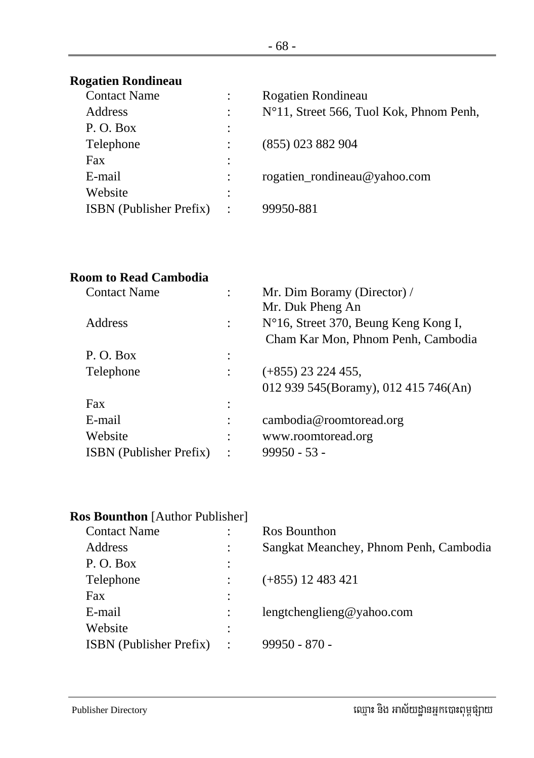## **Rogatien Rondineau**

| <b>Contact Name</b>            |                        | Rogatien Rondineau                      |
|--------------------------------|------------------------|-----------------------------------------|
| Address                        | $\ddot{\cdot}$         | N°11, Street 566, Tuol Kok, Phnom Penh, |
| P.O. Box                       | $\ddot{\cdot}$         |                                         |
| Telephone                      |                        | (855) 023 882 904                       |
| Fax                            | $\ddot{\cdot}$         |                                         |
| E-mail                         |                        | rogatien_rondineau@yahoo.com            |
| Website                        | ٠                      |                                         |
| <b>ISBN</b> (Publisher Prefix) | $\ddot{\phantom{1}}$ : | 99950-881                               |
|                                |                        |                                         |

# **Room to Read Cambodia**

| <b>Contact Name</b>            | Mr. Dim Boramy (Director) /          |
|--------------------------------|--------------------------------------|
|                                | Mr. Duk Pheng An                     |
| <b>Address</b>                 | N°16, Street 370, Beung Keng Kong I, |
|                                | Cham Kar Mon, Phnom Penh, Cambodia   |
| P.O. Box                       |                                      |
| Telephone                      | $(+855)$ 23 224 455,                 |
|                                | 012 939 545(Boramy), 012 415 746(An) |
| Fax                            |                                      |
| E-mail                         | cambodia@roomtoread.org              |
| Website                        | www.roomtoread.org                   |
| <b>ISBN</b> (Publisher Prefix) | $99950 - 53 -$                       |
|                                |                                      |

| <b>Ros Bounthon</b> [Author Publisher] |                                        |
|----------------------------------------|----------------------------------------|
|                                        | Ros Bounthon                           |
|                                        | Sangkat Meanchey, Phnom Penh, Cambodia |
| ٠                                      |                                        |
|                                        | $(+855)$ 12 483 421                    |
|                                        |                                        |
|                                        | lengtchenglieng@yahoo.com              |
| ٠                                      |                                        |
| $\ddot{\phantom{a}}$                   | $99950 - 870 -$                        |
|                                        |                                        |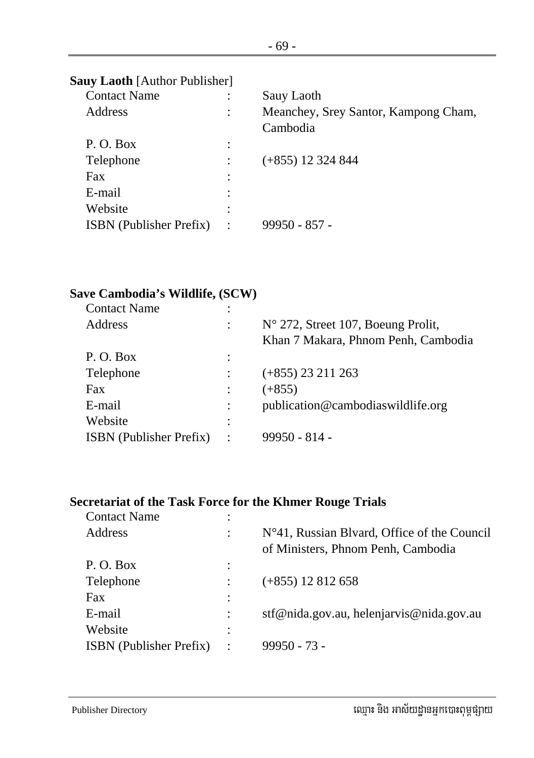|  |  |  | Sauy Laoth [Author Publisher] |
|--|--|--|-------------------------------|
|--|--|--|-------------------------------|

| <b>Contact Name</b>            |                      | Sauy Laoth                                       |
|--------------------------------|----------------------|--------------------------------------------------|
| Address                        | $\ddot{\phantom{a}}$ | Meanchey, Srey Santor, Kampong Cham,<br>Cambodia |
| P.O. Box                       |                      |                                                  |
| Telephone                      |                      | $(+855)$ 12 324 844                              |
| Fax                            | ٠                    |                                                  |
| E-mail                         |                      |                                                  |
| Website                        | ٠                    |                                                  |
| <b>ISBN</b> (Publisher Prefix) | $\cdot$ :            | $99950 - 857 -$                                  |
|                                |                      |                                                  |

### **Save Cambodia's Wildlife, (SCW)**

| <b>Contact Name</b>            | ٠                             |                                             |
|--------------------------------|-------------------------------|---------------------------------------------|
| Address                        |                               | $N^{\circ}$ 272, Street 107, Boeung Prolit, |
|                                |                               | Khan 7 Makara, Phnom Penh, Cambodia         |
| P.O. Box                       | ٠<br>$\overline{\phantom{a}}$ |                                             |
| Telephone                      |                               | $(+855)$ 23 211 263                         |
| <b>Fax</b>                     |                               | $(+855)$                                    |
| E-mail                         |                               | publication@cambodiaswildlife.org           |
| Website                        | ٠                             |                                             |
| <b>ISBN</b> (Publisher Prefix) | $\ddot{\phantom{a}}$          | $99950 - 814$                               |
|                                |                               |                                             |

#### **Secretariat of the Task Force for the Khmer Rouge Trials**

| <b>Contact Name</b>            | ٠                    |                                                                                      |
|--------------------------------|----------------------|--------------------------------------------------------------------------------------|
| Address                        | ٠                    | $No41$ , Russian Blvard, Office of the Council<br>of Ministers, Phnom Penh, Cambodia |
| P.O. Box                       | ٠                    |                                                                                      |
| Telephone                      |                      | $(+855)$ 12 812 658                                                                  |
| Fax                            |                      |                                                                                      |
| E-mail                         |                      | stf@nida.gov.au, helenjarvis@nida.gov.au                                             |
| Website                        | ٠                    |                                                                                      |
| <b>ISBN</b> (Publisher Prefix) | $\ddot{\phantom{0}}$ | $99950 - 73 -$                                                                       |
|                                |                      |                                                                                      |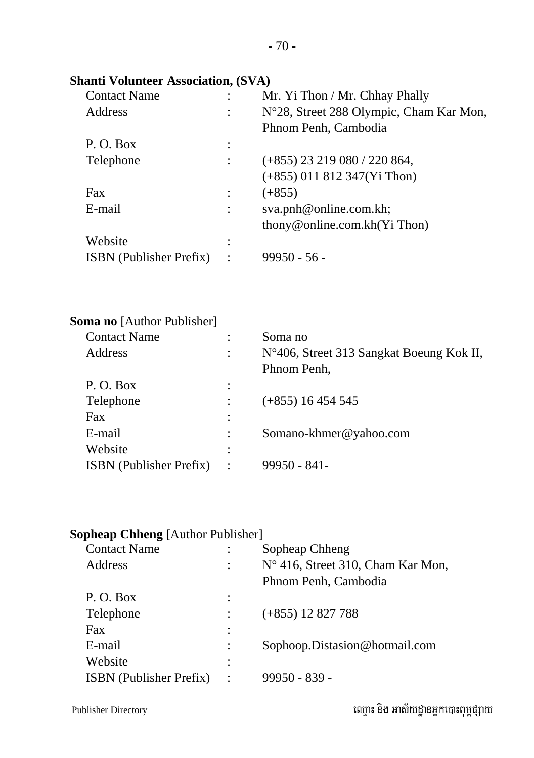| <b>Shanti Volunteer Association, (SVA)</b> |          |                                          |
|--------------------------------------------|----------|------------------------------------------|
| <b>Contact Name</b>                        |          | Mr. Yi Thon / Mr. Chhay Phally           |
| Address                                    |          | N°28, Street 288 Olympic, Cham Kar Mon,  |
|                                            |          | Phnom Penh, Cambodia                     |
| P.O. Box                                   |          |                                          |
| Telephone                                  |          | $(+855)$ 23 219 080 / 220 864,           |
|                                            |          | $(+855)$ 011 812 347(Yi Thon)            |
| Fax                                        | $\vdots$ | $(+855)$                                 |
| E-mail                                     |          | sva.pnh@online.com.kh;                   |
|                                            |          | thony@online.com.kh(Yi Thon)             |
| Website                                    |          |                                          |
| <b>ISBN</b> (Publisher Prefix)             |          | $99950 - 56 -$                           |
|                                            |          |                                          |
| <b>Soma no</b> [Author Publisher]          |          |                                          |
| <b>Contact Name</b>                        |          | Soma no                                  |
| Address                                    |          | N°406, Street 313 Sangkat Boeung Kok II, |
|                                            |          | Phnom Penh,                              |
| P.O. Box                                   |          |                                          |
| Telephone                                  |          | $(+855)$ 16 454 545                      |
| Fax                                        |          |                                          |
| E-mail                                     |          | Somano-khmer@yahoo.com                   |
| Website                                    |          |                                          |
| <b>ISBN</b> (Publisher Prefix)             |          | 99950 - 841 -                            |
|                                            |          |                                          |

# **Sopheap Chheng** [Author Publisher]

| <b>Contact Name</b>            |                      | Sopheap Chheng                    |
|--------------------------------|----------------------|-----------------------------------|
| <b>Address</b>                 |                      | N° 416, Street 310, Cham Kar Mon, |
|                                |                      | Phnom Penh, Cambodia              |
| P.O. Box                       |                      |                                   |
| Telephone                      |                      | $(+855)$ 12 827 788               |
| Fax                            |                      |                                   |
| E-mail                         |                      | Sophoop.Distasion@hotmail.com     |
| Website                        |                      |                                   |
| <b>ISBN</b> (Publisher Prefix) | $\ddot{\phantom{a}}$ | $99950 - 839 -$                   |
|                                |                      |                                   |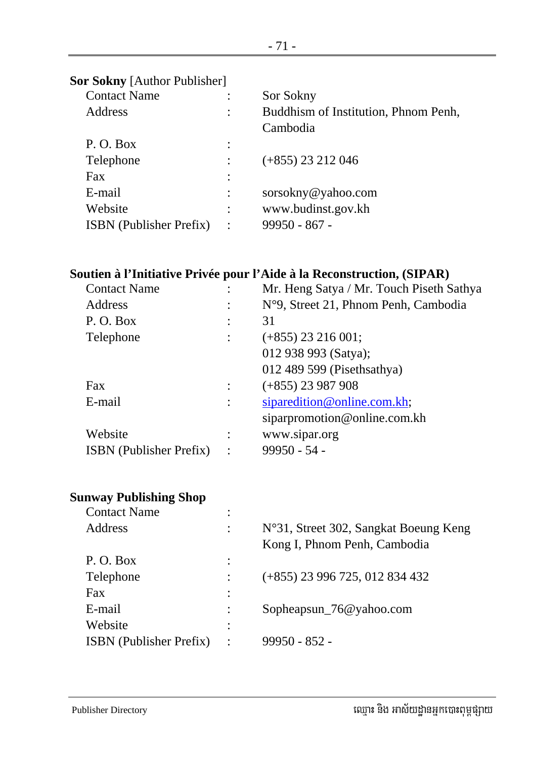| <b>Contact Name</b>            |                | Sor Sokny                            |
|--------------------------------|----------------|--------------------------------------|
| Address                        |                | Buddhism of Institution, Phnom Penh, |
|                                |                | Cambodia                             |
| P.O. Box                       |                |                                      |
| Telephone                      |                | $(+855)$ 23 212 046                  |
| Fax                            |                |                                      |
| E-mail                         |                | sorsokny@yahoo.com                   |
| Website                        |                | www.budinst.gov.kh                   |
| <b>ISBN</b> (Publisher Prefix) | $\ddot{\cdot}$ | $99950 - 867 -$                      |
|                                |                |                                      |

### **Soutien à l'Initiative Privée pour l'Aide à la Reconstruction, (SIPAR)**

| <b>Contact Name</b>            |                | Mr. Heng Satya / Mr. Touch Piseth Sathya |
|--------------------------------|----------------|------------------------------------------|
| Address                        | $\ddot{\cdot}$ | N°9, Street 21, Phnom Penh, Cambodia     |
| P.O. Box                       |                | 31                                       |
| Telephone                      |                | $(+855)$ 23 216 001;                     |
|                                |                | 012 938 993 (Satya);                     |
|                                |                | 012 489 599 (Pisethsathya)               |
| Fax                            |                | $(+855)$ 23 987 908                      |
| E-mail                         | $\ddot{\cdot}$ | siparedition@online.com.kh;              |
|                                |                | siparpromotion@online.com.kh             |
| Website                        |                | www.sipar.org                            |
| <b>ISBN</b> (Publisher Prefix) | $\cdot$        | $99950 - 54 -$                           |
|                                |                |                                          |

#### **Sunway Publishing Shop**

| <b>Contact Name</b>            | ٠         |                                                                       |
|--------------------------------|-----------|-----------------------------------------------------------------------|
| <b>Address</b>                 |           | N°31, Street 302, Sangkat Boeung Keng<br>Kong I, Phnom Penh, Cambodia |
| P.O. Box                       | $\bullet$ |                                                                       |
| Telephone                      |           | $(+855)$ 23 996 725, 012 834 432                                      |
| Fax                            |           |                                                                       |
| E-mail                         |           | Sopheapsun_76@yahoo.com                                               |
| Website                        | $\bullet$ |                                                                       |
| <b>ISBN</b> (Publisher Prefix) |           | $99950 - 852 -$                                                       |
|                                |           |                                                                       |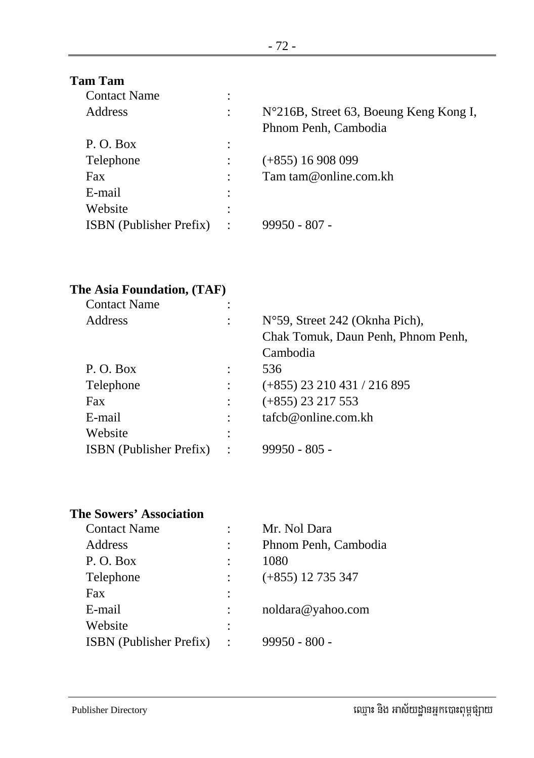## **Tam Tam**

| <b>Contact Name</b>            |                                                                |
|--------------------------------|----------------------------------------------------------------|
| Address                        | N°216B, Street 63, Boeung Keng Kong I,<br>Phnom Penh, Cambodia |
| P.O. Box                       |                                                                |
| Telephone                      | $(+855)$ 16 908 099                                            |
| Fax                            | Tam tam@online.com.kh                                          |
| E-mail                         |                                                                |
| Website                        |                                                                |
| <b>ISBN</b> (Publisher Prefix) | 99950 - 807 -                                                  |
|                                |                                                                |

## **The Asia Foundation, (TAF)**

| <b>Contact Name</b>            |                |                                    |
|--------------------------------|----------------|------------------------------------|
| Address                        |                | $No59$ , Street 242 (Oknha Pich),  |
|                                |                | Chak Tomuk, Daun Penh, Phnom Penh, |
|                                |                | Cambodia                           |
| P.O. Box                       |                | 536                                |
| Telephone                      |                | $(+855)$ 23 210 431 / 216 895      |
| Fax                            |                | $(+855)$ 23 217 553                |
| E-mail                         |                | $t$ afcb@online.com.kh             |
| Website                        |                |                                    |
| <b>ISBN</b> (Publisher Prefix) | $\ddot{\cdot}$ | $99950 - 805 -$                    |
|                                |                |                                    |

#### **The Sowers' Association**

| <b>Contact Name</b>            |                | Mr. Nol Dara         |
|--------------------------------|----------------|----------------------|
| Address                        |                | Phnom Penh, Cambodia |
| P.O. Box                       |                | 1080                 |
| Telephone                      |                | $(+855)$ 12 735 347  |
| Fax                            | $\ddot{\cdot}$ |                      |
| E-mail                         |                | noldara@yahoo.com    |
| Website                        |                |                      |
| <b>ISBN</b> (Publisher Prefix) | $\cdot$        | $99950 - 800 -$      |
|                                |                |                      |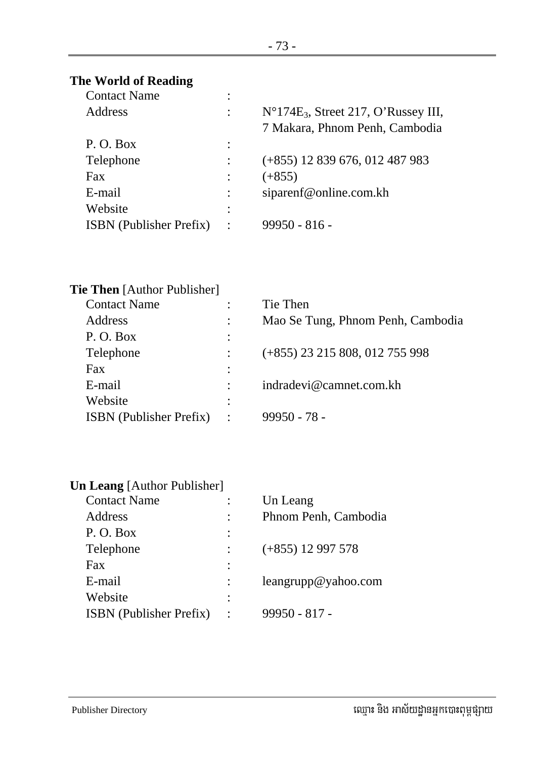## **The World of Reading**

| <b>Contact Name</b>            | ٠              |                                               |
|--------------------------------|----------------|-----------------------------------------------|
| <b>Address</b>                 |                | $N^{\circ}174E_3$ , Street 217, O'Russey III, |
|                                |                | 7 Makara, Phnom Penh, Cambodia                |
| P.O. Box                       | ٠              |                                               |
| Telephone                      |                | $(+855)$ 12 839 676, 012 487 983              |
| Fax                            |                | $(+855)$                                      |
| E-mail                         |                | siparenf@online.com.kh                        |
| Website                        | ٠              |                                               |
| <b>ISBN</b> (Publisher Prefix) | $\ddot{\cdot}$ | $99950 - 816$                                 |
|                                |                |                                               |

| <b>Tie Then</b> [Author Publisher] |                      |                                   |
|------------------------------------|----------------------|-----------------------------------|
| <b>Contact Name</b>                |                      | Tie Then                          |
| Address                            |                      | Mao Se Tung, Phnom Penh, Cambodia |
| P.O. Box                           |                      |                                   |
| Telephone                          |                      | (+855) 23 215 808, 012 755 998    |
| Fax                                |                      |                                   |
| E-mail                             |                      | indradevi@camnet.com.kh           |
| Website                            |                      |                                   |
| <b>ISBN</b> (Publisher Prefix)     | $\ddot{\phantom{0}}$ | $99950 - 78 -$                    |
|                                    |                      |                                   |

| <b>Un Leang</b> [Author Publisher] |  |
|------------------------------------|--|
| <b>Contact Name</b>                |  |

| <b>Contact Name</b>            | Un Leang             |
|--------------------------------|----------------------|
| Address                        | Phnom Penh, Cambodia |
| P.O. Box                       |                      |
| Telephone                      | $(+855)$ 12 997 578  |
| Fax                            |                      |
| E-mail                         | leangrupp@yahoo.com  |
| Website                        |                      |
| <b>ISBN</b> (Publisher Prefix) | $99950 - 817 -$      |
|                                |                      |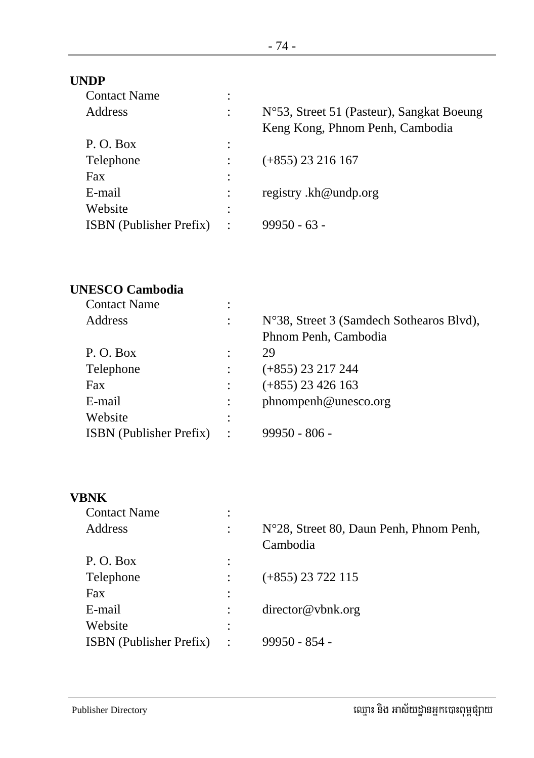### **UNDP**

| <b>Contact Name</b>            | ٠                    |                                           |
|--------------------------------|----------------------|-------------------------------------------|
| Address                        | ٠                    | N°53, Street 51 (Pasteur), Sangkat Boeung |
|                                |                      | Keng Kong, Phnom Penh, Cambodia           |
| P.O. Box                       | $\ddot{\cdot}$       |                                           |
| Telephone                      |                      | $(+855)$ 23 216 167                       |
| Fax                            | $\ddot{\cdot}$       |                                           |
| E-mail                         |                      | registry.kh@undp.org                      |
| Website                        | :                    |                                           |
| <b>ISBN</b> (Publisher Prefix) | $\ddot{\phantom{a}}$ | $99950 - 63 -$                            |
|                                |                      |                                           |

# **UNESCO Cambodia**

| <b>Contact Name</b>            | ٠              |                                          |
|--------------------------------|----------------|------------------------------------------|
| Address                        | ٠              | N°38, Street 3 (Samdech Sothearos Blvd), |
|                                |                | Phnom Penh, Cambodia                     |
| P.O. Box                       |                | 29                                       |
| Telephone                      |                | $(+855)$ 23 217 244                      |
| Fax                            |                | $(+855)$ 23 426 163                      |
| E-mail                         |                | phnompenh@unesco.org                     |
| Website                        | ٠<br>$\bullet$ |                                          |
| <b>ISBN</b> (Publisher Prefix) | $\ddot{\cdot}$ | $99950 - 806 -$                          |
|                                |                |                                          |

# **VBNK**

| <b>Contact Name</b>            | ٠<br>$\bullet$ |                                         |
|--------------------------------|----------------|-----------------------------------------|
| Address                        | $\ddot{\cdot}$ | N°28, Street 80, Daun Penh, Phnom Penh, |
|                                |                | Cambodia                                |
| P.O. Box                       | $\ddot{\cdot}$ |                                         |
| Telephone                      |                | $(+855)$ 23 722 115                     |
| Fax                            | $\ddot{\cdot}$ |                                         |
| E-mail                         |                | $\text{directory@vbnk.org}$             |
| Website                        | ٠<br>$\bullet$ |                                         |
| <b>ISBN</b> (Publisher Prefix) | $\ddot{\cdot}$ | 99950 - 854 -                           |
|                                |                |                                         |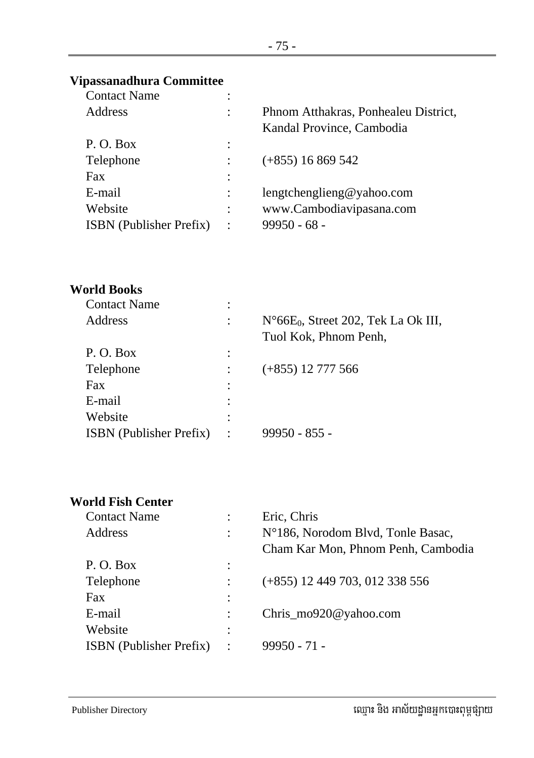## **Vipassanadhura Committee**

| <b>Contact Name</b>            | ٠                    |                                      |
|--------------------------------|----------------------|--------------------------------------|
| Address                        | $\ddot{\phantom{a}}$ | Phnom Atthakras, Ponhealeu District, |
|                                |                      | Kandal Province, Cambodia            |
| P.O. Box                       | $\ddot{\cdot}$       |                                      |
| Telephone                      |                      | $(+855)$ 16 869 542                  |
| Fax                            | $\ddot{\cdot}$       |                                      |
| E-mail                         | $\ddot{\cdot}$       | lengtchenglieng@yahoo.com            |
| Website                        | $\ddot{\phantom{a}}$ | www.Cambodiavipasana.com             |
| <b>ISBN</b> (Publisher Prefix) | $\ddot{\cdot}$       | $99950 - 68 -$                       |
|                                |                      |                                      |

## **World Books**

| <b>Contact Name</b>            | ٠                    |                                                                        |
|--------------------------------|----------------------|------------------------------------------------------------------------|
| <b>Address</b>                 |                      | $N^{\circ}66E_0$ , Street 202, Tek La Ok III,<br>Tuol Kok, Phnom Penh, |
| P.O. Box                       | ٠                    |                                                                        |
| Telephone                      |                      | $(+855)$ 12 777 566                                                    |
| Fax                            | ٠                    |                                                                        |
| E-mail                         |                      |                                                                        |
| Website                        |                      |                                                                        |
| <b>ISBN</b> (Publisher Prefix) | $\ddot{\phantom{a}}$ | $99950 - 855 -$                                                        |
|                                |                      |                                                                        |

## **World Fish Center**

| <b>Contact Name</b>            |                      | Eric, Chris                        |
|--------------------------------|----------------------|------------------------------------|
| Address                        | $\ddot{\phantom{a}}$ | N°186, Norodom Blvd, Tonle Basac,  |
|                                |                      | Cham Kar Mon, Phnom Penh, Cambodia |
| P. O. Box                      |                      |                                    |
| Telephone                      |                      | $(+855)$ 12 449 703, 012 338 556   |
| Fax                            | ٠                    |                                    |
| E-mail                         |                      | Chris_mo920@yahoo.com              |
| Website                        | ٠                    |                                    |
| <b>ISBN</b> (Publisher Prefix) | $\ddot{\cdot}$       | $99950 - 71 -$                     |
|                                |                      |                                    |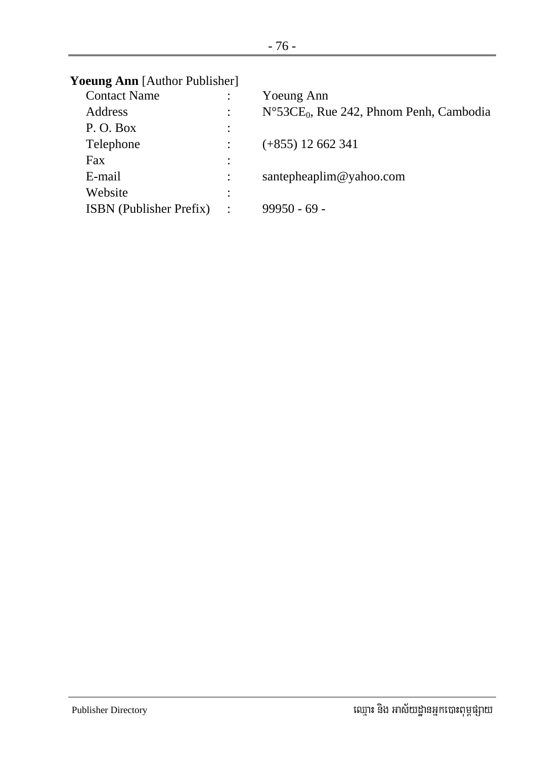| <b>Yoeung Ann</b> [Author Publisher] |                |                                                               |
|--------------------------------------|----------------|---------------------------------------------------------------|
| <b>Contact Name</b>                  |                | Yoeung Ann                                                    |
| Address                              |                | $N^{\circ}$ 53CE <sub>0</sub> , Rue 242, Phnom Penh, Cambodia |
| P.O. Box                             | $\ddot{\cdot}$ |                                                               |
| Telephone                            |                | $(+855)$ 12 662 341                                           |
| <b>Fax</b>                           | ٠<br>$\cdot$   |                                                               |
| E-mail                               |                | santepheaplim@yahoo.com                                       |
| Website                              | ٠<br>$\bullet$ |                                                               |
| <b>ISBN</b> (Publisher Prefix)       | $\ddot{\cdot}$ | $99950 - 69$                                                  |
|                                      |                |                                                               |